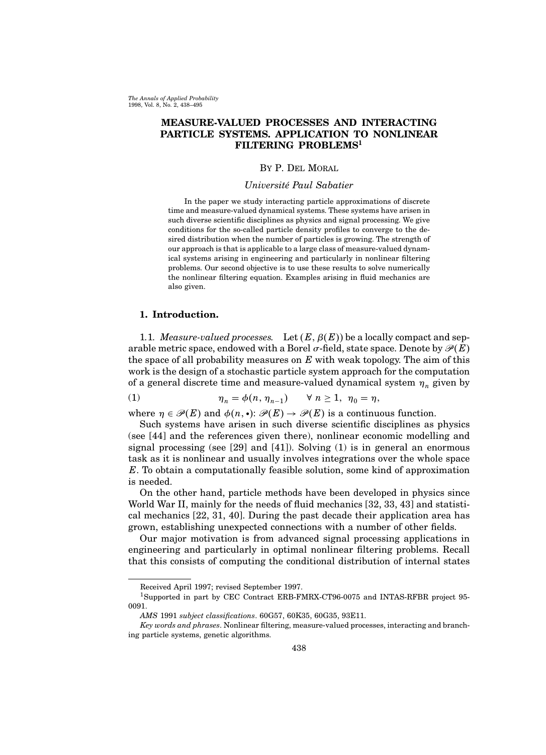The Annals of Applied Probability 1998, Vol. 8, No. 2, 438–495

# MEASURE-VALUED PROCESSES AND INTERACTING PARTICLE SYSTEMS. APPLICATION TO NONLINEAR FILTERING PROBLEMS<sup>1</sup>

# By P. Del Moral

# Université Paul Sabatier

In the paper we study interacting particle approximations of discrete time and measure-valued dynamical systems. These systems have arisen in such diverse scientific disciplines as physics and signal processing. We give conditions for the so-called particle density profiles to converge to the desired distribution when the number of particles is growing. The strength of our approach is that is applicable to a large class of measure-valued dynamical systems arising in engineering and particularly in nonlinear filtering problems. Our second objective is to use these results to solve numerically the nonlinear filtering equation. Examples arising in fluid mechanics are also given.

# 1. Introduction.

1.1. Measure-valued processes. Let  $(E, \beta(E))$  be a locally compact and separable metric space, endowed with a Borel  $\sigma$ -field, state space. Denote by  $\mathcal{P}(E)$ the space of all probability measures on  $E$  with weak topology. The aim of this work is the design of a stochastic particle system approach for the computation of a general discrete time and measure-valued dynamical system  $\eta_n$  given by

(1) 
$$
\eta_n = \phi(n, \eta_{n-1}) \quad \forall n \ge 1, \ \eta_0 = \eta,
$$

where  $\eta \in \mathcal{P}(E)$  and  $\phi(n, \cdot): \mathcal{P}(E) \to \mathcal{P}(E)$  is a continuous function.

Such systems have arisen in such diverse scientific disciplines as physics (see [44] and the references given there), nonlinear economic modelling and signal processing (see [29] and [41]). Solving  $(1)$  is in general an enormous task as it is nonlinear and usually involves integrations over the whole space  $E$ . To obtain a computationally feasible solution, some kind of approximation is needed.

On the other hand, particle methods have been developed in physics since World War II, mainly for the needs of fluid mechanics [32, 33, 43] and statistical mechanics [22, 31, 40]. During the past decade their application area has grown, establishing unexpected connections with a number of other fields.

Our major motivation is from advanced signal processing applications in engineering and particularly in optimal nonlinear filtering problems. Recall that this consists of computing the conditional distribution of internal states

Received April 1997; revised September 1997.

<sup>1</sup>Supported in part by CEC Contract ERB-FMRX-CT96-0075 and INTAS-RFBR project 95- 0091.

AMS 1991 subject classifications. 60G57, 60K35, 60G35, 93E11.

Key words and phrases. Nonlinear filtering, measure-valued processes, interacting and branching particle systems, genetic algorithms.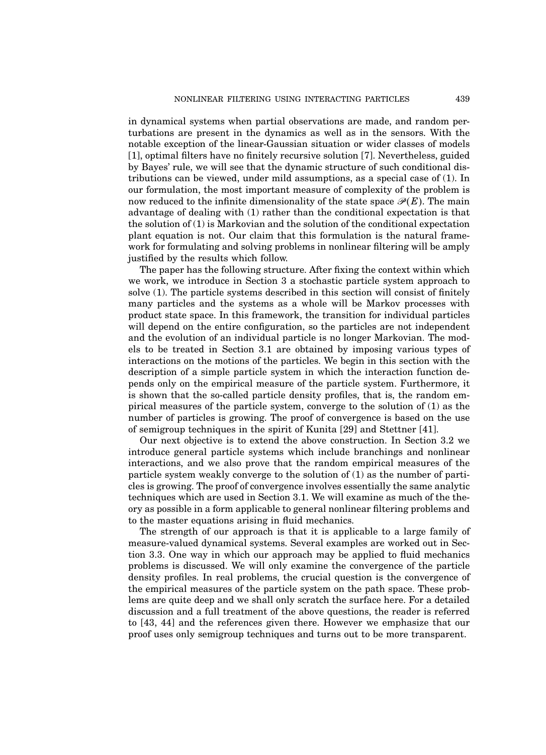in dynamical systems when partial observations are made, and random perturbations are present in the dynamics as well as in the sensors. With the notable exception of the linear-Gaussian situation or wider classes of models [1], optimal filters have no finitely recursive solution [7]. Nevertheless, guided by Bayes' rule, we will see that the dynamic structure of such conditional distributions can be viewed, under mild assumptions, as a special case of (1). In our formulation, the most important measure of complexity of the problem is now reduced to the infinite dimensionality of the state space  $\mathcal{P}(E)$ . The main advantage of dealing with (1) rather than the conditional expectation is that the solution of (1) is Markovian and the solution of the conditional expectation plant equation is not. Our claim that this formulation is the natural framework for formulating and solving problems in nonlinear filtering will be amply justified by the results which follow.

The paper has the following structure. After fixing the context within which we work, we introduce in Section 3 a stochastic particle system approach to solve (1). The particle systems described in this section will consist of finitely many particles and the systems as a whole will be Markov processes with product state space. In this framework, the transition for individual particles will depend on the entire configuration, so the particles are not independent and the evolution of an individual particle is no longer Markovian. The models to be treated in Section 3.1 are obtained by imposing various types of interactions on the motions of the particles. We begin in this section with the description of a simple particle system in which the interaction function depends only on the empirical measure of the particle system. Furthermore, it is shown that the so-called particle density profiles, that is, the random empirical measures of the particle system, converge to the solution of (1) as the number of particles is growing. The proof of convergence is based on the use of semigroup techniques in the spirit of Kunita [29] and Stettner [41].

Our next objective is to extend the above construction. In Section 3.2 we introduce general particle systems which include branchings and nonlinear interactions, and we also prove that the random empirical measures of the particle system weakly converge to the solution of (1) as the number of particles is growing. The proof of convergence involves essentially the same analytic techniques which are used in Section 3.1. We will examine as much of the theory as possible in a form applicable to general nonlinear filtering problems and to the master equations arising in fluid mechanics.

The strength of our approach is that it is applicable to a large family of measure-valued dynamical systems. Several examples are worked out in Section 3.3. One way in which our approach may be applied to fluid mechanics problems is discussed. We will only examine the convergence of the particle density profiles. In real problems, the crucial question is the convergence of the empirical measures of the particle system on the path space. These problems are quite deep and we shall only scratch the surface here. For a detailed discussion and a full treatment of the above questions, the reader is referred to [43, 44] and the references given there. However we emphasize that our proof uses only semigroup techniques and turns out to be more transparent.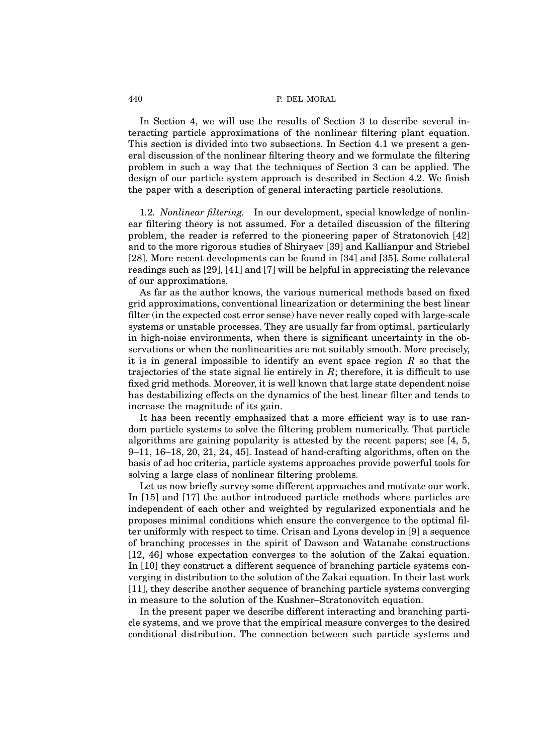In Section 4, we will use the results of Section 3 to describe several interacting particle approximations of the nonlinear filtering plant equation. This section is divided into two subsections. In Section 4.1 we present a general discussion of the nonlinear filtering theory and we formulate the filtering problem in such a way that the techniques of Section 3 can be applied. The design of our particle system approach is described in Section 4.2. We finish the paper with a description of general interacting particle resolutions.

1.2. Nonlinear filtering. In our development, special knowledge of nonlinear filtering theory is not assumed. For a detailed discussion of the filtering problem, the reader is referred to the pioneering paper of Stratonovich [42] and to the more rigorous studies of Shiryaev [39] and Kallianpur and Striebel [28]. More recent developments can be found in [34] and [35]. Some collateral readings such as [29], [41] and [7] will be helpful in appreciating the relevance of our approximations.

As far as the author knows, the various numerical methods based on fixed grid approximations, conventional linearization or determining the best linear filter (in the expected cost error sense) have never really coped with large-scale systems or unstable processes. They are usually far from optimal, particularly in high-noise environments, when there is significant uncertainty in the observations or when the nonlinearities are not suitably smooth. More precisely, it is in general impossible to identify an event space region  $R$  so that the trajectories of the state signal lie entirely in  $R$ ; therefore, it is difficult to use fixed grid methods. Moreover, it is well known that large state dependent noise has destabilizing effects on the dynamics of the best linear filter and tends to increase the magnitude of its gain.

It has been recently emphasized that a more efficient way is to use random particle systems to solve the filtering problem numerically. That particle algorithms are gaining popularity is attested by the recent papers; see [4, 5, 9–11, 16–18, 20, 21, 24, 45]. Instead of hand-crafting algorithms, often on the basis of ad hoc criteria, particle systems approaches provide powerful tools for solving a large class of nonlinear filtering problems.

Let us now briefly survey some different approaches and motivate our work. In [15] and [17] the author introduced particle methods where particles are independent of each other and weighted by regularized exponentials and he proposes minimal conditions which ensure the convergence to the optimal filter uniformly with respect to time. Crisan and Lyons develop in [9] a sequence of branching processes in the spirit of Dawson and Watanabe constructions [12, 46] whose expectation converges to the solution of the Zakai equation. In [10] they construct a different sequence of branching particle systems converging in distribution to the solution of the Zakai equation. In their last work [11], they describe another sequence of branching particle systems converging in measure to the solution of the Kushner–Stratonovitch equation.

In the present paper we describe different interacting and branching particle systems, and we prove that the empirical measure converges to the desired conditional distribution. The connection between such particle systems and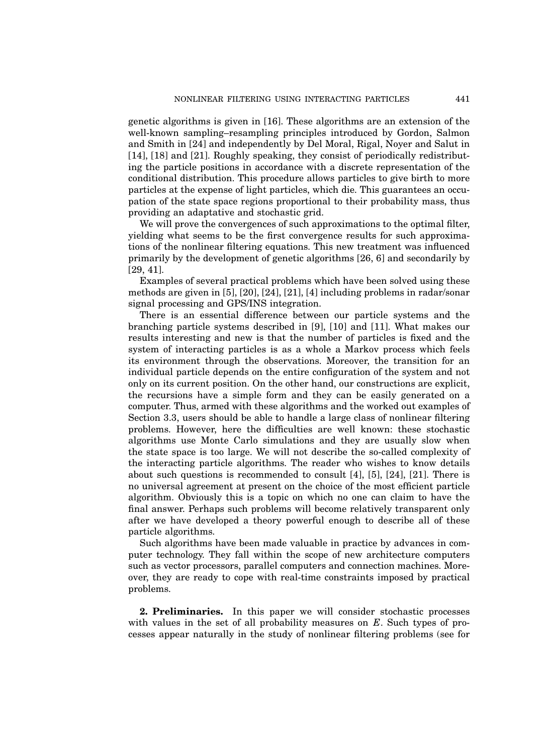genetic algorithms is given in [16]. These algorithms are an extension of the well-known sampling–resampling principles introduced by Gordon, Salmon and Smith in [24] and independently by Del Moral, Rigal, Noyer and Salut in [14], [18] and [21]. Roughly speaking, they consist of periodically redistributing the particle positions in accordance with a discrete representation of the conditional distribution. This procedure allows particles to give birth to more particles at the expense of light particles, which die. This guarantees an occupation of the state space regions proportional to their probability mass, thus providing an adaptative and stochastic grid.

We will prove the convergences of such approximations to the optimal filter, yielding what seems to be the first convergence results for such approximations of the nonlinear filtering equations. This new treatment was influenced primarily by the development of genetic algorithms [26, 6] and secondarily by [29, 41].

Examples of several practical problems which have been solved using these methods are given in [5], [20], [24], [21], [4] including problems in radar/sonar signal processing and GPS/INS integration.

There is an essential difference between our particle systems and the branching particle systems described in [9], [10] and [11]. What makes our results interesting and new is that the number of particles is fixed and the system of interacting particles is as a whole a Markov process which feels its environment through the observations. Moreover, the transition for an individual particle depends on the entire configuration of the system and not only on its current position. On the other hand, our constructions are explicit, the recursions have a simple form and they can be easily generated on a computer. Thus, armed with these algorithms and the worked out examples of Section 3.3, users should be able to handle a large class of nonlinear filtering problems. However, here the difficulties are well known: these stochastic algorithms use Monte Carlo simulations and they are usually slow when the state space is too large. We will not describe the so-called complexity of the interacting particle algorithms. The reader who wishes to know details about such questions is recommended to consult  $[4]$ ,  $[5]$ ,  $[24]$ ,  $[21]$ . There is no universal agreement at present on the choice of the most efficient particle algorithm. Obviously this is a topic on which no one can claim to have the final answer. Perhaps such problems will become relatively transparent only after we have developed a theory powerful enough to describe all of these particle algorithms.

Such algorithms have been made valuable in practice by advances in computer technology. They fall within the scope of new architecture computers such as vector processors, parallel computers and connection machines. Moreover, they are ready to cope with real-time constraints imposed by practical problems.

2. Preliminaries. In this paper we will consider stochastic processes with values in the set of all probability measures on  $E$ . Such types of processes appear naturally in the study of nonlinear filtering problems (see for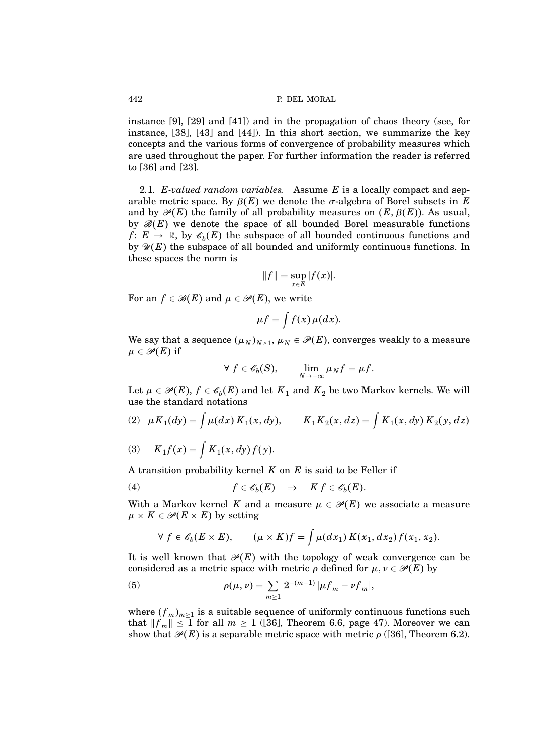instance [9], [29] and [41]) and in the propagation of chaos theory (see, for instance, [38], [43] and [44]). In this short section, we summarize the key concepts and the various forms of convergence of probability measures which are used throughout the paper. For further information the reader is referred to [36] and [23].

2.1. E-valued random variables. Assume  $E$  is a locally compact and separable metric space. By  $\beta(E)$  we denote the *σ*-algebra of Borel subsets in E and by  $\mathcal{P}(E)$  the family of all probability measures on  $(E, \beta(E))$ . As usual, by  $\mathcal{B}(E)$  we denote the space of all bounded Borel measurable functions  $f: E \to \mathbb{R}$ , by  $\mathscr{C}_b(E)$  the subspace of all bounded continuous functions and by  $\mathscr{U}(E)$  the subspace of all bounded and uniformly continuous functions. In these spaces the norm is

$$
||f|| = \sup_{x \in E} |f(x)|.
$$

For an  $f \in \mathcal{B}(E)$  and  $\mu \in \mathcal{P}(E)$ , we write

$$
\mu f = \int f(x) \, \mu(dx).
$$

We say that a sequence  $(\mu_N)_{N \geq 1}$ ,  $\mu_N \in \mathscr{P}(E)$ , converges weakly to a measure  $\mu \in \mathscr{P}(E)$  if

$$
\forall f \in \mathscr{C}_b(S), \qquad \lim_{N \to +\infty} \mu_N f = \mu f.
$$

Let  $\mu \in \mathscr{P}(E),$   $f \in \mathscr{C}_b(E)$  and let  $K_1$  and  $K_2$  be two Markov kernels. We will use the standard notations

(2) 
$$
\mu K_1(dy) = \int \mu(dx) K_1(x, dy), \qquad K_1 K_2(x, dz) = \int K_1(x, dy) K_2(y, dz)
$$

(3) 
$$
K_1 f(x) = \int K_1(x, dy) f(y).
$$

A transition probability kernel  $K$  on  $E$  is said to be Feller if

(4) 
$$
f \in \mathscr{E}_b(E) \Rightarrow K f \in \mathscr{E}_b(E).
$$

With a Markov kernel K and a measure  $\mu \in \mathcal{P}(E)$  we associate a measure  $\mu \times K \in \mathscr{P}(E \times E)$  by setting

$$
\forall f \in \mathscr{C}_b(E \times E), \qquad (\mu \times K)f = \int \mu(dx_1) K(x_1, dx_2) f(x_1, x_2).
$$

It is well known that  $\mathcal{P}(E)$  with the topology of weak convergence can be considered as a metric space with metric  $\rho$  defined for  $\mu, \nu \in \mathcal{P}(E)$  by

(5) 
$$
\rho(\mu,\nu)=\sum_{m\geq 1}2^{-(m+1)}|\mu f_m-\nu f_m|,
$$

where  $(f_m)_{m\geq 1}$  is a suitable sequence of uniformly continuous functions such that  $||f_m|| \leq 1$  for all  $m \geq 1$  ([36], Theorem 6.6, page 47). Moreover we can show that  $\mathcal{P}(E)$  is a separable metric space with metric  $\rho$  ([36], Theorem 6.2).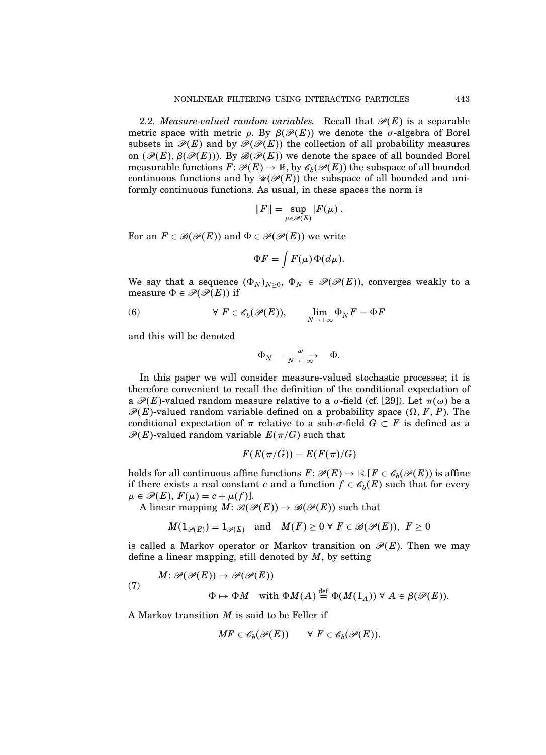2.2. Measure-valued random variables. Recall that  $\mathcal{P}(E)$  is a separable metric space with metric  $\rho$ . By  $\beta(\mathscr{P}(E))$  we denote the *σ*-algebra of Borel subsets in  $\mathcal{P}(E)$  and by  $\mathcal{P}(\mathcal{P}(E))$  the collection of all probability measures on  $(\mathscr{P}(E), \beta(\mathscr{P}(E)))$ . By  $\mathscr{B}(\mathscr{P}(E))$  we denote the space of all bounded Borel measurable functions  $F: \mathscr{P}(E) \to \mathbb{R}$ , by  $\mathscr{C}_b(\mathscr{P}(E))$  the subspace of all bounded continuous functions and by  $\mathcal{U}(\mathcal{P}(E))$  the subspace of all bounded and uniformly continuous functions. As usual, in these spaces the norm is

$$
||F|| = \sup_{\mu \in \mathscr{P}(E)} |F(\mu)|.
$$

For an  $F \in \mathcal{B}(\mathcal{P}(E))$  and  $\Phi \in \mathcal{P}(\mathcal{P}(E))$  we write

$$
\Phi F = \int F(\mu) \Phi(d\mu).
$$

We say that a sequence  $(\Phi_N)_{N\geq 0}$ ,  $\Phi_N \in \mathscr{P}(\mathscr{P}(E))$ , converges weakly to a measure  $\Phi \in \mathcal{P}(\mathcal{P}(E))$  if

(6) 
$$
\forall F \in \mathscr{E}_b(\mathscr{P}(E)), \qquad \lim_{N \to +\infty} \Phi_N F = \Phi F
$$

and this will be denoted

$$
\Phi_N \quad\mathop{\longrightarrow}^w \quad\Phi.
$$

In this paper we will consider measure-valued stochastic processes; it is therefore convenient to recall the definition of the conditional expectation of a  $\mathcal{P}(E)$ -valued random measure relative to a  $\sigma$ -field (cf. [29]). Let  $\pi(\omega)$  be a  $\mathcal{P}(E)$ -valued random variable defined on a probability space  $(\Omega, F, P)$ . The conditional expectation of  $\pi$  relative to a sub- $\sigma$ -field  $G \subset F$  is defined as a  $\mathscr{P}(E)$ -valued random variable  $E(\pi/G)$  such that

$$
F(E(\pi/G))=E(F(\pi)/G)
$$

holds for all continuous affine functions  $F\colon \mathscr{P}(E) \to \mathbb{R}$   $[F \in \mathscr{C}_b(\mathscr{P}(E))$  is affine if there exists a real constant c and a function  $f \in \mathcal{C}_b(E)$  such that for every  $\mu \in \mathscr{P}(E), F(\mu) = c + \mu(f)$ .

A linear mapping  $M: \mathcal{B}(\mathcal{P}(E)) \to \mathcal{B}(\mathcal{P}(E))$  such that

$$
M(1_{\mathscr{P}(E)})=1_{\mathscr{P}(E)}\quad\text{and}\quad M(F)\geq 0\,\,\forall\,\,F\in\mathscr{B}(\mathscr{P}(E)),\,\,F\geq 0
$$

is called a Markov operator or Markov transition on  $\mathcal{P}(E)$ . Then we may define a linear mapping, still denoted by  $M$ , by setting

(7) 
$$
M: \mathcal{P}(\mathcal{P}(E)) \to \mathcal{P}(\mathcal{P}(E))
$$

$$
\Phi \mapsto \Phi M \quad \text{with } \Phi M(A) \stackrel{\text{def}}{=} \Phi(M(1_A)) \ \forall \ A \in \beta(\mathcal{P}(E)).
$$

A Markov transition  $M$  is said to be Feller if

$$
MF \in \mathscr{C}_b(\mathscr{P}(E)) \qquad \forall \ F \in \mathscr{C}_b(\mathscr{P}(E)).
$$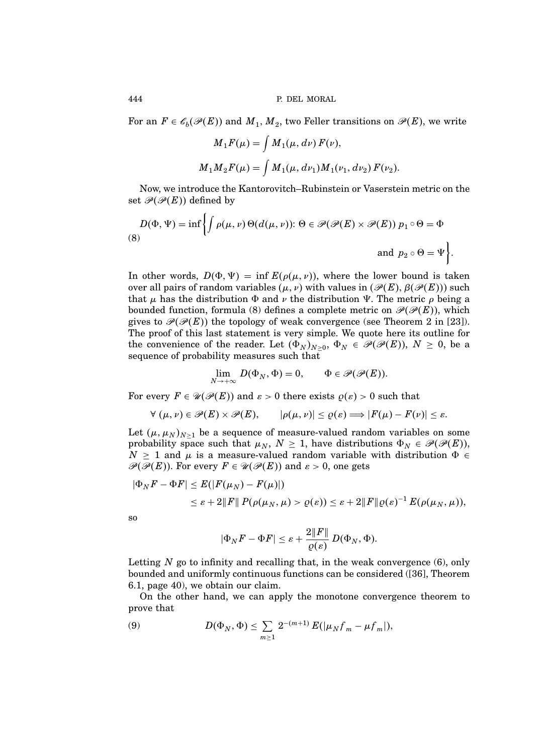For an  $F \in \mathscr{C}_b(\mathscr{P}(E))$  and  $M_1, M_2$ , two Feller transitions on  $\mathscr{P}(E)$ , we write

$$
M_1 F(\mu) = \int M_1(\mu, d\nu) F(\nu),
$$
  

$$
M_1 M_2 F(\mu) = \int M_1(\mu, d\nu_1) M_1(\nu_1, d\nu_2) F(\nu_2).
$$

Now, we introduce the Kantorovitch–Rubinstein or Vaserstein metric on the set  $\mathcal{P}(\mathcal{P}(E))$  defined by

$$
D(\Phi, \Psi) = \inf \left\{ \int \rho(\mu, \nu) \Theta(d(\mu, \nu)) \colon \Theta \in \mathcal{P}(\mathcal{P}(E) \times \mathcal{P}(E)) \; p_1 \circ \Theta = \Phi \right\}
$$
\n(8)

\n
$$
\text{and } p_2 \circ \Theta = \Psi \left\}.
$$

In other words,  $D(\Phi, \Psi) = \inf E(\rho(\mu, \nu))$ , where the lower bound is taken over all pairs of random variables  $(\mu, \nu)$  with values in  $(\mathscr{P}(E), \beta(\mathscr{P}(E)))$  such that  $\mu$  has the distribution  $\Phi$  and  $\nu$  the distribution  $\Psi$ . The metric  $\rho$  being a bounded function, formula (8) defines a complete metric on  $\mathcal{P}(\mathcal{P}(E))$ , which gives to  $\mathcal{P}(\mathcal{P}(E))$  the topology of weak convergence (see Theorem 2 in [23]). The proof of this last statement is very simple. We quote here its outline for the convenience of the reader. Let  $(\Phi_N)_{N \geq 0}$ ,  $\Phi_N \in \mathcal{P}(\mathcal{P}(E))$ ,  $N \geq 0$ , be a sequence of probability measures such that

$$
\lim_{N \to +\infty} D(\Phi_N, \Phi) = 0, \qquad \Phi \in \mathscr{P}(\mathscr{P}(E)).
$$

For every  $F \in \mathcal{U}(\mathcal{P}(E))$  and  $\varepsilon > 0$  there exists  $\rho(\varepsilon) > 0$  such that

$$
\forall (\mu, \nu) \in \mathscr{P}(E) \times \mathscr{P}(E), \qquad |\rho(\mu, \nu)| \leq \varrho(\varepsilon) \Longrightarrow |F(\mu) - F(\nu)| \leq \varepsilon.
$$

Let  $(\mu, \mu_N)_{N>1}$  be a sequence of measure-valued random variables on some probability space such that  $\mu_N$ ,  $N \geq 1$ , have distributions  $\Phi_N \in \mathcal{P}(\mathcal{P}(E)),$  $N \geq 1$  and  $\mu$  is a measure-valued random variable with distribution  $\Phi \in$  $\mathscr{P}(\mathscr{P}(E))$ . For every  $F \in \mathscr{U}(\mathscr{P}(E))$  and  $\varepsilon > 0$ , one gets

$$
|\Phi_N F - \Phi F| \leq E(|F(\mu_N) - F(\mu)|)
$$
  
\$\leq \varepsilon + 2\|F\| P(\rho(\mu\_N, \mu) > \varrho(\varepsilon)) \leq \varepsilon + 2\|F\| \varrho(\varepsilon)^{-1} E(\rho(\mu\_N, \mu)),\$

so

$$
|\Phi_NF-\Phi F|\leq \varepsilon +\frac{2\|F\|}{\varrho(\varepsilon)}\,D(\Phi_N,\Phi).
$$

Letting  $N$  go to infinity and recalling that, in the weak convergence  $(6)$ , only bounded and uniformly continuous functions can be considered ([36], Theorem 6.1, page 40), we obtain our claim.

On the other hand, we can apply the monotone convergence theorem to prove that

(9) 
$$
D(\Phi_N, \Phi) \leq \sum_{m \geq 1} 2^{-(m+1)} E(|\mu_N f_m - \mu f_m|),
$$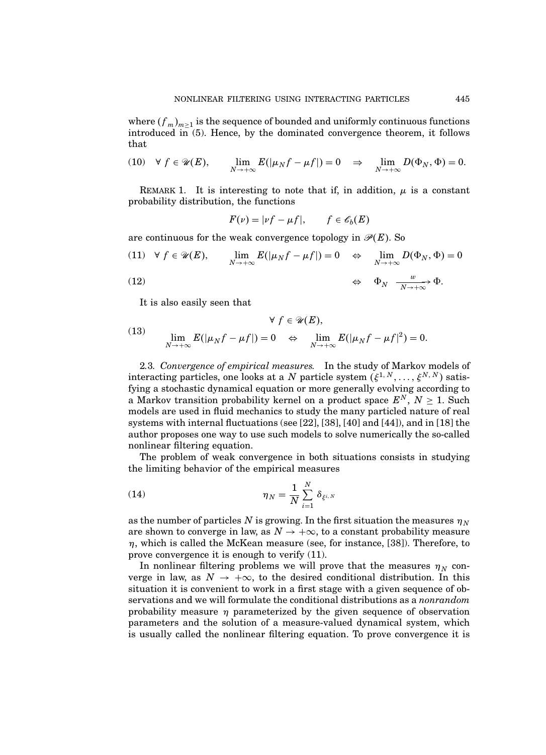where  $(f_m)_{m\geq 1}$  is the sequence of bounded and uniformly continuous functions introduced in (5). Hence, by the dominated convergence theorem, it follows that

(10) 
$$
\forall f \in \mathcal{U}(E)
$$
,  $\lim_{N \to +\infty} E(|\mu_N f - \mu f|) = 0 \Rightarrow \lim_{N \to +\infty} D(\Phi_N, \Phi) = 0.$ 

REMARK 1. It is interesting to note that if, in addition,  $\mu$  is a constant probability distribution, the functions

$$
F(\nu) = |\nu f - \mu f|, \qquad f \in \mathscr{C}_b(E)
$$

are continuous for the weak convergence topology in  $\mathcal{P}(E)$ . So

(11) 
$$
\forall f \in \mathcal{U}(E)
$$
,  $\lim_{N \to +\infty} E(|\mu_N f - \mu f|) = 0 \Leftrightarrow \lim_{N \to +\infty} D(\Phi_N, \Phi) = 0$   
(12)  $\Leftrightarrow \Phi_N \xrightarrow[N \to +\infty]{w} \Phi$ .

It is also easily seen that

(13) 
$$
\forall f \in \mathcal{U}(E),
$$

$$
\lim_{N \to +\infty} E(|\mu_N f - \mu f|) = 0 \quad \Leftrightarrow \quad \lim_{N \to +\infty} E(|\mu_N f - \mu f|^2) = 0.
$$

2.3. Convergence of empirical measures. In the study of Markov models of interacting particles, one looks at a N particle system  $(\xi^{1,N},\ldots,\xi^{N,N})$  satisfying a stochastic dynamical equation or more generally evolving according to a Markov transition probability kernel on a product space  $E^N$ ,  $N \geq 1$ . Such models are used in fluid mechanics to study the many particled nature of real systems with internal fluctuations (see [22], [38], [40] and [44]), and in [18] the author proposes one way to use such models to solve numerically the so-called nonlinear filtering equation.

The problem of weak convergence in both situations consists in studying the limiting behavior of the empirical measures

(14) 
$$
\eta_N = \frac{1}{N} \sum_{i=1}^N \delta_{\xi^{i,N}}
$$

as the number of particles N is growing. In the first situation the measures  $\eta_N$ are shown to converge in law, as  $N \to +\infty$ , to a constant probability measure  $\eta$ , which is called the McKean measure (see, for instance, [38]). Therefore, to prove convergence it is enough to verify (11).

In nonlinear filtering problems we will prove that the measures  $\eta_N$  converge in law, as  $N \to +\infty$ , to the desired conditional distribution. In this situation it is convenient to work in a first stage with a given sequence of observations and we will formulate the conditional distributions as a nonrandom probability measure  $\eta$  parameterized by the given sequence of observation parameters and the solution of a measure-valued dynamical system, which is usually called the nonlinear filtering equation. To prove convergence it is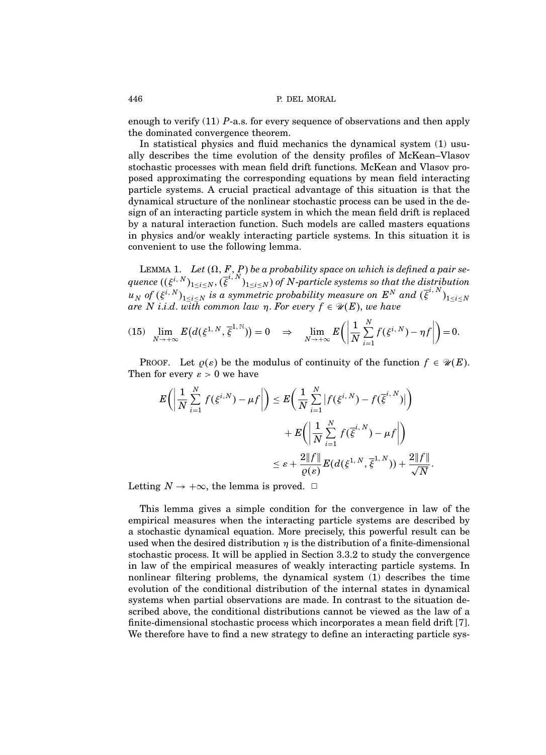enough to verify  $(11)$  P-a.s. for every sequence of observations and then apply the dominated convergence theorem.

In statistical physics and fluid mechanics the dynamical system (1) usually describes the time evolution of the density profiles of McKean–Vlasov stochastic processes with mean field drift functions. McKean and Vlasov proposed approximating the corresponding equations by mean field interacting particle systems. A crucial practical advantage of this situation is that the dynamical structure of the nonlinear stochastic process can be used in the design of an interacting particle system in which the mean field drift is replaced by a natural interaction function. Such models are called masters equations in physics and/or weakly interacting particle systems. In this situation it is convenient to use the following lemma.

LEMMA 1. Let  $(\Omega,$   $\mathop{F}\limits_{i},$   $\mathop{P}\limits_{N})$  be a probability space on which is defined a pair sequence  $((\xi^{i,N})_{1\leq i\leq N},(\overline{\xi}^{i,N})_{1\leq i\leq N})$  of N-particle systems so that the distribution  $u_N$  of  $(\xi^{i,N})_{1\leq i\leq N}$  is a symmetric probability measure on  $E^N$  and  $(\overline{\xi}^{i,N})_{1\leq i\leq N}$ are N i.i.d. with common law  $\eta$ . For every  $f \in \mathcal{U}(E)$ , we have

(15) 
$$
\lim_{N \to +\infty} E\big(d(\xi^{1,N}, \overline{\xi}^{1,N})\big) = 0 \quad \Rightarrow \quad \lim_{N \to +\infty} E\bigg(\bigg|\frac{1}{N}\sum_{i=1}^N f(\xi^{i,N}) - \eta f\bigg|\bigg) = 0.
$$

PROOF. Let  $\rho(\varepsilon)$  be the modulus of continuity of the function  $f \in \mathcal{U}(E)$ . Then for every  $\varepsilon > 0$  we have

$$
E\left(\left|\frac{1}{N}\sum_{i=1}^{N}f(\xi^{i,N})-\mu f\right|\right) \leq E\left(\frac{1}{N}\sum_{i=1}^{N}\left|f(\xi^{i,N})-f(\overline{\xi}^{i,N})\right|\right) + E\left(\left|\frac{1}{N}\sum_{i=1}^{N}f(\overline{\xi}^{i,N})-\mu f\right|\right) \leq \varepsilon + \frac{2\|f\|}{\varrho(\varepsilon)}E(d(\xi^{1,N},\overline{\xi}^{1,N})) + \frac{2\|f\|}{\sqrt{N}}.
$$

Letting  $N \to +\infty$ , the lemma is proved.  $\Box$ 

This lemma gives a simple condition for the convergence in law of the empirical measures when the interacting particle systems are described by a stochastic dynamical equation. More precisely, this powerful result can be used when the desired distribution  $\eta$  is the distribution of a finite-dimensional stochastic process. It will be applied in Section 3.3.2 to study the convergence in law of the empirical measures of weakly interacting particle systems. In nonlinear filtering problems, the dynamical system (1) describes the time evolution of the conditional distribution of the internal states in dynamical systems when partial observations are made. In contrast to the situation described above, the conditional distributions cannot be viewed as the law of a finite-dimensional stochastic process which incorporates a mean field drift [7]. We therefore have to find a new strategy to define an interacting particle sys-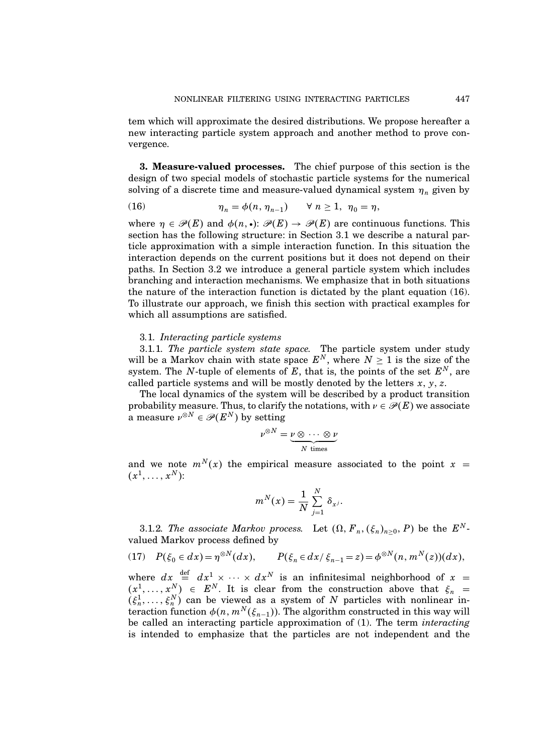tem which will approximate the desired distributions. We propose hereafter a new interacting particle system approach and another method to prove convergence.

3. Measure-valued processes. The chief purpose of this section is the design of two special models of stochastic particle systems for the numerical solving of a discrete time and measure-valued dynamical system  $\eta_n$  given by

(16) 
$$
\eta_n = \phi(n, \eta_{n-1}) \quad \forall n \ge 1, \ \eta_0 = \eta,
$$

where  $\eta \in \mathcal{P}(E)$  and  $\phi(n, \cdot): \mathcal{P}(E) \to \mathcal{P}(E)$  are continuous functions. This section has the following structure: in Section 3.1 we describe a natural particle approximation with a simple interaction function. In this situation the interaction depends on the current positions but it does not depend on their paths. In Section 3.2 we introduce a general particle system which includes branching and interaction mechanisms. We emphasize that in both situations the nature of the interaction function is dictated by the plant equation (16). To illustrate our approach, we finish this section with practical examples for which all assumptions are satisfied.

# 3.1. Interacting particle systems

3.1.1. The particle system state space. The particle system under study will be a Markov chain with state space  $E^N$ , where  $N \geq 1$  is the size of the system. The N-tuple of elements of E, that is, the points of the set  $E^N$ , are called particle systems and will be mostly denoted by the letters  $x, y, z$ .

The local dynamics of the system will be described by a product transition probability measure. Thus, to clarify the notations, with  $\nu \in \mathcal{P}(E)$  we associate a measure  $\nu^{\otimes N} \in \mathscr{P}(E^N)$  by setting

$$
\nu^{\otimes N} = \underbrace{\nu \otimes \cdots \otimes \nu}_{N \text{ times}}
$$

and we note  $m^N(x)$  the empirical measure associated to the point  $x =$  $(x^1,\ldots,x^N)$ :

$$
m^N(x) = \frac{1}{N} \sum_{j=1}^N \delta_{x^j}.
$$

3.1.2. The associate Markov process. Let  $(\Omega, F_n, (\xi_n)_{n \geq 0}, P)$  be the  $E^N$ valued Markov process defined by

(17) 
$$
P(\xi_0 \in dx) = \eta^{\otimes N}(dx), \qquad P(\xi_n \in dx / \xi_{n-1} = z) = \phi^{\otimes N}(n, m^N(z))(dx),
$$

where  $dx = dx^1 \times dx^2 \times dx^N$  is an infinitesimal neighborhood of  $x =$  $(x^1, \ldots, x^N) \in E^N$ . It is clear from the construction above that  $\xi_n =$  $(\xi_n^1, \ldots, \xi_n^N)$  can be viewed as a system of N particles with nonlinear interaction function  $\phi(n, m^N(\xi_{n-1}))$ . The algorithm constructed in this way will be called an interacting particle approximation of (1). The term interacting is intended to emphasize that the particles are not independent and the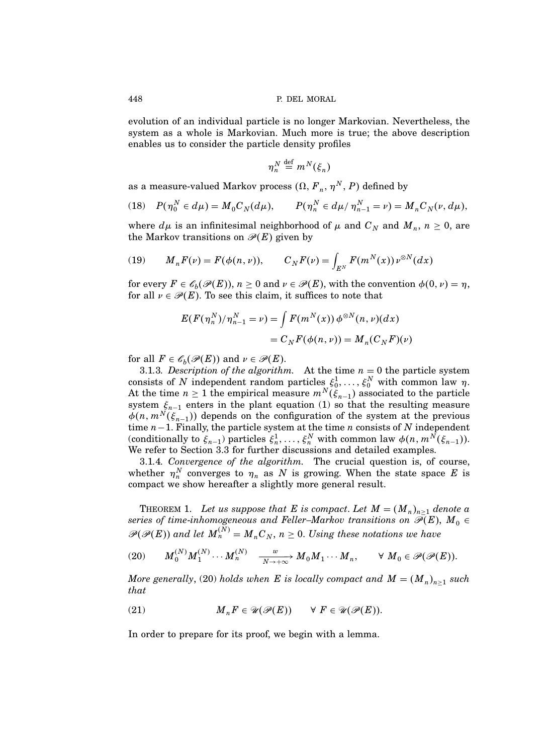evolution of an individual particle is no longer Markovian. Nevertheless, the system as a whole is Markovian. Much more is true; the above description enables us to consider the particle density profiles

$$
\eta_n^N \stackrel{\text{def}}{=} m^N(\xi_n)
$$

as a measure-valued Markov process  $(\Omega, F_n, \eta^N, P)$  defined by

(18) 
$$
P(\eta_0^N \in d\mu) = M_0 C_N(d\mu), \qquad P(\eta_n^N \in d\mu / \eta_{n-1}^N = \nu) = M_n C_N(\nu, d\mu),
$$

where  $d\mu$  is an infinitesimal neighborhood of  $\mu$  and  $C_N$  and  $M_n$ ,  $n \geq 0$ , are the Markov transitions on  $\mathcal{P}(E)$  given by

(19) 
$$
M_n F(\nu) = F(\phi(n, \nu)), \qquad C_N F(\nu) = \int_{E^N} F(m^N(x)) \nu^{\otimes N}(dx)
$$

for every  $F \in \mathscr{C}_b(\mathscr{P}(E))$ ,  $n \geq 0$  and  $\nu \in \mathscr{P}(E)$ , with the convention  $\phi(0, \nu) = \eta$ , for all  $\nu \in \mathcal{P}(E)$ . To see this claim, it suffices to note that

$$
E(F(\eta_n^N)/\eta_{n-1}^N = \nu) = \int F(m^N(x)) \phi^{\otimes N}(n, \nu)(dx)
$$
  
= 
$$
C_N F(\phi(n, \nu)) = M_n(C_N F)(\nu)
$$

for all  $F \in \mathscr{C}_b(\mathscr{P}(E))$  and  $\nu \in \mathscr{P}(E)$ .

3.1.3. Description of the algorithm. At the time  $n = 0$  the particle system consists of N independent random particles  $\xi_0^1, \ldots, \xi_0^N$  with common law  $\eta$ . At the time  $n \geq 1$  the empirical measure  $m^N(\xi_{n-1})$  associated to the particle system  $\xi_{n-1}$  enters in the plant equation (1) so that the resulting measure  $\phi(n, m^N(\xi_{n-1}))$  depends on the configuration of the system at the previous time  $n-1$ . Finally, the particle system at the time n consists of N independent (conditionally to  $\xi_{n-1}$ ) particles  $\xi_n^1, \ldots, \xi_n^N$  with common law  $\phi(n, m^N(\xi_{n-1}))$ . We refer to Section 3.3 for further discussions and detailed examples.

3.1.4. Convergence of the algorithm. The crucial question is, of course, whether  $\eta_n^N$  converges to  $\eta_n$  as N is growing. When the state space E is compact we show hereafter a slightly more general result.

THEOREM 1. Let us suppose that E is compact. Let  $M = (M_n)_{n \geq 1}$  denote a series of time-inhomogeneous and Feller–Markov transitions on  $\mathscr{P}(E), \ M_0 \in$  $\mathscr{P}(\mathscr{P}(E))$  and let  $M_n^{(N)} = M_n C_N$ ,  $n \geq 0$ . Using these notations we have

(20) 
$$
M_0^{(N)}M_1^{(N)}\cdots M_n^{(N)} \xrightarrow[N\to+\infty]{w} M_0M_1\cdots M_n, \qquad \forall M_0 \in \mathscr{P}(\mathscr{P}(E)).
$$

More generally, (20) holds when  $E$  is locally compact and  $M = (M_n)_{n \geq 1}$  such that

(21) 
$$
M_n F \in \mathcal{U}(\mathcal{P}(E)) \quad \forall F \in \mathcal{U}(\mathcal{P}(E)).
$$

In order to prepare for its proof, we begin with a lemma.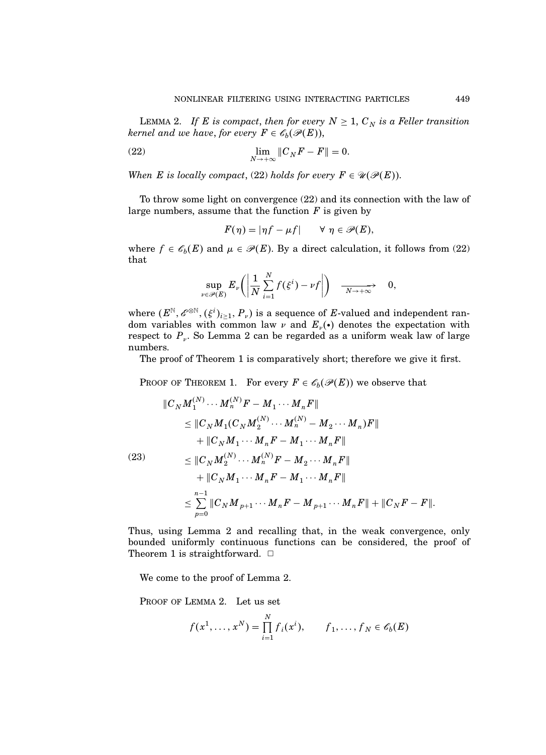LEMMA 2. If E is compact, then for every  $N \geq 1$ ,  $C_N$  is a Feller transition kernel and we have, for every  $F \in \mathscr{C}_b(\mathscr{P}(E)),$ 

(22) 
$$
\lim_{N \to +\infty} \|C_N F - F\| = 0.
$$

When E is locally compact, (22) holds for every  $F \in \mathcal{U}(\mathcal{P}(E))$ .

To throw some light on convergence (22) and its connection with the law of large numbers, assume that the function  $F$  is given by

$$
F(\eta) = |\eta f - \mu f| \qquad \forall \ \eta \in \mathscr{P}(E),
$$

where  $f \in \mathscr{C}_b(E)$  and  $\mu \in \mathscr{P}(E)$ . By a direct calculation, it follows from (22) that

$$
\sup_{\nu \in \mathscr{P}(E)} E_{\nu} \bigg( \bigg| \frac{1}{N} \sum_{i=1}^{N} f(\xi^{i}) - \nu f \bigg| \bigg) \quad \xrightarrow[N \to +\infty]{} 0,
$$

where  $(E^{\mathbb{N}}, \mathscr{E}^{\otimes \mathbb{N}}, (\xi^i)_{i \geq 1}, P_{\nu})$  is a sequence of E-valued and independent random variables with common law  $\nu$  and  $E_{\nu}(\cdot)$  denotes the expectation with respect to  $P_v$ . So Lemma 2 can be regarded as a uniform weak law of large numbers.

The proof of Theorem 1 is comparatively short; therefore we give it first.

PROOF OF THEOREM 1. For every  $F \in \mathscr{E}_b(\mathscr{P}(E))$  we observe that

$$
\|C_N M_1^{(N)} \cdots M_n^{(N)} F - M_1 \cdots M_n F\|
$$
  
\n
$$
\leq \|C_N M_1 (C_N M_2^{(N)} \cdots M_n^{(N)} - M_2 \cdots M_n) F\|
$$
  
\n
$$
+ \|C_N M_1 \cdots M_n F - M_1 \cdots M_n F\|
$$
  
\n(23)  
\n
$$
\leq \|C_N M_2^{(N)} \cdots M_n^{(N)} F - M_2 \cdots M_n F\|
$$
  
\n
$$
+ \|C_N M_1 \cdots M_n F - M_1 \cdots M_n F\|
$$
  
\n
$$
\leq \sum_{p=0}^{n-1} \|C_N M_{p+1} \cdots M_n F - M_{p+1} \cdots M_n F\| + \|C_N F - F\|.
$$

Thus, using Lemma 2 and recalling that, in the weak convergence, only bounded uniformly continuous functions can be considered, the proof of Theorem 1 is straightforward.  $\Box$ 

We come to the proof of Lemma 2.

PROOF OF LEMMA 2. Let us set

$$
f(x^1, ..., x^N) = \prod_{i=1}^N f_i(x^i), \qquad f_1, ..., f_N \in \mathscr{E}_b(E)
$$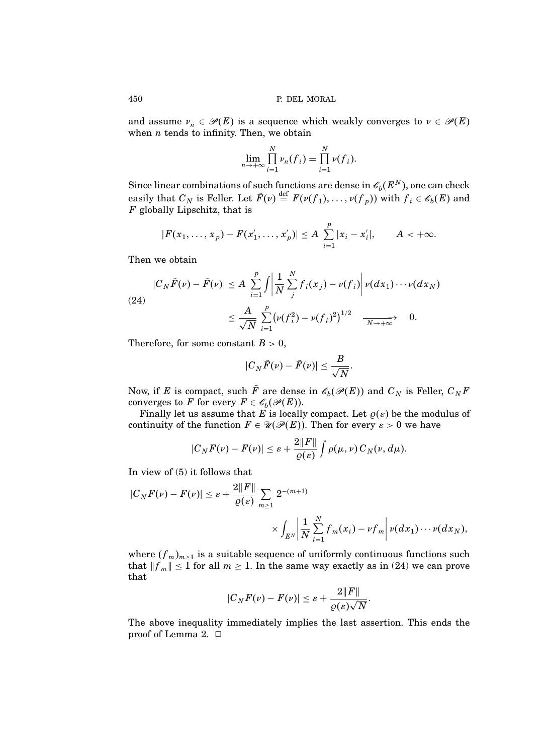and assume  $\nu_n \in \mathcal{P}(E)$  is a sequence which weakly converges to  $\nu \in \mathcal{P}(E)$ when  $n$  tends to infinity. Then, we obtain

$$
\lim_{n\to+\infty}\prod_{i=1}^N\nu_n(f_i)=\prod_{i=1}^N\nu(f_i).
$$

Since linear combinations of such functions are dense in  $\mathscr{C}_b(E^N)$ , one can check easily that  $C_N$  is Feller. Let  $\tilde{F}(\nu) \stackrel{\text{def}}{=} F(\nu(f_1), \dots, \nu(f_p))$  with  $f_i \in \mathscr{E}_b(E)$  and  $F$  globally Lipschitz, that is

$$
|F(x_1,\ldots,x_p)-F(x'_1,\ldots,x'_p)|\leq A\sum_{i=1}^p|x_i-x'_i|,\qquad A<+\infty.
$$

Then we obtain

(24)  
\n
$$
|C_N \tilde{F}(\nu) - \tilde{F}(\nu)| \le A \sum_{i=1}^p \int \left| \frac{1}{N} \sum_{j}^N f_i(x_j) - \nu(f_i) \right| \nu(dx_1) \cdots \nu(dx_N)
$$
\n
$$
\le \frac{A}{\sqrt{N}} \sum_{i=1}^p \left( \nu(f_i^2) - \nu(f_i)^2 \right)^{1/2} \xrightarrow[N \to +\infty]{} 0.
$$

Therefore, for some constant  $B > 0$ ,

$$
|C_N \tilde{F}(\nu) - \tilde{F}(\nu)| \leq \frac{B}{\sqrt{N}}.
$$

Now, if E is compact, such F are dense in  $\mathscr{E}_b(\mathscr{P}(E))$  and  $C_N$  is Feller,  $C_NF$ converges to F for every  $F \in \mathscr{C}_b(\mathscr{P}(E))$ .

Finally let us assume that E is locally compact. Let  $\rho(\varepsilon)$  be the modulus of continuity of the function  $F \in \mathcal{U}(\mathcal{P}(E))$ . Then for every  $\varepsilon > 0$  we have

$$
|C_N F(\nu) - F(\nu)| \leq \varepsilon + \frac{2\|F\|}{\varrho(\varepsilon)} \int \rho(\mu, \nu) C_N(\nu, d\mu).
$$

In view of (5) it follows that

$$
\begin{aligned} |C_N F(\nu) - F(\nu)| &\leq \varepsilon + \frac{2\|F\|}{\varrho(\varepsilon)} \sum_{m \geq 1} 2^{-(m+1)} \\ &\times \int_{E^N} \left| \frac{1}{N} \sum_{i=1}^N f_m(x_i) - \nu f_m \right| \nu(dx_1) \cdots \nu(dx_N), \end{aligned}
$$

where  $(f_m)_{m\geq 1}$  is a suitable sequence of uniformly continuous functions such that  $||f_m|| \le 1$  for all  $m \ge 1$ . In the same way exactly as in (24) we can prove that

$$
|C_N F(\nu) - F(\nu)| \leq \varepsilon + \frac{2\|F\|}{\varrho(\varepsilon)\sqrt{N}}.
$$

The above inequality immediately implies the last assertion. This ends the proof of Lemma 2.  $\Box$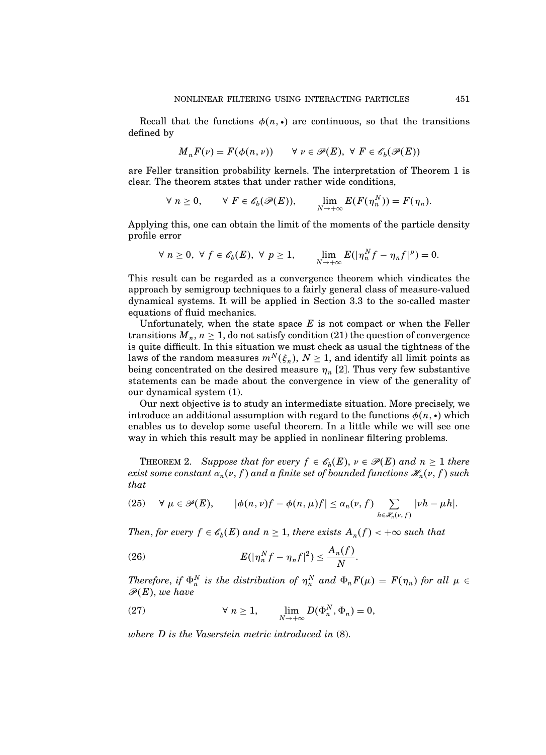Recall that the functions  $\phi(n, \cdot)$  are continuous, so that the transitions defined by

$$
M_n F(\nu) = F(\phi(n, \nu)) \qquad \forall \ \nu \in \mathscr{P}(E), \ \forall \ F \in \mathscr{E}_b(\mathscr{P}(E))
$$

are Feller transition probability kernels. The interpretation of Theorem 1 is clear. The theorem states that under rather wide conditions,

$$
\forall n \geq 0, \qquad \forall F \in \mathscr{E}_b(\mathscr{P}(E)), \qquad \lim_{N \to +\infty} E(F(\eta_n^N)) = F(\eta_n).
$$

Applying this, one can obtain the limit of the moments of the particle density profile error

$$
\forall n \geq 0, \ \forall f \in \mathscr{C}_b(E), \ \forall p \geq 1, \qquad \lim_{N \to +\infty} E(|\eta_n^N f - \eta_n f|^p) = 0.
$$

This result can be regarded as a convergence theorem which vindicates the approach by semigroup techniques to a fairly general class of measure-valued dynamical systems. It will be applied in Section 3.3 to the so-called master equations of fluid mechanics.

Unfortunately, when the state space  $E$  is not compact or when the Feller transitions  $M_n$ ,  $n \geq 1$ , do not satisfy condition (21) the question of convergence is quite difficult. In this situation we must check as usual the tightness of the laws of the random measures  $m^N(\xi_n)$ ,  $N \ge 1$ , and identify all limit points as being concentrated on the desired measure  $\eta_n$  [2]. Thus very few substantive statements can be made about the convergence in view of the generality of our dynamical system (1).

Our next objective is to study an intermediate situation. More precisely, we introduce an additional assumption with regard to the functions  $\phi(n, \cdot)$  which enables us to develop some useful theorem. In a little while we will see one way in which this result may be applied in nonlinear filtering problems.

**THEOREM 2.** Suppose that for every  $f \in \mathscr{C}_b(E)$ ,  $\nu \in \mathscr{P}(E)$  and  $n \geq 1$  there exist some constant  $\alpha_n(\nu,f)$  and a finite set of bounded functions  $\mathscr{H}_n(\nu,f)$  such that

(25) 
$$
\forall \mu \in \mathscr{P}(E), \qquad |\phi(n,\nu)f - \phi(n,\mu)f| \leq \alpha_n(\nu,f) \sum_{h \in \mathscr{H}_n(\nu,f)} |\nu h - \mu h|.
$$

Then, for every  $f \in \mathscr{C}_b(E)$  and  $n \geq 1$ , there exists  $A_n(f) < +\infty$  such that

$$
(26) \t E(|\eta_n^N f - \eta_n f|^2) \leq \frac{A_n(f)}{N}.
$$

Therefore, if  $\Phi_n^N$  is the distribution of  $\eta_n^N$  and  $\Phi_n F(\mu) = F(\eta_n)$  for all  $\mu \in$  $\mathscr{P}(E)$ , we have

(27) 
$$
\forall n \geq 1, \qquad \lim_{N \to +\infty} D(\Phi_n^N, \Phi_n) = 0,
$$

where D is the Vaserstein metric introduced in (8).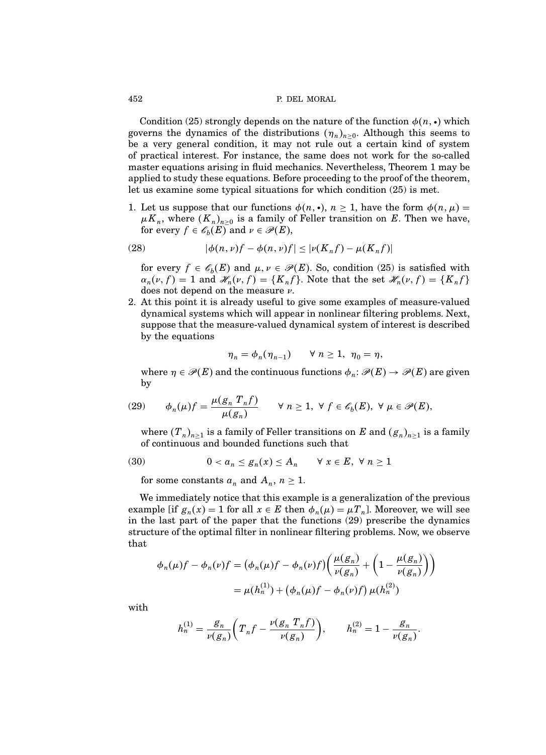Condition (25) strongly depends on the nature of the function  $\phi(n, \cdot)$  which governs the dynamics of the distributions  $(\eta_n)_{n\geq 0}$ . Although this seems to be a very general condition, it may not rule out a certain kind of system of practical interest. For instance, the same does not work for the so-called master equations arising in fluid mechanics. Nevertheless, Theorem 1 may be applied to study these equations. Before proceeding to the proof of the theorem, let us examine some typical situations for which condition (25) is met.

1. Let us suppose that our functions  $\phi(n, \cdot), n \geq 1$ , have the form  $\phi(n, \mu) =$  $\mu K_n$ , where  $(K_n)_{n\geq 0}$  is a family of Feller transition on E. Then we have, for every  $f \in \mathscr{C}_b(E)$  and  $\nu \in \mathscr{P}(E)$ ,

(28) 
$$
|\phi(n,\nu)f - \phi(n,\nu)f| \leq |\nu(K_nf) - \mu(K_nf)|
$$

for every  $f \in \mathscr{C}_b(E)$  and  $\mu, \nu \in \mathscr{P}(E)$ . So, condition (25) is satisfied with  $\alpha_n(\nu, f) = 1$  and  $\mathscr{H}_n(\nu, f) = \{K_n f\}$ . Note that the set  $\mathscr{H}_n(\nu, f) = \{K_n f\}$ does not depend on the measure  $\nu$ .

2. At this point it is already useful to give some examples of measure-valued dynamical systems which will appear in nonlinear filtering problems. Next, suppose that the measure-valued dynamical system of interest is described by the equations

$$
\eta_n = \phi_n(\eta_{n-1}) \qquad \forall \ n \ge 1, \ \eta_0 = \eta,
$$

where  $\eta \in \mathscr{P}(E)$  and the continuous functions  $\phi_n \colon \mathscr{P}(E) \to \mathscr{P}(E)$  are given by

(29) 
$$
\phi_n(\mu)f = \frac{\mu(g_n T_n f)}{\mu(g_n)} \quad \forall n \ge 1, \forall f \in \mathscr{E}_b(E), \forall \mu \in \mathscr{P}(E),
$$

where  $(T_n)_{n\geq 1}$  is a family of Feller transitions on E and  $(g_n)_{n\geq 1}$  is a family of continuous and bounded functions such that

(30) 
$$
0 < a_n \leq g_n(x) \leq A_n \quad \forall x \in E, \forall n \geq 1
$$

for some constants  $a_n$  and  $A_n$ ,  $n \geq 1$ .

We immediately notice that this example is a generalization of the previous example [if  $g_n(x) = 1$  for all  $x \in E$  then  $\phi_n(\mu) = \mu T_n$ ]. Moreover, we will see in the last part of the paper that the functions (29) prescribe the dynamics structure of the optimal filter in nonlinear filtering problems. Now, we observe that

$$
\phi_n(\mu)f - \phi_n(\nu)f = \left(\phi_n(\mu)f - \phi_n(\nu)f\right)\left(\frac{\mu(g_n)}{\nu(g_n)} + \left(1 - \frac{\mu(g_n)}{\nu(g_n)}\right)\right)
$$

$$
= \mu(h_n^{(1)}) + \left(\phi_n(\mu)f - \phi_n(\nu)f\right)\mu(h_n^{(2)})
$$

with

$$
h_n^{(1)} = \frac{g_n}{\nu(g_n)} \bigg( T_n f - \frac{\nu(g_n \ T_n f)}{\nu(g_n)} \bigg), \qquad h_n^{(2)} = 1 - \frac{g_n}{\nu(g_n)}.
$$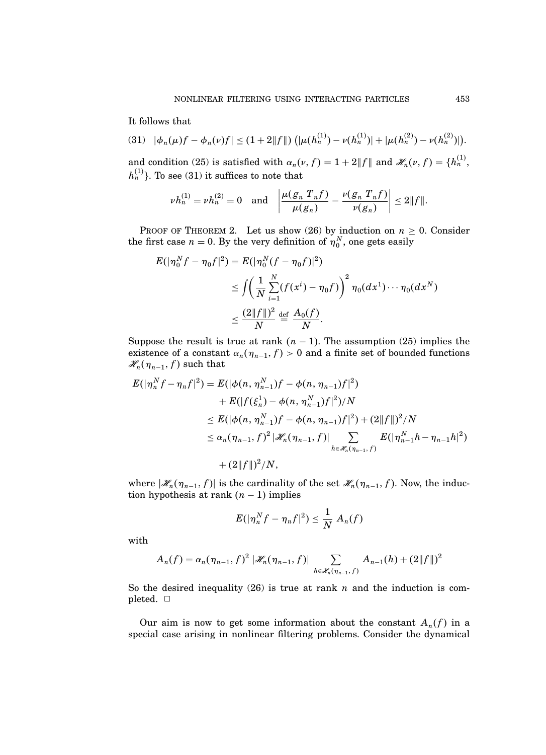It follows that

N

$$
(31) \quad |\phi_n(\mu)f - \phi_n(\nu)f| \leq (1+2||f||) \left( |\mu(h_n^{(1)}) - \nu(h_n^{(1)})| + |\mu(h_n^{(2)}) - \nu(h_n^{(2)})| \right).
$$

and condition (25) is satisfied with  $\alpha_n(\nu, f) = 1 + 2||f||$  and  $\mathcal{H}_n(\nu, f) = \{h_n^{(1)},$  $h_n^{(1)}$ }. To see (31) it suffices to note that

$$
\nu h_n^{(1)} = \nu h_n^{(2)} = 0 \quad \text{and} \quad \left| \frac{\mu(g_n \ T_n f)}{\mu(g_n)} - \frac{\nu(g_n \ T_n f)}{\nu(g_n)} \right| \le 2 \| f \|.
$$

PROOF OF THEOREM 2. Let us show (26) by induction on  $n \geq 0$ . Consider the first case  $n = 0$ . By the very definition of  $\eta_0^N$ , one gets easily

N

$$
E(|\eta_0^N f - \eta_0 f|^2) = E(|\eta_0^N (f - \eta_0 f)|^2)
$$
  
\n
$$
\leq \int \left(\frac{1}{N} \sum_{i=1}^N (f(x^i) - \eta_0 f)\right)^2 \eta_0(dx^1) \cdots \eta_0(dx^N)
$$
  
\n
$$
\leq \frac{(2||f||)^2}{N} \stackrel{\text{def}}{=} \frac{A_0(f)}{N}.
$$

Suppose the result is true at rank  $(n - 1)$ . The assumption (25) implies the existence of a constant  $\alpha_n(\eta_{n-1}, f) > 0$  and a finite set of bounded functions  $\mathscr{H}_n(\eta_{n-1},f)$  such that

$$
E(|\eta_n^N f - \eta_n f|^2) = E(|\phi(n, \eta_{n-1}^N) f - \phi(n, \eta_{n-1}) f|^2)
$$
  
+ 
$$
E(|f(\xi_n^1) - \phi(n, \eta_{n-1}^N) f|^2)/N
$$
  

$$
\leq E(|\phi(n, \eta_{n-1}^N) f - \phi(n, \eta_{n-1}) f|^2) + (2||f||)^2/N
$$
  

$$
\leq \alpha_n (\eta_{n-1}, f)^2 |\mathscr{H}_n(\eta_{n-1}, f)| \sum_{h \in \mathscr{H}_n(\eta_{n-1}, f)} E(|\eta_{n-1}^N h - \eta_{n-1} h|^2)
$$
  
+ 
$$
(2||f||)^2/N,
$$

where  $|\mathcal{H}_n(\eta_{n-1}, f)|$  is the cardinality of the set  $\mathcal{H}_n(\eta_{n-1}, f)$ . Now, the induction hypothesis at rank  $(n - 1)$  implies

$$
E(|\eta_n^N f - \eta_n f|^2) \leq \frac{1}{N} A_n(f)
$$

with

$$
A_n(f) = \alpha_n(\eta_{n-1}, f)^2 |\mathscr{H}_n(\eta_{n-1}, f)| \sum_{h \in \mathscr{H}_n(\eta_{n-1}, f)} A_{n-1}(h) + (2||f||)^2
$$

So the desired inequality (26) is true at rank n and the induction is completed.  $\square$ 

Our aim is now to get some information about the constant  $A_n(f)$  in a special case arising in nonlinear filtering problems. Consider the dynamical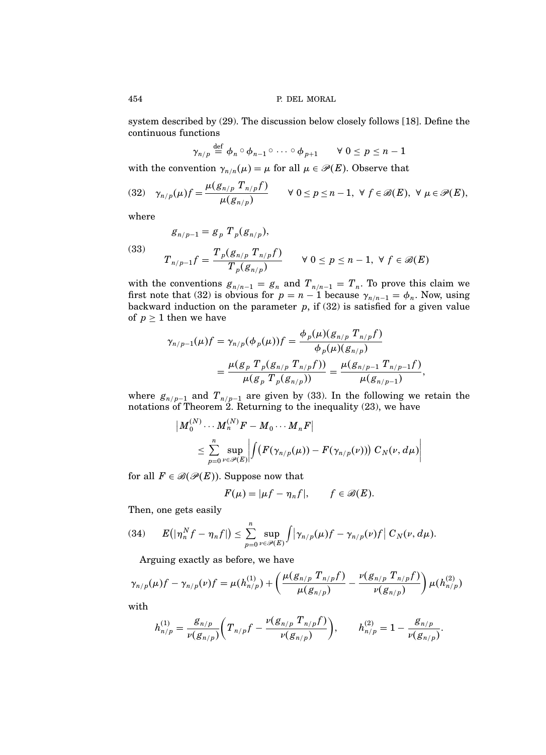system described by (29). The discussion below closely follows [18]. Define the continuous functions

$$
\gamma_{n/p} \stackrel{\text{def}}{=} \phi_n \circ \phi_{n-1} \circ \cdots \circ \phi_{p+1} \qquad \forall \ 0 \leq p \leq n-1
$$

with the convention  $\gamma_{n/n}(\mu) = \mu$  for all  $\mu \in \mathcal{P}(E)$ . Observe that

$$
(32) \quad \gamma_{n/p}(\mu)f = \frac{\mu(g_{n/p} T_{n/p}f)}{\mu(g_{n/p})} \qquad \forall \ 0 \leq p \leq n-1, \ \forall \ f \in \mathscr{B}(E), \ \forall \ \mu \in \mathscr{P}(E),
$$

where

$$
g_{n/p-1}=g_p T_p(g_{n/p}),
$$

(33) 
$$
T_{n/p-1}f = \frac{T_p(g_{n/p} T_{n/p}f)}{T_p(g_{n/p})} \quad \forall 0 \le p \le n-1, \forall f \in \mathcal{B}(E)
$$

with the conventions  $g_{n/n-1} = g_n$  and  $T_{n/n-1} = T_n$ . To prove this claim we first note that (32) is obvious for  $p = n - 1$  because  $\gamma_{n/n-1} = \phi_n$ . Now, using backward induction on the parameter  $p$ , if (32) is satisfied for a given value of  $p \geq 1$  then we have

$$
\gamma_{n/p-1}(\mu)f = \gamma_{n/p}(\phi_p(\mu))f = \frac{\phi_p(\mu)(g_{n/p} T_{n/p}f)}{\phi_p(\mu)(g_{n/p})}
$$
  
= 
$$
\frac{\mu(g_p T_p(g_{n/p} T_{n/p}f))}{\mu(g_p T_p(g_{n/p}))} = \frac{\mu(g_{n/p-1} T_{n/p-1}f)}{\mu(g_{n/p-1})},
$$

where  $g_{n/p-1}$  and  $T_{n/p-1}$  are given by (33). In the following we retain the notations of Theorem 2. Returning to the inequality (23), we have

$$
\begin{aligned} \left| M_0^{(N)}\cdots M_n^{(N)} F - M_0\cdots M_n F \right| \\ & \leq \sum_{p=0}^n \sup_{\nu\in\mathscr{P}(E)} \left| \int (F(\gamma_{n/p}(\mu)) - F(\gamma_{n/p}(\nu))) \; C_N(\nu, d\mu) \right| \end{aligned}
$$

for all  $F \in \mathcal{B}(\mathcal{P}(E))$ . Suppose now that

$$
F(\mu) = |\mu f - \eta_n f|, \qquad f \in \mathscr{B}(E).
$$

Then, one gets easily

 $\begin{array}{c} \end{array}$ 

(34) 
$$
E(|\eta_n^N f - \eta_n f|) \leq \sum_{p=0}^n \sup_{\nu \in \mathscr{P}(E)} \int \left|\gamma_{n/p}(\mu)f - \gamma_{n/p}(\nu)f\right| C_N(\nu, d\mu).
$$

Arguing exactly as before, we have

$$
\gamma_{n/p}(\mu)f - \gamma_{n/p}(\nu)f = \mu(h_{n/p}^{(1)}) + \left(\frac{\mu(g_{n/p} T_{n/p}f)}{\mu(g_{n/p})} - \frac{\nu(g_{n/p} T_{n/p}f)}{\nu(g_{n/p})}\right)\mu(h_{n/p}^{(2)})
$$

with

$$
h_{n/p}^{(1)}=\frac{{\mathcal S}_{n/p}}{\nu({\mathcal S}_{n/p})}\bigg(T_{n/p}f-\frac{\nu({\mathcal S}_{n/p}\;{T}_{n/p}f)}{\nu({\mathcal S}_{n/p})}\bigg),\qquad h_{n/p}^{(2)}=1-\frac{{\mathcal S}_{n/p}}{\nu({\mathcal S}_{n/p})}.
$$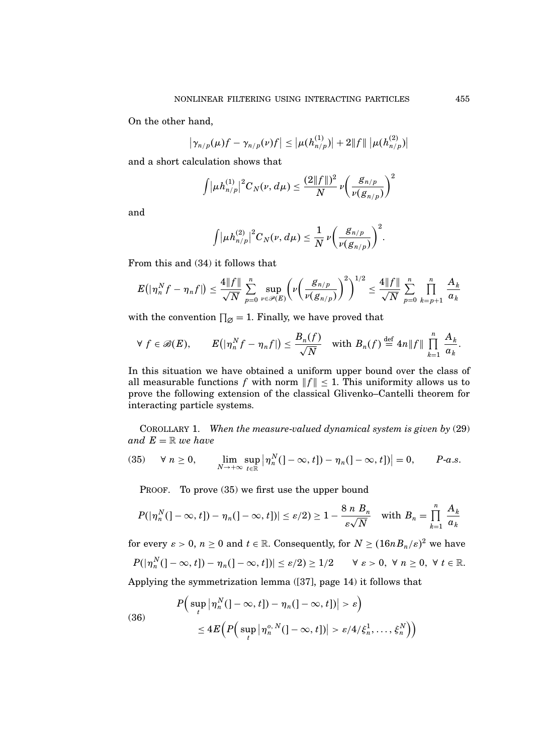On the other hand,

$$
\left|\gamma_{n/p}(\mu)f-\gamma_{n/p}(\nu)f\right|\leq \left|\mu(h_{n/p}^{(1)})\right|+2\|f\|\left|\mu(h_{n/p}^{(2)})\right|
$$

and a short calculation shows that

$$
\int \lvert \mu h_{n/p}^{(1)} \rvert^2 C_N(\nu, d\mu) \leq \frac{(2\lVert f \rVert)^2}{N} \nu \left( \frac{g_{n/p}}{\nu(g_{n/p})} \right)^2
$$

and

$$
\int \lvert \mu h^{(2)}_{n/p} \rvert^2 C_N(\nu,d\mu) \leq \frac{1}{N} \nu \bigg( \frac{g_{n/p}}{\nu(g_{n/p})} \bigg)^2.
$$

From this and (34) it follows that

$$
E(|\eta_n^N f - \eta_n f|) \leq \frac{4||f||}{\sqrt{N}} \sum_{p=0}^n \sup_{\nu \in \mathscr{P}(E)} \left( \nu \left( \frac{g_{n/p}}{\nu(g_{n/p})} \right)^2 \right)^{1/2} \leq \frac{4||f||}{\sqrt{N}} \sum_{p=0}^n \prod_{k=p+1}^n \frac{A_k}{a_k}
$$

with the convention  $\prod_{\emptyset} = 1$ . Finally, we have proved that

$$
\forall f \in \mathscr{B}(E), \qquad E(|\eta_n^N f - \eta_n f|) \leq \frac{B_n(f)}{\sqrt{N}} \quad \text{with } B_n(f) \stackrel{\text{def}}{=} 4n \|f\| \prod_{k=1}^n \frac{A_k}{a_k}.
$$

In this situation we have obtained a uniform upper bound over the class of all measurable functions f with norm  $||f|| \leq 1$ . This uniformity allows us to prove the following extension of the classical Glivenko–Cantelli theorem for interacting particle systems.

COROLLARY 1. When the measure-valued dynamical system is given by (29) and  $E = \mathbb{R}$  we have

(35) 
$$
\forall n \ge 0
$$
,  $\lim_{N \to +\infty} \sup_{t \in \mathbb{R}} |\eta_n^N (]-\infty, t]) - \eta_n (]-\infty, t])|=0$ ,  $P-a.s$ .

PROOF. To prove (35) we first use the upper bound

$$
P(|\eta_n^N(-\infty, t]) - \eta_n(]-\infty, t])| \leq \varepsilon/2) \geq 1 - \frac{8 n B_n}{\varepsilon \sqrt{N}} \quad \text{with } B_n = \prod_{k=1}^n \frac{A_k}{a_k}
$$

for every  $\varepsilon > 0$ ,  $n \ge 0$  and  $t \in \mathbb{R}$ . Consequently, for  $N \ge (16nB_n/\varepsilon)^2$  we have  $\begin{pmatrix} 1 & 0 \\ 1 & 1 \end{pmatrix}$  +  $\begin{pmatrix} 1 & 0 \\ 0 & 1 \end{pmatrix}$  +  $\begin{pmatrix} 0 & 1 \\ 0 & 1 \end{pmatrix}$ 

$$
P(|\eta_n^N(-\infty,t])-\eta_n(-\infty,t])|\leq \varepsilon/2)\geq 1/2 \qquad \forall \varepsilon>0, \forall n\geq 0, \forall t\in\mathbb{R}.
$$

Applying the symmetrization lemma ([37], page 14) it follows that

(36)  

$$
P\Big(\sup_t |\eta_n^N(]-\infty,t]) - \eta_n(]-\infty,t])| > \varepsilon\Big)
$$

$$
\leq 4E\Big(P\Big(\sup_t |\eta_n^{o,N}(]-\infty,t])| > \varepsilon/4/\xi_n^1,\ldots,\xi_n^N\Big)\Big)
$$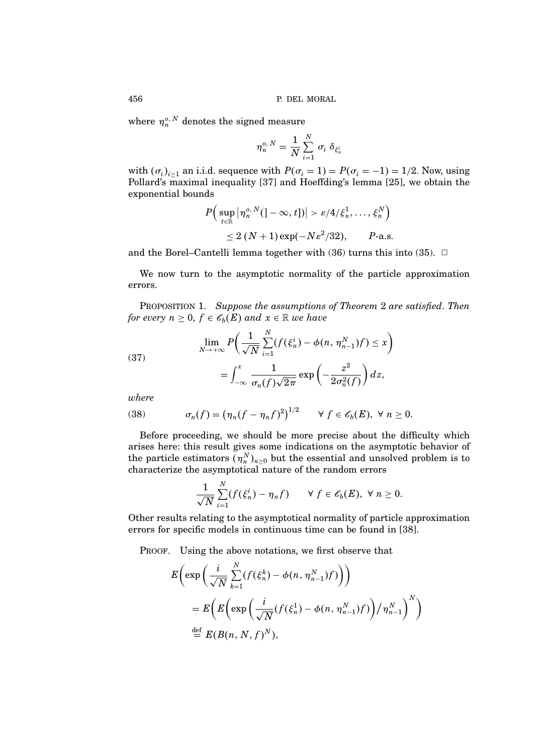where  $\eta_n^{o,\,N}$  denotes the signed measure

$$
\eta_n^{o,\,N}=\frac{1}{N}\sum_{i=1}^N\,\sigma_i\;\delta_{\xi_n^i}
$$

with  $(\sigma_i)_{i\geq 1}$  an i.i.d. sequence with  $P(\sigma_i = 1) = P(\sigma_i = -1) = 1/2$ . Now, using Pollard's maximal inequality [37] and Hoeffding's lemma [25], we obtain the exponential bounds

$$
P\Big(\sup_{t\in\mathbb{R}}\big|\eta_n^{o,\,N}(\cdot\!-\infty,t\,]\big|>\varepsilon/4/\xi_n^1,\ldots,\,\xi_n^N\Big)\Big|
$$
  
\$\leq 2\,(N+1)\exp(-N\varepsilon^2/32)\$, P-a.s.

and the Borel–Cantelli lemma together with  $(36)$  turns this into  $(35)$ .  $\Box$ 

We now turn to the asymptotic normality of the particle approximation errors.

PROPOSITION 1. Suppose the assumptions of Theorem 2 are satisfied. Then for every  $n \geq 0$ ,  $f \in \mathscr{C}_b(E)$  and  $x \in \mathbb{R}$  we have

(37)  

$$
\lim_{N \to +\infty} P\left(\frac{1}{\sqrt{N}} \sum_{i=1}^{N} (f(\xi_n^i) - \phi(n, \eta_{n-1}^N) f) \leq x\right)
$$

$$
= \int_{-\infty}^{x} \frac{1}{\sigma_n(f)\sqrt{2\pi}} \exp\left(-\frac{z^2}{2\sigma_n^2(f)}\right) dz,
$$

where

(38) 
$$
\sigma_n(f) = \left(\eta_n(f - \eta_n f)^2\right)^{1/2} \quad \forall \ f \in \mathscr{E}_b(E), \ \forall \ n \ge 0.
$$

Before proceeding, we should be more precise about the difficulty which arises here: this result gives some indications on the asymptotic behavior of the particle estimators  $(\eta_n^N)_{n\geq 0}$  but the essential and unsolved problem is to characterize the asymptotical nature of the random errors

$$
\frac{1}{\sqrt{N}}\sum_{i=1}^N(f(\xi_n^i)-\eta_nf)\qquad\forall\ f\in\mathscr{E}_b(E),\ \forall\ n\geq 0.
$$

Other results relating to the asymptotical normality of particle approximation errors for specific models in continuous time can be found in [38].

PROOF. Using the above notations, we first observe that

$$
E\left(\exp\left(\frac{i}{\sqrt{N}}\sum_{k=1}^{N}(f(\xi_n^k)-\phi(n,\eta_{n-1}^N)f)\right)\right)
$$
  
= 
$$
E\left(E\left(\exp\left(\frac{i}{\sqrt{N}}(f(\xi_n^1)-\phi(n,\eta_{n-1}^N)f)\right)/\eta_{n-1}^N\right)^N\right)
$$
  

$$
\stackrel{\text{def}}{=} E(B(n,N,f)^N),
$$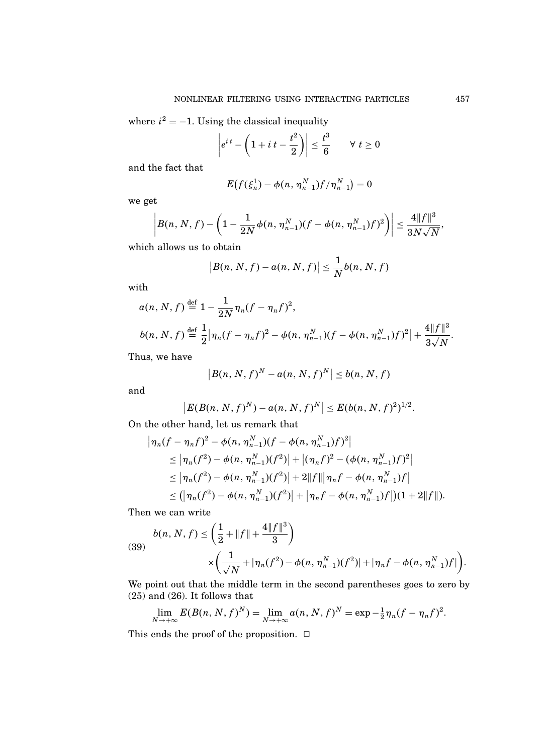where  $i^2 = -1$ . Using the classical inequality

$$
\left|e^{it} - \left(1 + i t - \frac{t^2}{2}\right)\right| \le \frac{t^3}{6} \qquad \forall \ t \ge 0
$$

and the fact that

$$
E(f(\xi_n^1) - \phi(n, \eta_{n-1}^N) f/\eta_{n-1}^N) = 0
$$

we get

$$
\left|B(n, N, f) - \left(1 - \frac{1}{2N}\phi(n, \eta_{n-1}^N)(f - \phi(n, \eta_{n-1}^N)f)^2\right)\right| \leq \frac{4||f||^3}{3N\sqrt{N}},
$$

which allows us to obtain

$$
|B(n, N, f) - a(n, N, f)| \leq \frac{1}{N}b(n, N, f)
$$

with

$$
a(n, N, f) \stackrel{\text{def}}{=} 1 - \frac{1}{2N} \eta_n (f - \eta_n f)^2,
$$
  
\n
$$
b(n, N, f) \stackrel{\text{def}}{=} \frac{1}{2} |\eta_n (f - \eta_n f)^2 - \phi(n, \eta_{n-1}^N)(f - \phi(n, \eta_{n-1}^N)f)^2| + \frac{4||f||^3}{3\sqrt{N}}.
$$

Thus, we have

$$
|B(n, N, f)^{N} - a(n, N, f)^{N}| \leq b(n, N, f)
$$

and

$$
|E(B(n, N, f)^N) - a(n, N, f)^N| \le E(b(n, N, f)^2)^{1/2}.
$$

On the other hand, let us remark that

$$
\begin{aligned}\n|\eta_n(f - \eta_n f)^2 - \phi(n, \eta_{n-1}^N)(f - \phi(n, \eta_{n-1}^N)f)^2| \\
&\leq |\eta_n(f^2) - \phi(n, \eta_{n-1}^N)(f^2)| + |(\eta_n f)^2 - (\phi(n, \eta_{n-1}^N)f)^2| \\
&\leq |\eta_n(f^2) - \phi(n, \eta_{n-1}^N)(f^2)| + 2||f|| |\eta_n f - \phi(n, \eta_{n-1}^N)f| \\
&\leq (|\eta_n(f^2) - \phi(n, \eta_{n-1}^N)(f^2)| + |\eta_n f - \phi(n, \eta_{n-1}^N)f|)(1 + 2||f||).\n\end{aligned}
$$

Then we can write

(39)  

$$
b(n, N, f) \leq \left(\frac{1}{2} + \|f\| + \frac{4\|f\|^3}{3}\right)
$$

$$
\times \left(\frac{1}{\sqrt{N}} + |\eta_n(f^2) - \phi(n, \eta_{n-1}^N)(f^2)| + |\eta_n f - \phi(n, \eta_{n-1}^N)f|\right).
$$

We point out that the middle term in the second parentheses goes to zero by (25) and (26). It follows that

$$
\lim_{N \to +\infty} E(B(n, N, f)^N) = \lim_{N \to +\infty} a(n, N, f)^N = \exp{-\frac{1}{2}\eta_n(f - \eta_n f)^2}.
$$

This ends the proof of the proposition.  $\Box$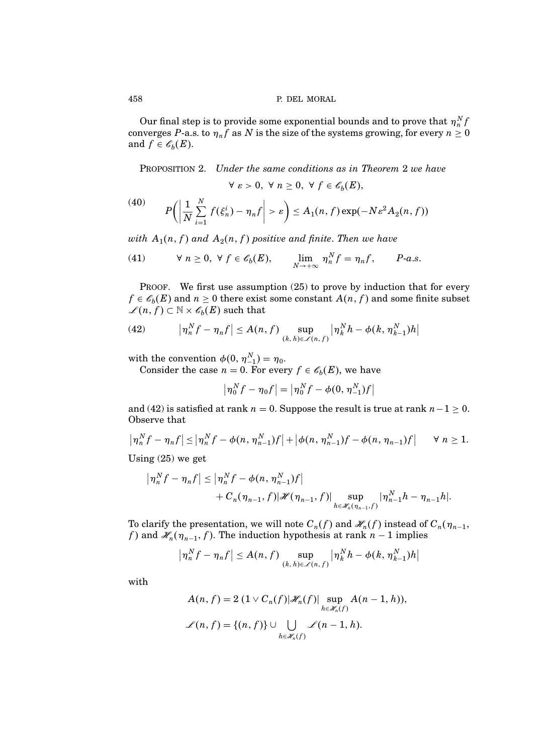Our final step is to provide some exponential bounds and to prove that  $\eta^N_n f$ converges P-a.s. to  $\eta_n f$  as N is the size of the systems growing, for every  $n \geq 0$ and  $f \in \mathscr{C}_b(E)$ .

PROPOSITION 2. Under the same conditions as in Theorem 2 we have

$$
\forall \varepsilon > 0, \ \forall \ n \geq 0, \ \forall \ f \in \mathscr{C}_b(E),
$$

$$
(40) \qquad P\bigg(\bigg|\frac{1}{N}\sum_{i=1}^N f(\xi_n^i) - \eta_n f\bigg| > \varepsilon\bigg) \le A_1(n,f) \exp(-N\varepsilon^2 A_2(n,f))
$$

with  $A_1(n,f)$  and  $A_2(n,f)$  positive and finite. Then we have

(41) 
$$
\forall n \ge 0, \forall f \in \mathscr{E}_b(E), \qquad \lim_{N \to +\infty} \eta_n^N f = \eta_n f, \qquad P-a.s.
$$

PROOF. We first use assumption  $(25)$  to prove by induction that for every  $f \in \mathscr{C}_b(E)$  and  $n \geq 0$  there exist some constant  $A(n, f)$  and some finite subset  $\mathscr{L}(n, f) \subset \mathbb{N} \times \mathscr{C}_b(E)$  such that

(42) 
$$
\left|\eta_n^N f - \eta_n f\right| \leq A(n, f) \sup_{(k, h) \in \mathcal{L}(n, f)} \left|\eta_k^N h - \phi(k, \eta_{k-1}^N) h\right|
$$

with the convention  $\phi(0, \eta_{-1}^N) = \eta_0$ .

Consider the case  $n = 0$ . For every  $f \in \mathscr{C}_b(E)$ , we have

$$
\left|\eta_0^N f - \eta_0 f\right| = \left|\eta_0^N f - \phi(0, \eta_{-1}^N) f\right|
$$

and (42) is satisfied at rank  $n = 0$ . Suppose the result is true at rank  $n - 1 \ge 0$ . Observe that

$$
\left|\eta_n^N f - \eta_n f\right| \leq \left|\eta_n^N f - \phi(n, \eta_{n-1}^N) f\right| + \left|\phi(n, \eta_{n-1}^N) f - \phi(n, \eta_{n-1}) f\right| \quad \forall n \geq 1.
$$

Using (25) we get

$$
\begin{aligned} \left| \eta_n^N f - \eta_n f \right| &\leq \left| \eta_n^N f - \phi(n, \eta_{n-1}^N) f \right| \\ &+ C_n(\eta_{n-1}, f) |\mathscr{H}(\eta_{n-1}, f)| \sup_{h \in \mathscr{K}_n(\eta_{n-1}, f)} |\eta_{n-1}^N h - \eta_{n-1} h|. \end{aligned}
$$

To clarify the presentation, we will note  $C_n(f)$  and  $\mathscr{H}_n(f)$  instead of  $C_n(\eta_{n-1},\eta_n)$ f) and  $\mathscr{H}_n(\eta_{n-1}, f)$ . The induction hypothesis at rank  $n-1$  implies

$$
\left|\eta_n^N f - \eta_n f\right| \le A(n, f) \sup_{(k, h) \in \mathcal{L}(n, f)} \left|\eta_k^N h - \phi(k, \eta_{k-1}^N) h\right|
$$

with

$$
A(n, f) = 2 (1 \vee C_n(f) | \mathscr{H}_n(f) | \sup_{h \in \mathscr{H}_n(f)} A(n-1, h)),
$$
  

$$
\mathscr{L}(n, f) = \{(n, f)\} \cup \bigcup_{h \in \mathscr{H}_n(f)} \mathscr{L}(n-1, h).
$$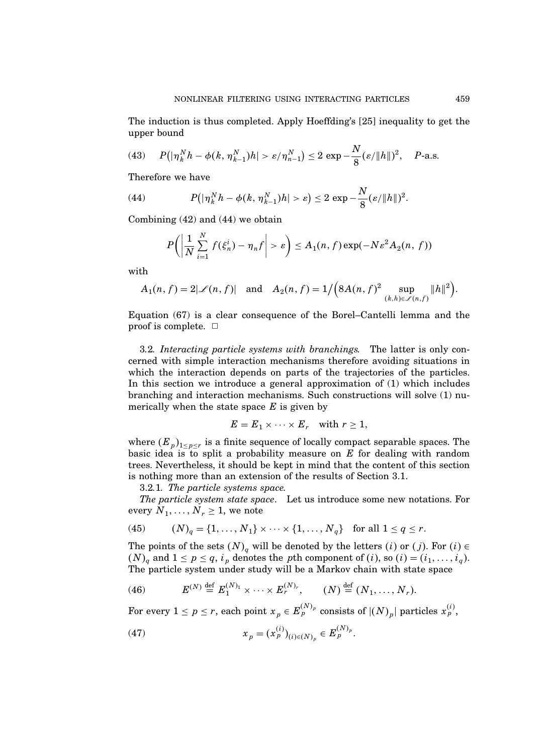The induction is thus completed. Apply Hoeffding's [25] inequality to get the upper bound

(43) 
$$
P(|\eta_k^N h - \phi(k, \eta_{k-1}^N)h| > \varepsilon/\eta_{n-1}^N) \le 2 \exp{-\frac{N}{8}(\varepsilon/\|h\|)^2}, \quad P\text{-a.s.}
$$

Therefore we have

(44) 
$$
P(|\eta_k^N h - \phi(k, \eta_{k-1}^N)h| > \varepsilon) \leq 2 \exp{-\frac{N}{8}(\varepsilon/\|h\|)^2}.
$$

Combining (42) and (44) we obtain

$$
P\bigg(\bigg|\frac{1}{N}\sum_{i=1}^N f(\xi_n^i) - \eta_n f\bigg| > \varepsilon\bigg) \leq A_1(n,f) \exp(-N\varepsilon^2 A_2(n,f))
$$

with

$$
A_1(n,f) = 2|\mathscr{L}(n,f)| \quad \text{and} \quad A_2(n,f) = 1/\Big(8A(n,f)^2 \sup_{(k,h) \in \mathscr{L}(n,f)} \|h\|^2\Big).
$$

Equation (67) is a clear consequence of the Borel–Cantelli lemma and the proof is complete.  $\Box$ 

3.2. Interacting particle systems with branchings. The latter is only concerned with simple interaction mechanisms therefore avoiding situations in which the interaction depends on parts of the trajectories of the particles. In this section we introduce a general approximation of (1) which includes branching and interaction mechanisms. Such constructions will solve (1) numerically when the state space  $E$  is given by

$$
E = E_1 \times \cdots \times E_r \quad \text{with } r \geq 1,
$$

where  $(E_p)_{1 \leq p \leq r}$  is a finite sequence of locally compact separable spaces. The basic idea is to split a probability measure on  $E$  for dealing with random trees. Nevertheless, it should be kept in mind that the content of this section is nothing more than an extension of the results of Section 3.1.

3.2.1. The particle systems space.

The particle system state space. Let us introduce some new notations. For every  $N_1, \ldots, N_r \geq 1$ , we note

(45) 
$$
(N)_q = \{1, ..., N_1\} \times \cdots \times \{1, ..., N_q\}
$$
 for all  $1 \le q \le r$ .

The points of the sets  $(N)_{q}$  will be denoted by the letters  $(i)$  or  $(j)$ . For  $(i) \in$  $(N)_q$  and  $1 \leq p \leq q$ ,  $i_p$  denotes the pth component of  $(i)$ , so  $(i) = (i_1, \ldots, i_q)$ . The particle system under study will be a Markov chain with state space

(46) 
$$
E^{(N)} \stackrel{\text{def}}{=} E_1^{(N)_1} \times \cdots \times E_r^{(N)_r}, \qquad (N) \stackrel{\text{def}}{=} (N_1, \ldots, N_r).
$$

For every  $1 \leq p \leq r,$  each point  $x_p \in E_p^{(N)_p}$  consists of  $|(N)_p|$  particles  $x_p^{(i)},$ 

(47) 
$$
x_p = (x_p^{(i)})_{(i) \in (N)_p} \in E_p^{(N)_p}.
$$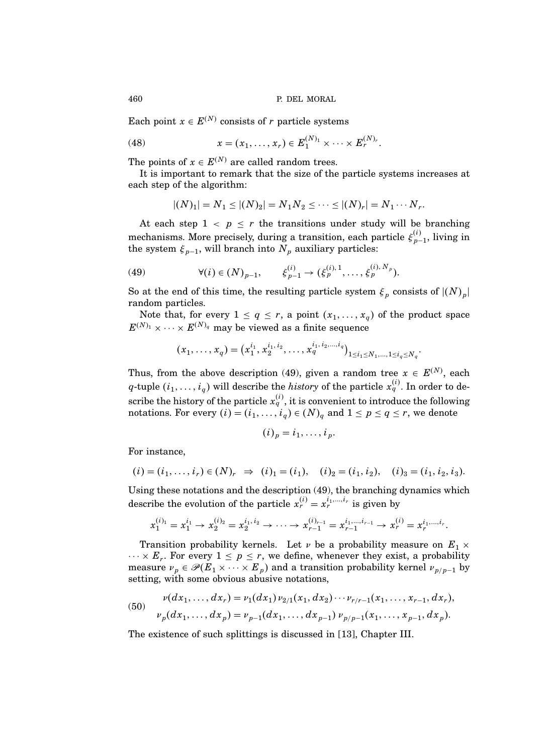Each point  $x \in E^{(N)}$  consists of r particle systems

(48) 
$$
x = (x_1, ..., x_r) \in E_1^{(N)_1} \times \cdots \times E_r^{(N)_r}.
$$

The points of  $x \in E^{(N)}$  are called random trees.

It is important to remark that the size of the particle systems increases at each step of the algorithm:

$$
|(N)_1| = N_1 \le |(N)_2| = N_1 N_2 \le \cdots \le |(N)_r| = N_1 \cdots N_r.
$$

At each step  $1 \leq p \leq r$  the transitions under study will be branching mechanisms. More precisely, during a transition, each particle  $\xi_{n-1}^{(i)}$  $\binom{v}{p-1}$ , living in the system  $\xi_{p-1}$ , will branch into  $N_p$  auxiliary particles:

(49) 
$$
\forall (i) \in (N)_{p-1}, \qquad \xi_{p-1}^{(i)} \to (\xi_p^{(i),1}, \ldots, \xi_p^{(i),N_p}).
$$

So at the end of this time, the resulting particle system  $\xi_p$  consists of  $|(N)_p|$ random particles.

Note that, for every  $1 \le q \le r$ , a point  $(x_1, \ldots, x_q)$  of the product space  $E^{(N)_1} \times \cdots \times E^{(N)_q}$  may be viewed as a finite sequence

$$
(x_1,\ldots,x_q)=(x_1^{i_1},x_2^{i_1,i_2},\ldots,x_q^{i_1,i_2,\ldots,i_q})_{1\leq i_1\leq N_1,\ldots,1\leq i_q\leq N_q}.
$$

Thus, from the above description (49), given a random tree  $x \in E^{(N)}$ , each q-tuple  $(i_1,\ldots,i_q)$  will describe the *history* of the particle  $x_q^{(i)}$ . In order to describe the history of the particle  $x_q^{(i)}$ , it is convenient to introduce the following notations. For every  $(i) = (i_1, \ldots, i_q) \in (N)_q$  and  $1 \leq p \leq q \leq r$ , we denote

$$
(i)_p = i_1, \ldots, i_p.
$$

For instance,

$$
(i) = (i_1, \ldots, i_r) \in (N)_r \implies (i)_1 = (i_1), \quad (i)_2 = (i_1, i_2), \quad (i)_3 = (i_1, i_2, i_3).
$$

Using these notations and the description (49), the branching dynamics which describe the evolution of the particle  $x_r^{(i)} = x_r^{i_1, \dots, i_r}$  is given by

$$
x_1^{(i)_1} = x_1^{i_1} \rightarrow x_2^{(i)_2} = x_2^{i_1, i_2} \rightarrow \cdots \rightarrow x_{r-1}^{(i)_{r-1}} = x_{r-1}^{i_1, \dots, i_{r-1}} \rightarrow x_r^{(i)} = x_r^{i_1, \dots, i_r}.
$$

Transition probability kernels. Let  $\nu$  be a probability measure on  $E_1 \times$  $\cdots \times E_r$ . For every  $1 \leq p \leq r$ , we define, whenever they exist, a probability measure  $v_p \in \mathscr{P}(\overline{E}_1 \times \cdots \times E_p)$  and a transition probability kernel  $v_{p/p-1}$  by setting, with some obvious abusive notations,

(50) 
$$
v(dx_1, ..., dx_r) = v_1(dx_1) v_{2/1}(x_1, dx_2) \cdots v_{r/r-1}(x_1, ..., x_{r-1}, dx_r),
$$

$$
v_p(dx_1, ..., dx_p) = v_{p-1}(dx_1, ..., dx_{p-1}) v_{p/p-1}(x_1, ..., x_{p-1}, dx_p).
$$

The existence of such splittings is discussed in [13], Chapter III.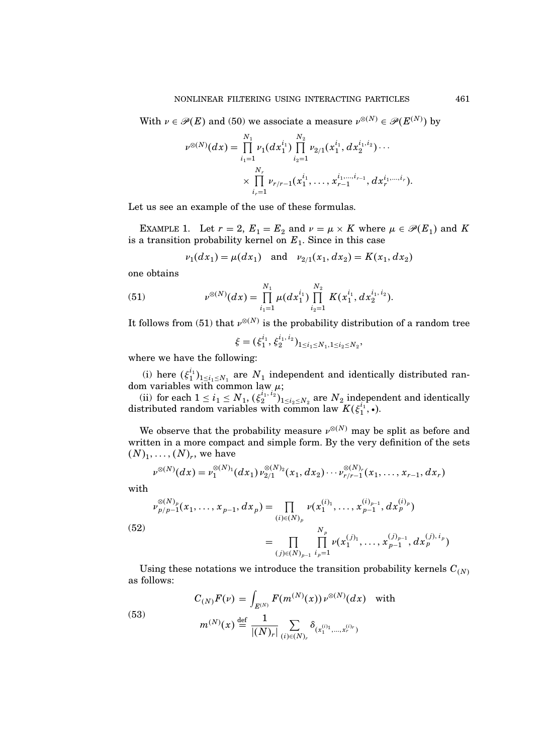With  $\nu \in \mathscr{P}(E)$  and (50) we associate a measure  $\nu^{\otimes (N)} \in \mathscr{P}(E^{(N)})$  by

$$
\nu^{\otimes(N)}(dx)=\prod_{i_1=1}^{N_1}\nu_1(dx_1^{i_1})\prod_{i_2=1}^{N_2}\nu_{2/1}(x_1^{i_1},dx_2^{i_1,i_2})\cdots\\\times\prod_{i_r=1}^{N_r}\nu_{r/r-1}(x_1^{i_1},\ldots,x_{r-1}^{i_1,\ldots,i_{r-1}},dx_r^{i_1,\ldots,i_r}).
$$

Let us see an example of the use of these formulas.

EXAMPLE 1. Let  $r = 2$ ,  $E_1 = E_2$  and  $\nu = \mu \times K$  where  $\mu \in \mathcal{P}(E_1)$  and K is a transition probability kernel on  $E_1$ . Since in this case

$$
\nu_1(dx_1) = \mu(dx_1)
$$
 and  $\nu_{2/1}(x_1, dx_2) = K(x_1, dx_2)$ 

one obtains

(51) 
$$
v^{\otimes(N)}(dx) = \prod_{i_1=1}^{N_1} \mu(dx_1^{i_1}) \prod_{i_2=1}^{N_2} K(x_1^{i_1}, dx_2^{i_1, i_2}).
$$

It follows from (51) that  $\nu^{\otimes(N)}$  is the probability distribution of a random tree

$$
\xi = (\xi_1^{i_1}, \xi_2^{i_1, i_2})_{1 \le i_1 \le N_1, 1 \le i_2 \le N_2}
$$

;

where we have the following:

(i) here  $(\xi_1^{i_1})_{1 \leq i_1 \leq N_1}$  are  $N_1$  independent and identically distributed random variables with common law  $\mu$ ;

(ii) for each  $1 \leq i_1 \leq N_1$ ,  $(\xi_2^{i_1, i_2})_{1 \leq i_2 \leq N_2}$  are  $N_2$  independent and identically distributed random variables with common law  $K(\xi_1^{i_1}, \cdot)$ .

We observe that the probability measure  $\nu^{\otimes(N)}$  may be split as before and written in a more compact and simple form. By the very definition of the sets  $(N)_1, \ldots, (N)_r$ , we have

$$
\nu^{\otimes(N)}(dx) = \nu_1^{\otimes(N)_1}(dx_1)\nu_{2/1}^{\otimes(N)_2}(x_1, dx_2)\cdots\nu_{r/r-1}^{\otimes(N)_r}(x_1, \ldots, x_{r-1}, dx_r)
$$

with

(52)  

$$
\begin{aligned}\n & \nu_{p/p-1}^{\otimes(N)_p}(x_1, \ldots, x_{p-1}, dx_p) = \prod_{(i) \in (N)_p} \nu(x_1^{(i_1)}, \ldots, x_{p-1}^{(i_{p-1}}, dx_p^{(i_p)}) \\
 & = \prod_{(j) \in (N)_{p-1}} \prod_{i_p=1}^{N_p} \nu(x_1^{(j_1)}, \ldots, x_{p-1}^{(j_{p-1}}, dx_p^{(j), i_p})\n \end{aligned}
$$

Using these notations we introduce the transition probability kernels  $C_{(N)}$ as follows:

(53) 
$$
C_{(N)}F(\nu) = \int_{E^{(N)}} F(m^{(N)}(x)) \nu^{\otimes (N)}(dx) \text{ with}
$$

$$
m^{(N)}(x) \stackrel{\text{def}}{=} \frac{1}{|(N)_r|} \sum_{(i) \in (N)_r} \delta_{(x_1^{(i_1}, \dots, x_r^{(i_r)})}
$$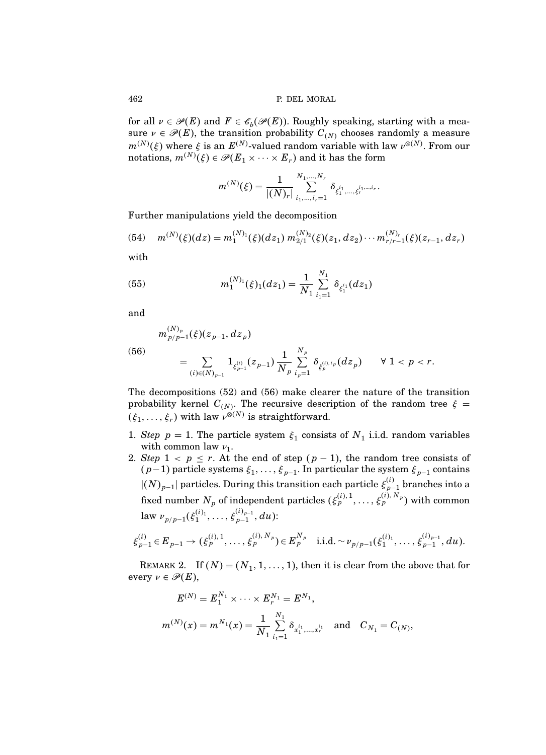for all  $\nu \in \mathcal{P}(E)$  and  $F \in \mathcal{C}_b(\mathcal{P}(E))$ . Roughly speaking, starting with a measure  $\nu \in \mathcal{P}(E)$ , the transition probability  $C_{(N)}$  chooses randomly a measure  $m^{(N)}(\xi)$  where  $\xi$  is an  $E^{(N)}$ -valued random variable with law  $\nu^{\otimes(N)}$ . From our notations,  $m^{(N)}(\xi) \in \mathscr{P}(E_1 \times \cdots \times E_r)$  and it has the form

$$
m^{(N)}(\xi) = \frac{1}{|(N)_r|} \sum_{i_1,\dots,i_r=1}^{N_1,\dots,N_r} \delta_{\xi_1^{i_1},\dots,\xi_r^{i_1,\dots,i_r}}.
$$

Further manipulations yield the decomposition

(54) 
$$
m^{(N)}(\xi)(dz) = m_1^{(N)_1}(\xi)(dz_1) m_{2/1}^{(N)_2}(\xi)(z_1, dz_2) \cdots m_{r/r-1}^{(N)_r}(\xi)(z_{r-1}, dz_r)
$$

with

(55) 
$$
m_1^{(N)_1}(\xi)_1(dz_1) = \frac{1}{N_1} \sum_{i_1=1}^{N_1} \delta_{\xi_1^{i_1}}(dz_1)
$$

and

(56)  

$$
m_{p/p-1}^{(N)_p}(\xi)(z_{p-1}, dz_p)
$$

$$
= \sum_{(i) \in (N)_{p-1}} 1_{\xi_{p-1}^{(i)}}(z_{p-1}) \frac{1}{N_p} \sum_{i_p=1}^{N_p} \delta_{\xi_p^{(i), i_p}}(dz_p) \qquad \forall 1 < p < r.
$$

The decompositions (52) and (56) make clearer the nature of the transition probability kernel  $C_{(N)}$ . The recursive description of the random tree  $\xi =$  $(\xi_1, \ldots, \xi_r)$  with law  $\nu^{\otimes (N)}$  is straightforward.

- 1. Step  $p = 1$ . The particle system  $\xi_1$  consists of  $N_1$  i.i.d. random variables with common law  $\nu_1$ .
- 2. Step  $1 < p \le r$ . At the end of step  $(p-1)$ , the random tree consists of  $(p-1)$  particle systems  $\xi_1, \ldots, \xi_{p-1}$ . In particular the system  $\xi_{p-1}$  contains  $|(N)_{p-1}|$  particles. During this transition each particle  $\xi_{p-1}^{(i)}$  branches into a fixed number  $N_p$  of independent particles  $(\xi_p^{(i),1},\ldots,\xi_p^{(i),N_p})$  with common law  $\nu_{p/p-1}(\xi_1^{(i)}\!,\ldots,\xi_{p-1}^{(i)_{p-1}}$  $_{p-1}^{\binom{v_{p-1}}{p-1}},du)$ :

$$
\xi_{p-1}^{(i)} \in E_{p-1} \to (\xi_p^{(i),1}, \ldots, \xi_p^{(i),N_p}) \in E_p^{N_p} \quad \text{i.i.d.} \sim \nu_{p/p-1}(\xi_1^{(i)_1}, \ldots, \xi_{p-1}^{(i)_{p-1}}, du).
$$

REMARK 2. If  $(N) = (N_1, 1, \ldots, 1)$ , then it is clear from the above that for every  $\nu \in \mathscr{P}(E)$ ,

$$
E^{(N)} = E_1^{N_1} \times \cdots \times E_r^{N_1} = E^{N_1},
$$
  
\n
$$
m^{(N)}(x) = m^{N_1}(x) = \frac{1}{N_1} \sum_{i_1=1}^{N_1} \delta_{x_1^{i_1}, \dots, x_r^{i_r}} \text{ and } C_{N_1} = C_{(N)},
$$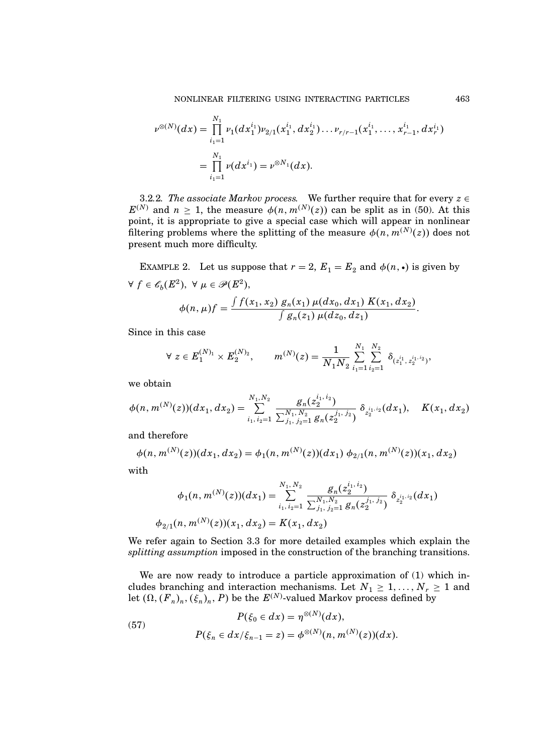$$
\nu^{\otimes(N)}(dx) = \prod_{i_1=1}^{N_1} \nu_1(dx_1^{i_1}) \nu_{2/1}(x_1^{i_1}, dx_2^{i_1}) \dots \nu_{r/r-1}(x_1^{i_1}, \dots, x_{r-1}^{i_r}, dx_r^{i_1})
$$
  
= 
$$
\prod_{i_1=1}^{N_1} \nu(dx^{i_1}) = \nu^{\otimes N_1}(dx).
$$

3.2.2. The associate Markov process. We further require that for every  $z \in$  $E^{(N)}$  and  $n \geq 1$ , the measure  $\phi(n, m^{(N)}(z))$  can be split as in (50). At this point, it is appropriate to give a special case which will appear in nonlinear filtering problems where the splitting of the measure  $\phi(n, m^{(N)}(z))$  does not present much more difficulty.

EXAMPLE 2. Let us suppose that  $r = 2$ ,  $E_1 = E_2$  and  $\phi(n, \cdot)$  is given by  $\forall f \in \mathscr{C}_b(E^2), \ \forall \mu \in \mathscr{P}(E^2),$ R

$$
\phi(n,\mu)f = \frac{\int f(x_1,x_2) g_n(x_1) \mu(dx_0, dx_1) K(x_1, dx_2)}{\int g_n(z_1) \mu(dz_0, dz_1)}.
$$

Since in this case

$$
\forall z \in E_1^{(N)_1} \times E_2^{(N)_2}, \qquad m^{(N)}(z) = \frac{1}{N_1 N_2} \sum_{i_1=1}^{N_1} \sum_{i_2=1}^{N_2} \delta_{(z_1^{i_1}, z_2^{i_1, i_2})},
$$

we obtain

$$
\phi(n,m^{(N)}(z))(dx_1,dx_2)=\sum_{i_1,i_2=1}^{N_1,N_2}\frac{g_n(z_2^{i_1,i_2})}{\sum_{j_1,j_2=1}^{N_1,N_2}g_n(z_2^{j_1,j_2})}\,\delta_{z_2^{i_1,i_2}}(dx_1),\quad K(x_1,dx_2)
$$

and therefore

$$
\phi(n, m^{(N)}(z))(dx_1, dx_2) = \phi_1(n, m^{(N)}(z))(dx_1) \phi_{2/1}(n, m^{(N)}(z))(x_1, dx_2)
$$

with

$$
\phi_1(n, m^{(N)}(z))(dx_1) = \sum_{i_1, i_2=1}^{N_1, N_2} \frac{g_n(z_2^{i_1, i_2})}{\sum_{j_1, j_2=1}^{N_1, N_2} g_n(z_2^{j_1, j_2})} \delta_{z_2^{i_1, i_2}}(dx_1)
$$
  

$$
\phi_{2/1}(n, m^{(N)}(z))(x_1, dx_2) = K(x_1, dx_2)
$$

We refer again to Section 3.3 for more detailed examples which explain the splitting assumption imposed in the construction of the branching transitions.

We are now ready to introduce a particle approximation of (1) which includes branching and interaction mechanisms. Let  $N_1 \geq 1, \ldots, N_r \geq 1$  and let  $(\Omega, (F_n)_n, (\xi_n)_n, P)$  be the  $E^{(N)}$ -valued Markov process defined by

(57) 
$$
P(\xi_0 \in dx) = \eta^{\otimes(N)}(dx),
$$

$$
P(\xi_n \in dx/\xi_{n-1} = z) = \phi^{\otimes(N)}(n, m^{(N)}(z))(dx).
$$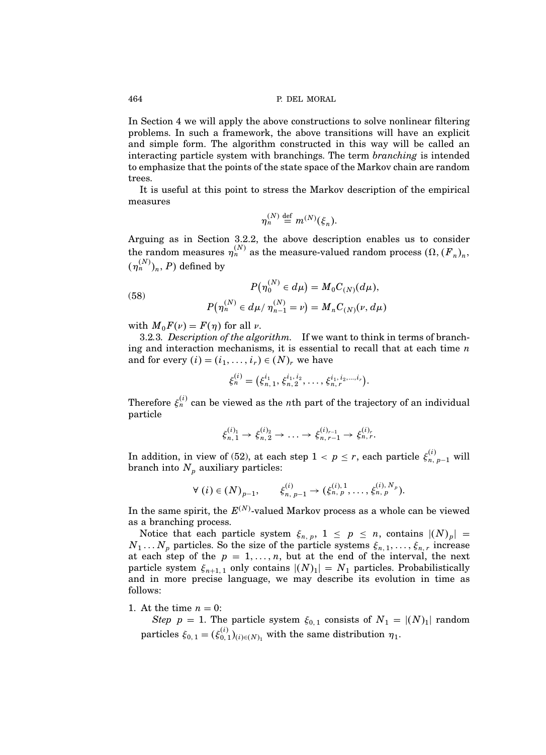In Section 4 we will apply the above constructions to solve nonlinear filtering problems. In such a framework, the above transitions will have an explicit and simple form. The algorithm constructed in this way will be called an interacting particle system with branchings. The term *branching* is intended to emphasize that the points of the state space of the Markov chain are random trees.

It is useful at this point to stress the Markov description of the empirical measures

$$
\eta_n^{(N)} \stackrel{\text{def}}{=} m^{(N)}(\xi_n).
$$

Arguing as in Section 3.2.2, the above description enables us to consider the random measures  $\eta_n^{(N)}$  as the measure-valued random process  $(\Omega, (F_n)_n,$  $(\eta^{(N)}_n)_n,$   $P)$  defined by

(58) 
$$
P(\eta_0^{(N)} \in d\mu) = M_0 C_{(N)}(d\mu),
$$

$$
P(\eta_n^{(N)} \in d\mu / \eta_{n-1}^{(N)} = \nu) = M_n C_{(N)}(\nu, d\mu)
$$

with  $M_0F(\nu) = F(\eta)$  for all  $\nu$ .

3.2.3. Description of the algorithm. If we want to think in terms of branching and interaction mechanisms, it is essential to recall that at each time  $n$ and for every  $(i) = (i_1, \ldots, i_r) \in (N)_r$  we have

$$
\xi_n^{(i)} = (\xi_{n,1}^{i_1}, \xi_{n,2}^{i_1, i_2}, \ldots, \xi_{n,r}^{i_1, i_2, \ldots, i_r}).
$$

Therefore  $\xi_n^{(i)}$  can be viewed as the nth part of the trajectory of an individual particle

$$
\xi_{n,1}^{(i)_1} \to \xi_{n,2}^{(i)_2} \to \ldots \to \xi_{n,r-1}^{(i)_{r-1}} \to \xi_{n,r}^{(i)_r}.
$$

In addition, in view of (52), at each step  $1 < p \leq r$ , each particle  $\xi_{n, p-1}^{(i)}$  will branch into  $N_p$  auxiliary particles:

$$
\forall (i) \in (N)_{p-1}, \qquad \xi_{n, p-1}^{(i)} \to (\xi_{n, p}^{(i), 1}, \dots, \xi_{n, p}^{(i), N_p}).
$$

In the same spirit, the  $E^{(N)}$ -valued Markov process as a whole can be viewed as a branching process.

Notice that each particle system  $\xi_{n,p}$ ,  $1 \leq p \leq n$ , contains  $|(N)_p| =$  $N_1 \ldots N_p$  particles. So the size of the particle systems  $\xi_{n,1}, \ldots, \xi_{n,r}$  increase at each step of the  $p = 1, \ldots, n$ , but at the end of the interval, the next particle system  $\xi_{n+1,1}$  only contains  $|(N)_1| = N_1$  particles. Probabilistically and in more precise language, we may describe its evolution in time as follows:

1. At the time  $n = 0$ :

Step  $p = 1$ . The particle system  $\xi_{0,1}$  consists of  $N_1 = |(N)_1|$  random particles  $\xi_{0,1} = (\xi_{0,1}^{(i)})_{(i) \in (N)_1}$  with the same distribution  $\eta_1$ .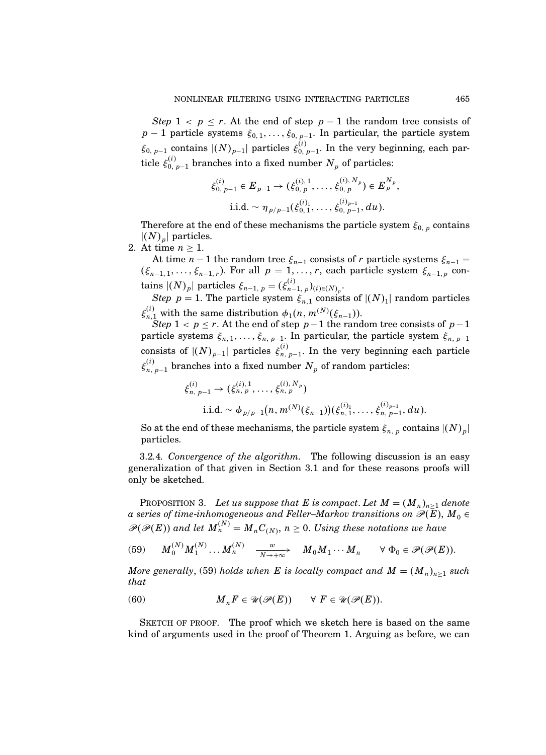Step  $1 \leq p \leq r$ . At the end of step  $p-1$  the random tree consists of  $p-1$  particle systems  $\xi_{0,1},\ldots,\xi_{0,\,p-1}$ . In particular, the particle system  $\xi_{0, p-1}$  contains  $|(N)_{p-1}|$  particles  $\xi_{0, p}^{(i)}$  $\binom{0}{0}$ ,  $p-1$ . In the very beginning, each particle  $\xi_{0, p-1}^{(i)}$  branches into a fixed number  $N_p$  of particles:

$$
\xi_{0, p-1}^{(i)} \in E_{p-1} \to (\xi_{0, p}^{(i), 1}, \dots, \xi_{0, p}^{(i), N_p}) \in E_p^{N_p},
$$
  
i.i.d.  $\sim \eta_{p/p-1}(\xi_{0, 1}^{(i), 1}, \dots, \xi_{0, p-1}^{(i)_{p-1}}, du).$ 

Therefore at the end of these mechanisms the particle system  $\xi_{0, p}$  contains  $|(N)_p|$  particles.

2. At time  $n \geq 1$ .

At time  $n-1$  the random tree  $\xi_{n-1}$  consists of r particle systems  $\xi_{n-1} =$  $(\xi_{n-1,1},\ldots,\xi_{n-1,r})$ . For all  $p=1,\ldots,r$ , each particle system  $\xi_{n-1,p}$  con- $\text{tains }|(N)_p| \text{ particles }\xi_{n-1, \ p}=(\xi_{n-1}^{(i)})$  $_{n-1, p}^{(i)}$  )<sub>(i)∈(N)<sub>p</sub>.</sub>

Step  $p = 1$ . The particle system  $\xi_{n,1}$  consists of  $|(N)_1|$  random particles  $\xi_{n,1}^{(i)}$  with the same distribution  $\phi_1(n, m^{(N)}(\xi_{n-1}))$ .

 $Step\ 1 < p \leq r.$  At the end of step  $p-1$  the random tree consists of  $p-1$ particle systems  $\xi_{n,1},\ldots,\xi_{n,p-1}$ . In particular, the particle system  $\xi_{n,p-1}$ consists of  $|(N)_{p-1}|$  particles  $\xi_{n}^{(i)}$  $\binom{n}{n}$ ,  $p-1$ . In the very beginning each particle  $\xi_{n,\,p-1}^{(i)}$  branches into a fixed number  $N_p$  of random particles:

$$
\xi_{n, p-1}^{(i)} \to (\xi_{n, p}^{(i), 1}, \dots, \xi_{n, p}^{(i), N_p})
$$
  
i.i.d.  $\sim \phi_{p/p-1}(n, m^{(N)}(\xi_{n-1}))(\xi_{n, 1}^{(i)}, \dots, \xi_{n, p-1}^{(i)_{p-1}}, du).$ 

So at the end of these mechanisms, the particle system  $\xi_{n,p}$  contains  $|(N)_p|$ particles.

3.2.4. Convergence of the algorithm. The following discussion is an easy generalization of that given in Section 3.1 and for these reasons proofs will only be sketched.

PROPOSITION 3. Let us suppose that E is compact. Let  $M = (M_n)_{n \geq 1}$  denote a series of time-inhomogeneous and Feller–Markov transitions on  $\mathscr{P}(\overline{E}), M_0 \in$  $\mathscr{P}(\mathscr{P}(E))$  and let  $M_n^{(N)} = M_n C_{(N)}, n \geq 0$ . Using these notations we have

(59) 
$$
M_0^{(N)}M_1^{(N)}\dots M_n^{(N)} \xrightarrow[N\to+\infty]{w} M_0M_1\cdots M_n \quad \forall \Phi_0 \in \mathcal{P}(\mathcal{P}(E)).
$$

More generally, (59) holds when E is locally compact and  $M = (M_n)_{n \geq 1}$  such that

(60) 
$$
M_n F \in \mathcal{U}(\mathcal{P}(E)) \quad \forall F \in \mathcal{U}(\mathcal{P}(E)).
$$

SKETCH OF PROOF. The proof which we sketch here is based on the same kind of arguments used in the proof of Theorem 1. Arguing as before, we can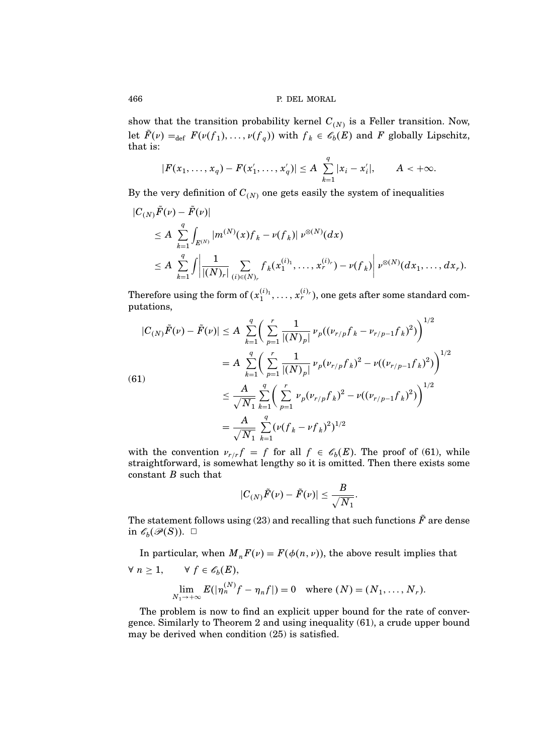show that the transition probability kernel  $C_{(N)}$  is a Feller transition. Now, let  $F(\nu) =_{def} F(\nu(f_1), \dots, \nu(f_q))$  with  $f_k \in \mathscr{E}_b(E)$  and F globally Lipschitz, that is:

$$
|F(x_1,\ldots,x_q)-F(x'_1,\ldots,x'_q)|\leq A\sum_{k=1}^q |x_i-x'_i|, \qquad A<+\infty.
$$

By the very definition of  $C_{(N)}$  one gets easily the system of inequalities

$$
\begin{split} |C_{(N)}F(\nu)-F(\nu)|\\ &\leq A\sum_{k=1}^q\int_{E^{(N)}}|m^{(N)}(x)f_k-\nu(f_k)|\ \nu^{\otimes(N)}(dx)\\ &\leq A\sum_{k=1}^q\int\left|\frac{1}{|(N)_r|}\sum_{(i)\in(N)_r}f_k(x_1^{(i)_1},\ldots,x_r^{(i)_r})-\nu(f_k)\right|\nu^{\otimes(N)}(dx_1,\ldots,dx_r). \end{split}
$$

Therefore using the form of  $(x_1^{(i)_1}, \ldots, x_r^{(i)_r})$ , one gets after some standard computations,

$$
|C_{(N)}\tilde{F}(\nu) - \tilde{F}(\nu)| \le A \sum_{k=1}^{q} \left( \sum_{p=1}^{r} \frac{1}{|(N)_{p}|} \nu_{p}((\nu_{r/p}f_{k} - \nu_{r/p-1}f_{k})^{2}) \right)^{1/2}
$$
  
\n
$$
= A \sum_{k=1}^{q} \left( \sum_{p=1}^{r} \frac{1}{|(N)_{p}|} \nu_{p}(\nu_{r/p}f_{k})^{2} - \nu((\nu_{r/p-1}f_{k})^{2}) \right)^{1/2}
$$
  
\n(61)  
\n
$$
\le \frac{A}{\sqrt{N_{1}}} \sum_{k=1}^{q} \left( \sum_{p=1}^{r} \nu_{p}(\nu_{r/p}f_{k})^{2} - \nu((\nu_{r/p-1}f_{k})^{2}) \right)^{1/2}
$$
  
\n
$$
= \frac{A}{\sqrt{N_{1}}} \sum_{k=1}^{q} (\nu(f_{k} - \nu f_{k})^{2})^{1/2}
$$

with the convention  $\nu_{r/r} f = f$  for all  $f \in \mathscr{C}_b(E)$ . The proof of (61), while straightforward, is somewhat lengthy so it is omitted. Then there exists some constant  $B$  such that

$$
|C_{(N)}\tilde{F}(\nu) - \tilde{F}(\nu)| \leq \frac{B}{\sqrt{N_1}}.
$$

The statement follows using (23) and recalling that such functions  $\tilde{F}$  are dense in  $\mathscr{C}_b(\mathscr{P}(S))$ .  $\Box$ 

In particular, when  $M_nF(v) = F(\phi(n, v))$ , the above result implies that  $\forall n \geq 1, \qquad \forall f \in \mathscr{C}_b(E),$ lim  $\lim_{N_1 \to +\infty} E(|\eta_n^{(N)}f - \eta_nf|) = 0$  where  $(N) = (N_1, \dots, N_r)$ .

The problem is now to find an explicit upper bound for the rate of convergence. Similarly to Theorem 2 and using inequality (61), a crude upper bound may be derived when condition (25) is satisfied.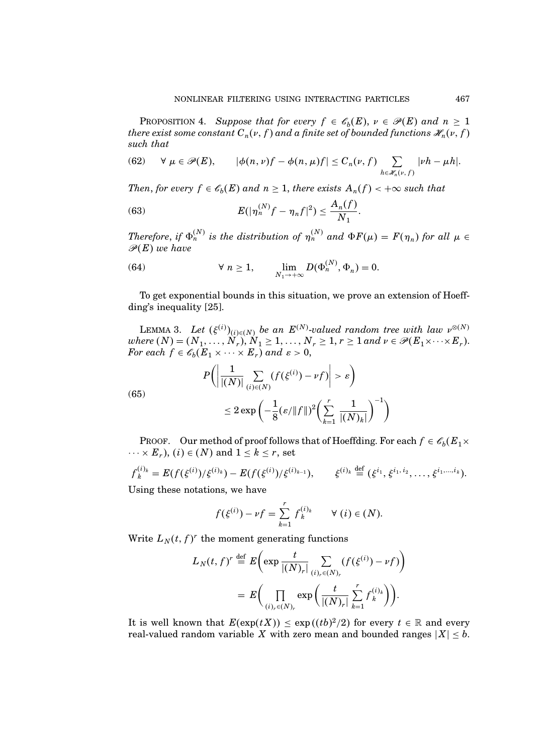PROPOSITION 4. Suppose that for every  $f \in \mathscr{C}_b(E)$ ,  $\nu \in \mathscr{P}(E)$  and  $n \geq 1$ there exist some constant  $C_n(v, f)$  and a finite set of bounded functions  $\mathscr{H}_n(v, f)$ such that

(62) 
$$
\forall \mu \in \mathscr{P}(E), \qquad |\phi(n,\nu)f - \phi(n,\mu)f| \leq C_n(\nu,f) \sum_{h \in \mathscr{H}_n(\nu,f)} |\nu h - \mu h|.
$$

Then, for every  $f \in \mathscr{C}_b(E)$  and  $n \geq 1$ , there exists  $A_n(f) < +\infty$  such that

(63) 
$$
E(|\eta_n^{(N)}f - \eta_nf|^2) \leq \frac{A_n(f)}{N_1}.
$$

Therefore, if  $\Phi_n^{(N)}$  is the distribution of  $\eta_n^{(N)}$  and  $\Phi F(\mu) = F(\eta_n)$  for all  $\mu \in$  $\mathscr{P}(E)$  we have

(64) 
$$
\forall n \ge 1, \qquad \lim_{N_1 \to +\infty} D(\Phi_n^{(N)}, \Phi_n) = 0.
$$

To get exponential bounds in this situation, we prove an extension of Hoeffding's inequality [25].

LEMMA 3. Let  $(\xi^{(i)})_{(i) \in (N)}$  be an  $E^{(N)}$ -valued random tree with law  $\nu^{\otimes (N)}$ where  $(N) = (N_1, \ldots, N_r), N_1 \geq 1, \ldots, N_r \geq 1, r \geq 1$  and  $\nu \in \mathscr{P}(E_1 \times \cdots \times E_r)$ . For each  $f \in \mathscr{C}_b(E_1 \times \cdots \times E_r)$  and  $\varepsilon > 0$ ,

(65)  

$$
P\left(\left|\frac{1}{|(N)|}\sum_{(i)\in(N)}(f(\xi^{(i)}) - \nu f)\right| > \varepsilon\right)
$$

$$
\leq 2\exp\left(-\frac{1}{8}(\varepsilon/\|f\|)^2\left(\sum_{k=1}^r \frac{1}{|(N)_k|}\right)^{-1}\right)
$$

PROOF. Our method of proof follows that of Hoeffding. For each  $f \in \mathscr{C}_b(E_1 \times E_2)$  $\cdots \times E_r$ ),  $(i) \in (N)$  and  $1 \leq k \leq r$ , set

$$
f_k^{(i)_k} = E(f(\xi^{(i)})/\xi^{(i)_k}) - E(f(\xi^{(i)})/\xi^{(i)_{k-1}}), \qquad \xi^{(i)_k} \stackrel{\text{def}}{=} (\xi^{i_1}, \xi^{i_1, i_2}, \dots, \xi^{i_1, \dots, i_k}).
$$
\nUsing these relations, we have

Using these notations, we have

$$
f(\xi^{(i)}) - \nu f = \sum_{k=1}^r f_k^{(i)_k} \qquad \forall (i) \in (N).
$$

Write  $L_N(t, f)^r$  the moment generating functions

$$
L_N(t, f)^r \stackrel{\text{def}}{=} E\bigg(\exp\frac{t}{|(N)_r|} \sum_{(i)_r \in (N)_r} (f(\xi^{(i)}) - \nu f)\bigg) = E\bigg(\prod_{(i)_r \in (N)_r} \exp\bigg(\frac{t}{|(N)_r|} \sum_{k=1}^r f_k^{(i)_k}\bigg)\bigg).
$$

It is well known that  $E(\exp(tX)) \leq \exp((tb)^2/2)$  for every  $t \in \mathbb{R}$  and every real-valued random variable X with zero mean and bounded ranges  $|X| \leq b$ .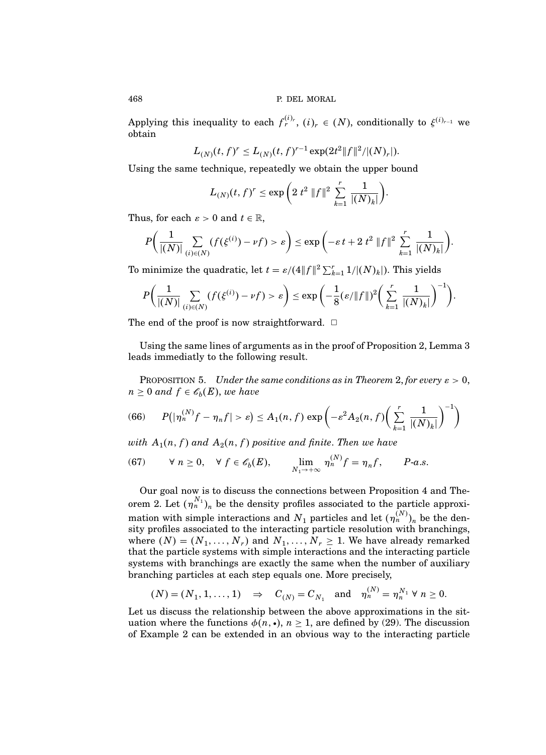Applying this inequality to each  $f_r^{(i)}$ ,  $(i)_r \in (N)$ , conditionally to  $\xi^{(i)_{r-1}}$  we obtain

$$
L_{(N)}(t, f)^r \le L_{(N)}(t, f)^{r-1} \exp(2t^2 \|f\|^2/|(N)_r|).
$$

Using the same technique, repeatedly we obtain the upper bound

$$
L_{(N)}(t, f)^r \le \exp\bigg(2 t^2 \|f\|^2 \sum_{k=1}^r \frac{1}{|(N)_k|}\bigg).
$$

Thus, for each  $\varepsilon > 0$  and  $t \in \mathbb{R}$ ,

$$
P\bigg(\frac{1}{|(N)|}\sum_{(i)\in(N)}(f(\xi^{(i)}) - \nu f) > \varepsilon\bigg) \le \exp\bigg(-\varepsilon t + 2 t^2 \|f\|^2 \sum_{k=1}^r \frac{1}{|(N)_k|}\bigg).
$$

To minimize the quadratic, let  $t = \varepsilon/(4||f||^2 \sum_{k=1}^r 1/|(N)_k|)$ . This yields

$$
P\bigg(\frac{1}{|(N)|}\sum_{(i)\in(N)}(f(\xi^{(i)}) - \nu f) > \varepsilon\bigg) \le \exp\bigg(-\frac{1}{8}(\varepsilon/\|f\|)^2\bigg(\sum_{k=1}^r\frac{1}{|(N)_k|}\bigg)^{-1}\bigg).
$$

The end of the proof is now straightforward.  $\Box$ 

Using the same lines of arguments as in the proof of Proposition 2, Lemma 3 leads immediatly to the following result.

PROPOSITION 5. Under the same conditions as in Theorem 2, for every  $\varepsilon > 0$ ,  $n \geq 0$  and  $f \in \mathscr{C}_b(E)$ , we have

(66) 
$$
P(|\eta_n^{(N)}f-\eta_nf|>\varepsilon)\leq A_1(n,f)\exp\left(-\varepsilon^2A_2(n,f)\left(\sum_{k=1}^r\frac{1}{|(N)_k|}\right)^{-1}\right)
$$

with  $A_1(n,f)$  and  $A_2(n,f)$  positive and finite. Then we have

(67) 
$$
\forall n \ge 0, \forall f \in \mathscr{C}_b(E), \qquad \lim_{N_1 \to +\infty} \eta_n^{(N)} f = \eta_n f, \qquad P\text{-}a.s.
$$

Our goal now is to discuss the connections between Proposition 4 and Theorem 2. Let  $(\eta_n^{N_1})_n$  be the density profiles associated to the particle approximation with simple interactions and  $N_1$  particles and let  $(\eta_n^{(N)})_n$  be the density profiles associated to the interacting particle resolution with branchings, where  $(N) = (N_1, \ldots, N_r)$  and  $N_1, \ldots, N_r \ge 1$ . We have already remarked that the particle systems with simple interactions and the interacting particle systems with branchings are exactly the same when the number of auxiliary branching particles at each step equals one. More precisely,

$$
(N) = (N_1, 1, ..., 1) \Rightarrow C_{(N)} = C_{N_1}
$$
 and  $\eta_n^{(N)} = \eta_n^{N_1} \forall n \ge 0.$ 

Let us discuss the relationship between the above approximations in the situation where the functions  $\phi(n, \cdot), n \geq 1$ , are defined by (29). The discussion of Example 2 can be extended in an obvious way to the interacting particle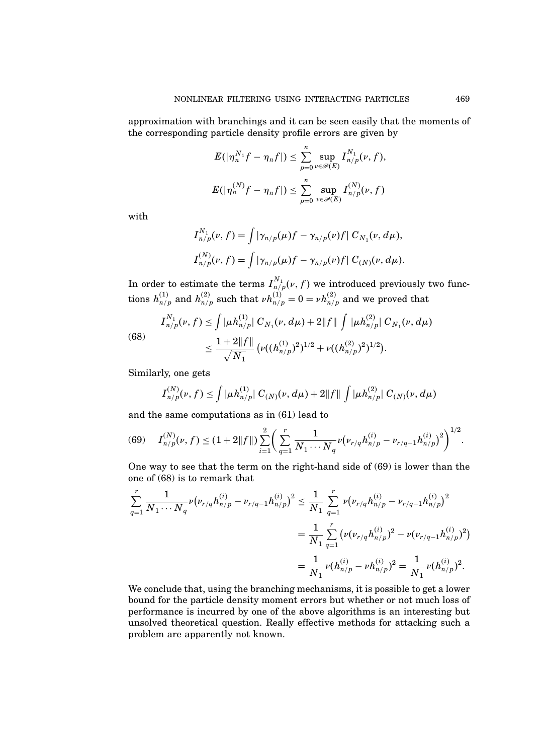approximation with branchings and it can be seen easily that the moments of the corresponding particle density profile errors are given by

$$
E(|\eta_n^{N_1}f-\eta_nf|)\leq \sum_{p=0}^n\sup_{\nu\in\mathscr{P}(E)}I^{N_1}_{n/p}(\nu,f),
$$
  

$$
E(|\eta_n^{(N)}f-\eta_nf|)\leq \sum_{p=0}^n\sup_{\nu\in\mathscr{P}(E)}I^{(N)}_{n/p}(\nu,f)
$$

with

$$
I_{n/p}^{N_1}(\nu, f) = \int |\gamma_{n/p}(\mu)f - \gamma_{n/p}(\nu)f| C_{N_1}(\nu, d\mu),
$$
  

$$
I_{n/p}^{(N)}(\nu, f) = \int |\gamma_{n/p}(\mu)f - \gamma_{n/p}(\nu)f| C_{(N)}(\nu, d\mu).
$$

In order to estimate the terms  $I_{n/p}^{N_1}(\nu,f)$  we introduced previously two functions  $h_{n/p}^{(1)}$  and  $h_{n/p}^{(2)}$  such that  $\nu h_{n/p}^{(1)} = 0 = \nu h_{n/p}^{(2)}$  and we proved that

(68) 
$$
I_{n/p}^{N_1}(\nu, f) \leq \int |\mu h_{n/p}^{(1)}| C_{N_1}(\nu, d\mu) + 2||f|| \int |\mu h_{n/p}^{(2)}| C_{N_1}(\nu, d\mu) \n\leq \frac{1 + 2||f||}{\sqrt{N_1}} (\nu((h_{n/p}^{(1)})^2)^{1/2} + \nu((h_{n/p}^{(2)})^2)^{1/2}).
$$

Similarly, one gets

$$
I_{n/p}^{(N)}(\nu,f) \leq \int |\mu h_{n/p}^{(1)}| C_{(N)}(\nu,d\mu) + 2||f|| \int |\mu h_{n/p}^{(2)}| C_{(N)}(\nu,d\mu)
$$

and the same computations as in (61) lead to

$$
(69) \tI_{n/p}^{(N)}(\nu,f) \leq (1+2||f||)\sum_{i=1}^{2} \bigg(\sum_{q=1}^{r} \frac{1}{N_1 \cdots N_q} \nu(\nu_{r/q} h_{n/p}^{(i)} - \nu_{r/q-1} h_{n/p}^{(i)})^2\bigg)^{1/2}.
$$

One way to see that the term on the right-hand side of (69) is lower than the one of (68) is to remark that

$$
\begin{split} \sum_{q=1}^r \frac{1}{N_1 \cdots N_q} \nu \big( \nu_{r/q} h_{n/p}^{(i)} - \nu_{r/q-1} h_{n/p}^{(i)} \big)^2 &\leq \frac{1}{N_1} \sum_{q=1}^r \nu \big( \nu_{r/q} h_{n/p}^{(i)} - \nu_{r/q-1} h_{n/p}^{(i)} \big)^2 \\ &= \frac{1}{N_1} \sum_{q=1}^r \big( \nu \big( \nu_{r/q} h_{n/p}^{(i)} \big)^2 - \nu \big( \nu_{r/q-1} h_{n/p}^{(i)} \big)^2 \big) \\ &= \frac{1}{N_1} \nu \big( h_{n/p}^{(i)} - \nu h_{n/p}^{(i)} \big)^2 = \frac{1}{N_1} \nu \big( h_{n/p}^{(i)} \big)^2. \end{split}
$$

We conclude that, using the branching mechanisms, it is possible to get a lower bound for the particle density moment errors but whether or not much loss of performance is incurred by one of the above algorithms is an interesting but unsolved theoretical question. Really effective methods for attacking such a problem are apparently not known.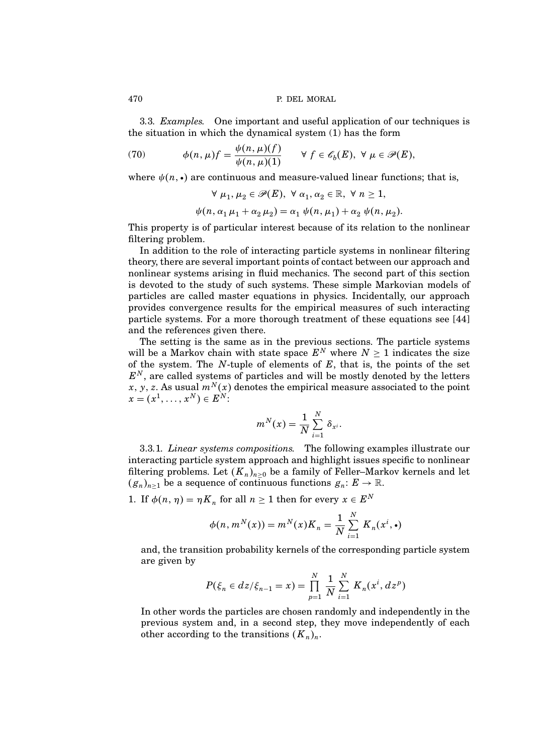3.3. Examples. One important and useful application of our techniques is the situation in which the dynamical system (1) has the form

(70) 
$$
\phi(n,\mu)f = \frac{\psi(n,\mu)(f)}{\psi(n,\mu)(1)} \quad \forall f \in \mathscr{E}_b(E), \ \forall \mu \in \mathscr{P}(E),
$$

where  $\psi(n, \cdot)$  are continuous and measure-valued linear functions; that is,

$$
\forall \mu_1, \mu_2 \in \mathscr{P}(E), \ \forall \alpha_1, \alpha_2 \in \mathbb{R}, \ \forall \ n \ge 1,
$$
  

$$
\psi(n, \alpha_1 \mu_1 + \alpha_2 \mu_2) = \alpha_1 \psi(n, \mu_1) + \alpha_2 \psi(n, \mu_2).
$$

This property is of particular interest because of its relation to the nonlinear filtering problem.

In addition to the role of interacting particle systems in nonlinear filtering theory, there are several important points of contact between our approach and nonlinear systems arising in fluid mechanics. The second part of this section is devoted to the study of such systems. These simple Markovian models of particles are called master equations in physics. Incidentally, our approach provides convergence results for the empirical measures of such interacting particle systems. For a more thorough treatment of these equations see [44] and the references given there.

The setting is the same as in the previous sections. The particle systems will be a Markov chain with state space  $E^N$  where  $N \geq 1$  indicates the size of the system. The  $N$ -tuple of elements of  $E$ , that is, the points of the set  $E<sup>N</sup>$ , are called systems of particles and will be mostly denoted by the letters x, y, z. As usual  $m^N(x)$  denotes the empirical measure associated to the point  $x = (x^1, \ldots, x^N) \in E^N$ :

$$
m^N(x) = \frac{1}{N} \sum_{i=1}^N \delta_{x^i}.
$$

3.3.1. Linear systems compositions. The following examples illustrate our interacting particle system approach and highlight issues specific to nonlinear filtering problems. Let  $(K_n)_{n\geq 0}$  be a family of Feller–Markov kernels and let  $(g_n)_{n\geq 1}$  be a sequence of continuous functions  $g_n: E \to \mathbb{R}$ .

1. If  $\phi(n, \eta) = \eta K_n$  for all  $n \ge 1$  then for every  $x \in E^N$ 

$$
\phi(n, m^N(x)) = m^N(x)K_n = \frac{1}{N} \sum_{i=1}^N K_n(x^i, \cdot)
$$

and, the transition probability kernels of the corresponding particle system are given by

$$
P(\xi_n \in dz/\xi_{n-1} = x) = \prod_{p=1}^{N} \frac{1}{N} \sum_{i=1}^{N} K_n(x^i, dz^p)
$$

In other words the particles are chosen randomly and independently in the previous system and, in a second step, they move independently of each other according to the transitions  $(K_n)_n$ .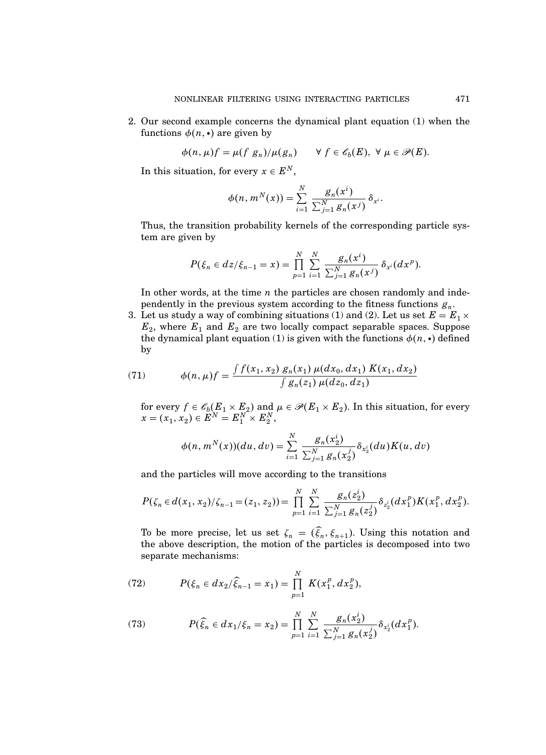2. Our second example concerns the dynamical plant equation (1) when the functions  $\phi(n, \cdot)$  are given by

$$
\phi(n,\mu)f=\mu(f\ g_n)/\mu(g_n)\qquad\forall\ f\in\mathscr{E}_b(E),\ \forall\ \mu\in\mathscr{P}(E).
$$

In this situation, for every  $x \in E^N$ ,

$$
\phi(n, m^{N}(x)) = \sum_{i=1}^{N} \frac{g_{n}(x^{i})}{\sum_{j=1}^{N} g_{n}(x^{j})} \delta_{x^{i}}.
$$

Thus, the transition probability kernels of the corresponding particle system are given by

$$
P(\xi_n \in dz/\xi_{n-1} = x) = \prod_{p=1}^N \sum_{i=1}^N \frac{g_n(x^i)}{\sum_{j=1}^N g_n(x^j)} \delta_{x^i}(dx^p).
$$

In other words, at the time  $n$  the particles are chosen randomly and independently in the previous system according to the fitness functions  $g_n$ .

3. Let us study a way of combining situations (1) and (2). Let us set  $E = E_1 \times$  $E_2$ , where  $E_1$  and  $E_2$  are two locally compact separable spaces. Suppose the dynamical plant equation (1) is given with the functions  $\phi(n, \cdot)$  defined by

(71) 
$$
\phi(n,\mu)f = \frac{\int f(x_1,x_2) g_n(x_1) \mu(dx_0, dx_1) K(x_1, dx_2)}{\int g_n(z_1) \mu(dz_0, dz_1)}
$$

for every  $f \in \mathscr{C}_b(E_1 \times E_2)$  and  $\mu \in \mathscr{P}(E_1 \times E_2)$ . In this situation, for every  $x = (x_1, x_2) \in E^N = E_1^N \times E_2^N,$ 

$$
\phi(n, m^{N}(x))(du, dv) = \sum_{i=1}^{N} \frac{g_n(x_2^i)}{\sum_{j=1}^{N} g_n(x_2^j)} \delta_{x_2^i}(du) K(u, dv)
$$

and the particles will move according to the transitions

$$
P(\zeta_n \in d(x_1, x_2)/\zeta_{n-1} = (z_1, z_2)) = \prod_{p=1}^N \sum_{i=1}^N \frac{g_n(z_2^i)}{\sum_{j=1}^N g_n(z_2^j)} \delta_{z_2^i}(dx_1^p) K(x_1^p, dx_2^p).
$$

To be more precise, let us set  $\zeta_n = (\xi_n, \xi_{n+1})$ . Using this notation and the above description, the motion of the particles is decomposed into two separate mechanisms:

(72) 
$$
P(\xi_n \in dx_2/\widehat{\xi}_{n-1} = x_1) = \prod_{p=1}^N K(x_1^p, dx_2^p),
$$

(73) 
$$
P(\widehat{\xi}_n \in dx_1/\xi_n = x_2) = \prod_{p=1}^N \sum_{i=1}^N \frac{g_n(x_2^i)}{\sum_{j=1}^N g_n(x_2^j)} \delta_{x_2^i}(dx_1^p).
$$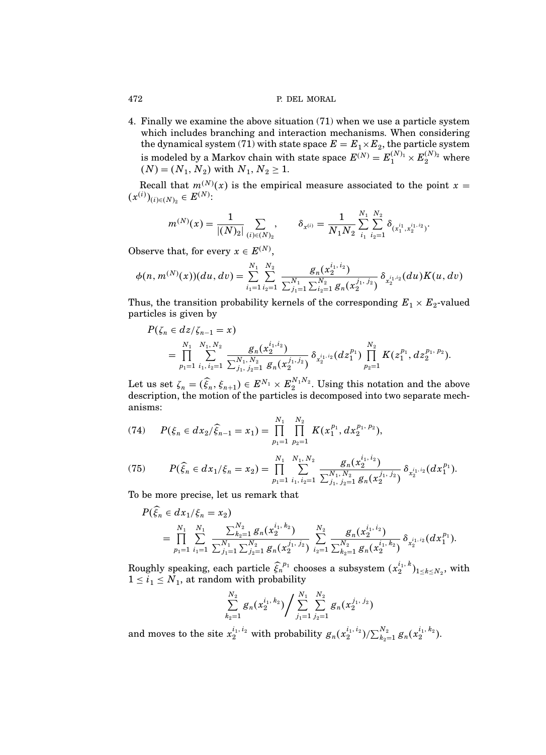4. Finally we examine the above situation (71) when we use a particle system which includes branching and interaction mechanisms. When considering the dynamical system (71) with state space  $E = E_1 \times E_2$ , the particle system is modeled by a Markov chain with state space  $E^{(N)} = E_1^{(N)_1} \times E_2^{(N)_2}$  where  $(N) = (N_1, N_2)$  with  $N_1, N_2 \ge 1$ .

Recall that  $m^{(N)}(x)$  is the empirical measure associated to the point  $x =$  $(x^{(i)})_{(i) \in (N)_2} \in E^{(N)}$ :

$$
m^{(N)}(x) = \frac{1}{|(N)_{2}|}\sum_{(i) \in (N)_{2}}, \qquad \delta_{x^{(i)}} = \frac{1}{N_{1}N_{2}}\sum_{i_{1}}^{N_{1}}\sum_{i_{2}=1}^{N_{2}}\delta_{(x_{1}^{i_{1}},x_{2}^{i_{1},i_{2}})}.
$$

Observe that, for every  $x \in E^{(N)}$ ,

$$
\phi(n,m^{(N)}(x))(du,dv) = \sum_{i_1=1}^{N_1} \sum_{i_2=1}^{N_2} \frac{g_n(x_2^{i_1,i_2})}{\sum_{j_1=1}^{N_1} \sum_{i_2=1}^{N_2} g_n(x_2^{j_1,j_2})} \delta_{x_2^{i_1,i_2}}(du)K(u,dv)
$$

Thus, the transition probability kernels of the corresponding  $E_1 \times E_2$ -valued particles is given by

$$
P(\zeta_n \in dz/\zeta_{n-1} = x)
$$
  
=  $\prod_{p_1=1}^{N_1} \sum_{i_1, i_2=1}^{N_1, N_2} \frac{g_n(x_2^{i_1, i_2})}{\sum_{j_1, j_2=1}^{N_1, N_2} g_n(x_2^{j_1, j_2})} \delta_{x_2^{i_1, i_2}}(dz_1^{p_1}) \prod_{p_2=1}^{N_2} K(z_1^{p_1}, dz_2^{p_1, p_2}).$ 

Let us set  $\zeta_n = (\widehat{\xi}_n, \xi_{n+1}) \in E^{N_1} \times E_2^{N_1 N_2}$ . Using this notation and the above description, the motion of the particles is decomposed into two separate mechanisms:

(74) 
$$
P(\xi_n \in dx_2/\widehat{\xi}_{n-1} = x_1) = \prod_{p_1=1}^{N_1} \prod_{p_2=1}^{N_2} K(x_1^{p_1}, dx_2^{p_1, p_2}),
$$

(75) 
$$
P(\widehat{\xi}_n \in dx_1/\xi_n = x_2) = \prod_{p_1=1}^{N_1} \sum_{i_1, i_2=1}^{N_1, N_2} \frac{g_n(x_2^{i_1, i_2})}{\sum_{j_1, j_2=1}^{N_1, N_2} g_n(x_2^{j_1, j_2})} \delta_{x_2^{i_1, i_2}}(dx_1^{p_1}).
$$

To be more precise, let us remark that

$$
P(\widehat{\xi}_n \in dx_1/\xi_n = x_2)
$$
  
= 
$$
\prod_{p_1=1}^{N_1} \sum_{i_1=1}^{N_1} \frac{\sum_{k_2=1}^{N_2} g_n(x_2^{i_1, k_2})}{\sum_{j_1=1}^{N_1} \sum_{j_2=1}^{N_2} g_n(x_2^{j_1, j_2})} \sum_{i_2=1}^{N_2} \frac{g_n(x_2^{i_1, i_2})}{\sum_{k_2=1}^{N_2} g_n(x_2^{i_1, k_2})} \delta_{x_2^{i_1, i_2}}(dx_1^{p_1}).
$$

Roughly speaking, each particle  $\widehat{\xi_n}^{p_1}$  chooses a subsystem  $(x_2^{i_1,k})$  $\binom{k_1, k_2}{2}_{1 \leq k \leq N_2}$ , with  $1 \leq i_1 \leq N_1$ , at random with probability

$$
\sum\limits_{k_{2}=1}^{N_{2}}g_{n}(x_{2}^{i_{1},k_{2}})\Big/\sum\limits_{j_{1}=1}^{N_{1}}\sum\limits_{j_{2}=1}^{N_{2}}g_{n}(x_{2}^{j_{1},j_{2}})
$$

and moves to the site  $x_2^{i_1, i_2}$  with probability  $g_n(x_2^{i_1, i_2})/\sum_{k_2=1}^{N_2} g_n(x_2^{i_1, k_2})$ .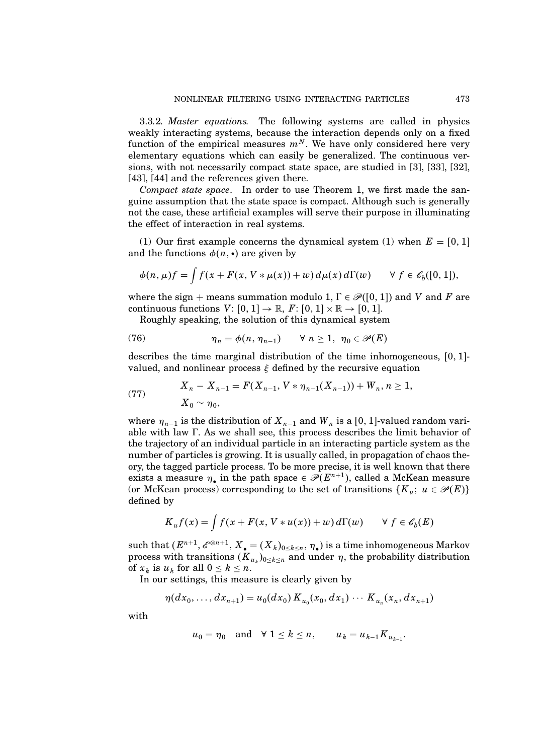3.3.2. Master equations. The following systems are called in physics weakly interacting systems, because the interaction depends only on a fixed function of the empirical measures  $m^N$ . We have only considered here very elementary equations which can easily be generalized. The continuous versions, with not necessarily compact state space, are studied in [3], [33], [32], [43], [44] and the references given there.

Compact state space. In order to use Theorem 1, we first made the sanguine assumption that the state space is compact. Although such is generally not the case, these artificial examples will serve their purpose in illuminating the effect of interaction in real systems.

(1) Our first example concerns the dynamical system (1) when  $E = [0, 1]$ and the functions  $\phi(n, \cdot)$  are given by

$$
\phi(n,\mu)f = \int f(x+F(x,V*\mu(x))+w) d\mu(x) d\Gamma(w) \qquad \forall f \in \mathscr{C}_b([0,1]),
$$

where the sign + means summation modulo 1,  $\Gamma \in \mathcal{P}([0,1])$  and V and F are continuous functions  $V: [0, 1] \rightarrow \mathbb{R}$ ,  $F: [0, 1] \times \mathbb{R} \rightarrow [0, 1]$ .

Roughly speaking, the solution of this dynamical system

(76) 
$$
\eta_n = \phi(n, \eta_{n-1}) \quad \forall n \ge 1, \ \eta_0 \in \mathscr{P}(E)
$$

describes the time marginal distribution of the time inhomogeneous,  $[0, 1]$ valued, and nonlinear process  $\xi$  defined by the recursive equation

(77) 
$$
X_n - X_{n-1} = F(X_{n-1}, V * \eta_{n-1}(X_{n-1})) + W_n, n \ge 1,
$$

$$
X_0 \sim \eta_0,
$$

where  $\eta_{n-1}$  is the distribution of  $X_{n-1}$  and  $W_n$  is a [0, 1]-valued random variable with law  $\Gamma$ . As we shall see, this process describes the limit behavior of the trajectory of an individual particle in an interacting particle system as the number of particles is growing. It is usually called, in propagation of chaos theory, the tagged particle process. To be more precise, it is well known that there exists a measure  $\eta_{\bullet}$  in the path space  $\in \mathcal{P}(E^{n+1})$ , called a McKean measure (or McKean process) corresponding to the set of transitions  $\{K_u; u \in \mathcal{P}(E)\}\$ defined by

$$
K_u f(x) = \int f(x + F(x, V * u(x)) + w) d\Gamma(w) \qquad \forall f \in \mathscr{C}_b(E)
$$

such that  $(E^{n+1}, \mathscr{E}^{\otimes n+1}, X_{\bullet} = (X_k)_{0 \le k \le n}, \eta_{\bullet})$  is a time inhomogeneous Markov process with transitions  $(K_{u_k})_{0 \leq k \leq n}$  and under  $\eta$ , the probability distribution of  $x_k$  is  $u_k$  for all  $0 \leq k \leq n$ .

In our settings, this measure is clearly given by

$$
\eta(dx_0,\ldots,dx_{n+1})=u_0(dx_0)K_{u_0}(x_0,dx_1)\cdots K_{u_n}(x_n,dx_{n+1})
$$

with

$$
u_0 = \eta_0
$$
 and  $\forall 1 \leq k \leq n$ ,  $u_k = u_{k-1} K_{u_{k-1}}$ .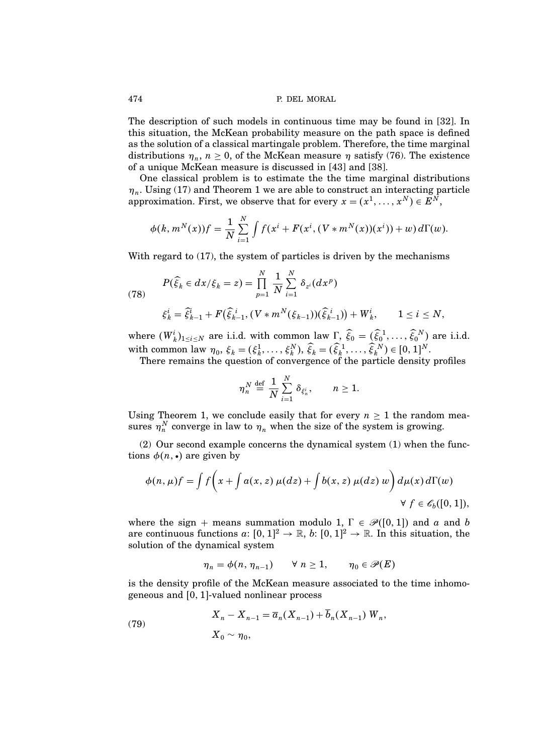The description of such models in continuous time may be found in [32]. In this situation, the McKean probability measure on the path space is defined as the solution of a classical martingale problem. Therefore, the time marginal distributions  $\eta_n$ ,  $n \geq 0$ , of the McKean measure  $\eta$  satisfy (76). The existence of a unique McKean measure is discussed in [43] and [38].

One classical problem is to estimate the the time marginal distributions  $\eta_n$ . Using (17) and Theorem 1 we are able to construct an interacting particle approximation. First, we observe that for every  $x = (x^1, \ldots, x^N) \in E^N$ ,

$$
\phi(k, m^{N}(x))f = \frac{1}{N} \sum_{i=1}^{N} \int f(x^{i} + F(x^{i}, (V * m^{N}(x))(x^{i})) + w) d\Gamma(w).
$$

With regard to (17), the system of particles is driven by the mechanisms

(78) 
$$
P(\widehat{\xi}_k \in dx/\xi_k = z) = \prod_{p=1}^N \frac{1}{N} \sum_{i=1}^N \delta_{z^i}(dx^p)
$$

$$
\xi_k^i = \widehat{\xi}_{k-1}^i + F(\widehat{\xi}_{k-1}^i, (V * m^N(\xi_{k-1}))(\widehat{\xi}_{k-1}^i)) + W_k^i, \qquad 1 \le i \le N,
$$

where  $(W_k^i)_{1 \le i \le N}$  are i.i.d. with common law  $\Gamma$ ,  $\widehat{\xi}_0 = (\widehat{\xi}_0^1, \dots, \widehat{\xi}_0^N)$  are i.i.d. with common law  $\eta_0, \xi_k = (\xi_k^1, \dots, \xi_k^N), \hat{\xi}_k = (\hat{\xi}_k^1, \dots, \hat{\xi}_k^N) \in [0, 1]^N$ .

There remains the question of convergence of the particle density profiles

$$
\eta_n^N \stackrel{\text{def}}{=} \frac{1}{N} \sum_{i=1}^N \delta_{\xi_n^i}, \qquad n \ge 1.
$$

Using Theorem 1, we conclude easily that for every  $n \geq 1$  the random measures  $\eta_n^N$  converge in law to  $\eta_n$  when the size of the system is growing.

(2) Our second example concerns the dynamical system (1) when the functions  $\phi(n, \cdot)$  are given by

$$
\phi(n,\mu)f = \int f\bigg(x + \int a(x,z)\,\mu(dz) + \int b(x,z)\,\mu(dz)\,w\bigg)\,d\mu(x)\,d\Gamma(w)
$$
  

$$
\forall\ f \in \mathscr{E}_b([0,1]),
$$

where the sign + means summation modulo 1,  $\Gamma \in \mathcal{P}([0,1])$  and a and b are continuous functions  $a: [0, 1]^2 \to \mathbb{R}$ ,  $b: [0, 1]^2 \to \mathbb{R}$ . In this situation, the solution of the dynamical system

$$
\eta_n = \phi(n, \eta_{n-1}) \qquad \forall \ n \ge 1, \qquad \eta_0 \in \mathscr{P}(E)
$$

is the density profile of the McKean measure associated to the time inhomogeneous and  $[0, 1]$ -valued nonlinear process

(79) 
$$
X_n - X_{n-1} = \overline{a}_n(X_{n-1}) + \overline{b}_n(X_{n-1}) W_n,
$$

$$
X_0 \sim \eta_0,
$$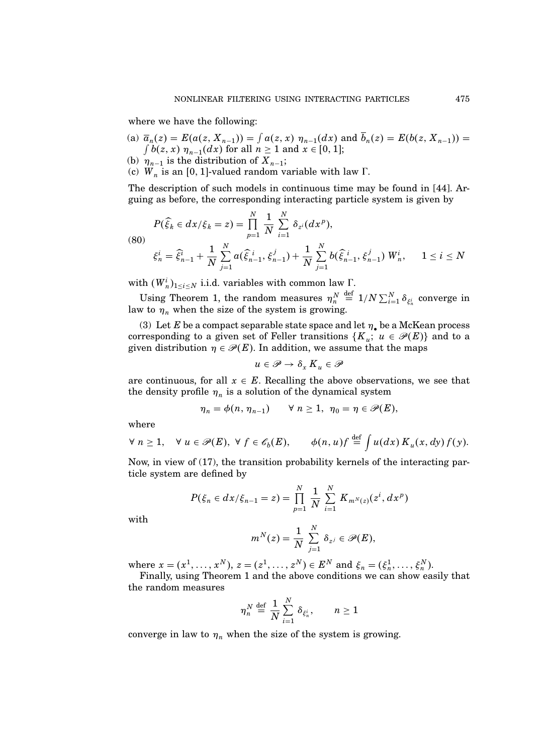where we have the following:

- (a)  $\overline{a}_n(z) = E(a(z, X_{n-1})) = \int a(z, x) \eta_{n-1}(dx)$  and  $\overline{b}_n(z) = E(b(z, X_{n-1})) =$ <br>  $\int b(z, x) \eta_{n-1}(dx)$  for all  $n > 1$  and  $x \in [0, 1]$ :  $b(z, x)$   $\eta_{n-1}(dx)$  for all  $n \ge 1$  and  $x \in [0, 1]$ ;
- (b)  $\eta_{n-1}$  is the distribution of  $X_{n-1}$ ;
- (c)  $W_n$  is an [0, 1]-valued random variable with law  $\Gamma$ .

The description of such models in continuous time may be found in [44]. Arguing as before, the corresponding interacting particle system is given by

(80)  
\n
$$
P(\widehat{\xi}_k \in dx/\xi_k = z) = \prod_{p=1}^N \frac{1}{N} \sum_{i=1}^N \delta_{z^i}(dx^p),
$$
\n
$$
\xi_n^i = \widehat{\xi}_{n-1}^i + \frac{1}{N} \sum_{j=1}^N a(\widehat{\xi}_{n-1}^i, \xi_{n-1}^j) + \frac{1}{N} \sum_{j=1}^N b(\widehat{\xi}_{n-1}^i, \xi_{n-1}^j) W_n^i, \quad 1 \le i \le N
$$

with  $(W_n^i)_{1 \leq i \leq N}$  i.i.d. variables with common law  $\Gamma$ .

Using Theorem 1, the random measures  $\eta_n^N \stackrel{\text{def}}{=} 1/N \sum_{i=1}^N \delta_{\xi_n^i}$  converge in law to  $\eta_n$  when the size of the system is growing.

(3) Let E be a compact separable state space and let  $\eta_{\bullet}$  be a McKean process corresponding to a given set of Feller transitions  $\{K_u; u \in \mathscr{P}(E)\}\$ and to a given distribution  $\eta \in \mathcal{P}(E)$ . In addition, we assume that the maps

$$
u\in\mathscr{P}\rightarrow\delta_{x}\,K_{u}\in\mathscr{P}
$$

are continuous, for all  $x \in E$ . Recalling the above observations, we see that the density profile  $\eta_n$  is a solution of the dynamical system

$$
\eta_n = \phi(n, \eta_{n-1}) \qquad \forall \ n \geq 1, \ \eta_0 = \eta \in \mathscr{P}(E),
$$

where

$$
\forall n \geq 1, \quad \forall u \in \mathscr{P}(E), \ \forall f \in \mathscr{C}_b(E), \qquad \phi(n, u)f \stackrel{\text{def}}{=} \int u(dx) \, K_u(x, dy) \, f(y).
$$

Now, in view of (17), the transition probability kernels of the interacting particle system are defined by

$$
P(\xi_n \in dx/\xi_{n-1} = z) = \prod_{p=1}^N \frac{1}{N} \sum_{i=1}^N K_{m^N(z)}(z^i, dx^p)
$$

with

$$
m^N(z)=\frac{1}{N}\,\sum_{j=1}^N\,\delta_{z^j}\in\mathscr{P}(E),
$$

where  $x = (x^1, ..., x^N), z = (z^1, ..., z^N) \in E^N$  and  $\xi_n = (\xi_n^1, ..., \xi_n^N)$ .

Finally, using Theorem 1 and the above conditions we can show easily that the random measures

$$
\eta_n^N \stackrel{\text{def}}{=} \frac{1}{N} \sum_{i=1}^N \delta_{\xi_n^i}, \qquad n \ge 1
$$

converge in law to  $\eta_n$  when the size of the system is growing.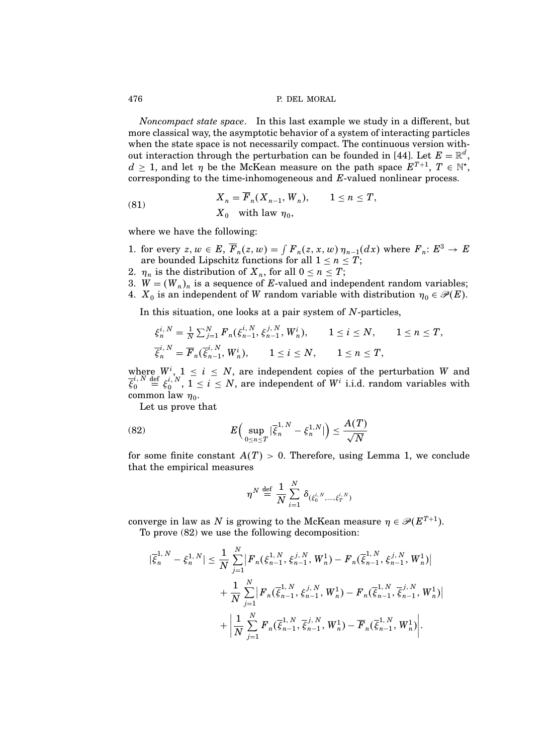Noncompact state space. In this last example we study in a different, but more classical way, the asymptotic behavior of a system of interacting particles when the state space is not necessarily compact. The continuous version without interaction through the perturbation can be founded in [44]. Let  $E = \mathbb{R}^d$ ,  $d \geq 1$ , and let  $\eta$  be the McKean measure on the path space  $E^{T+1}$ ,  $T \in \mathbb{N}^*$ , corresponding to the time-inhomogeneous and E-valued nonlinear process.

(81) 
$$
X_n = F_n(X_{n-1}, W_n), \qquad 1 \le n \le T,
$$

$$
X_0 \text{ with law } \eta_0,
$$

where we have the following:

- 1. for every  $z, w \in E$ ,  $\overline{F}_n(z, w) = \int F_n(z, x, w) \eta_{n-1}(dx)$  where  $F_n: E^3 \to E$ are bounded Lipschitz functions for all  $1 \leq n \leq T$ ;
- 2.  $\eta_n$  is the distribution of  $X_n$ , for all  $0 \le n \le T$ ;
- 3.  $W = (W_n)_n$  is a sequence of E-valued and independent random variables;
- 4.  $X_0$  is an independent of W random variable with distribution  $\eta_0 \in \mathscr{P}(E)$ .

In this situation, one looks at a pair system of N-particles,

$$
\xi_n^{i,N} = \frac{1}{N} \sum_{j=1}^N F_n(\xi_{n-1}^{i,N}, \xi_{n-1}^{j,N}, W_n^i), \qquad 1 \le i \le N, \qquad 1 \le n \le T,
$$
  

$$
\overline{\xi}_n^{i,N} = \overline{F}_n(\overline{\xi}_{n-1}^{i,N}, W_n^i), \qquad 1 \le i \le N, \qquad 1 \le n \le T,
$$

where  $W^i$ ,  $1 \le i \le N$ , are independent copies of the perturbation W and  $\overline{\xi}_0^{i,\,N}$  $\hat{y}_0^{i,N} \stackrel{\text{def}}{=} \xi_0^{i,N}, 1 \leq i \leq N$ , are independent of  $W^i$  i.i.d. random variables with common law  $\eta_0$ .

Let us prove that

(82) 
$$
E\Big(\sup_{0\leq n\leq T}|\overline{\xi}_n^{1,N}-\xi_n^{1,N}|\Big)\leq \frac{A(T)}{\sqrt{N}}
$$

for some finite constant  $A(T) > 0$ . Therefore, using Lemma 1, we conclude that the empirical measures

$$
\eta^N \stackrel{\rm def}{=} \frac{1}{N} \sum_{i=1}^N \, \delta_{(\xi_0^{i,N}, ..., \xi_T^{i,N})}
$$

converge in law as N is growing to the McKean measure  $\eta \in \mathscr{P}(E^{T+1})$ . To prove (82) we use the following decomposition:

$$
|\bar{\xi}_{n}^{1,N} - \xi_{n}^{1,N}| \leq \frac{1}{N} \sum_{j=1}^{N} \left| F_{n}(\xi_{n-1}^{1,N}, \xi_{n-1}^{j,N}, W_{n}^{1}) - F_{n}(\bar{\xi}_{n-1}^{1,N}, \xi_{n-1}^{j,N}, W_{n}^{1}) \right|
$$
  
+ 
$$
\frac{1}{N} \sum_{j=1}^{N} \left| F_{n}(\bar{\xi}_{n-1}^{1,N}, \xi_{n-1}^{j,N}, W_{n}^{1}) - F_{n}(\bar{\xi}_{n-1}^{1,N}, \bar{\xi}_{n-1}^{j,N}, W_{n}^{1}) \right|
$$
  
+ 
$$
\left| \frac{1}{N} \sum_{j=1}^{N} F_{n}(\bar{\xi}_{n-1}^{1,N}, \bar{\xi}_{n-1}^{j,N}, W_{n}^{1}) - \overline{F}_{n}(\bar{\xi}_{n-1}^{1,N}, W_{n}^{1}) \right|.
$$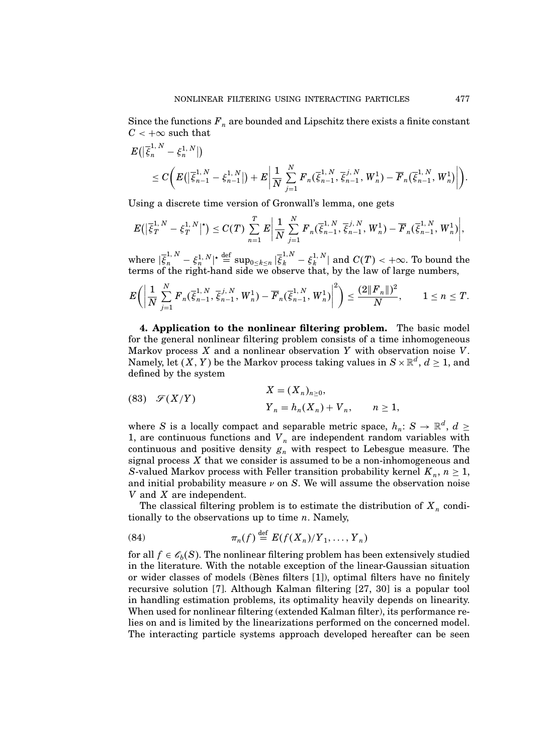Since the functions  $F_n$  are bounded and Lipschitz there exists a finite constant  $C < +\infty$  such that

$$
E(|\overline{\xi}_{n}^{1,N} - \xi_{n}^{1,N}|)
$$
  
\n
$$
\leq C\bigg(E(|\overline{\xi}_{n-1}^{1,N} - \xi_{n-1}^{1,N}|) + E\bigg|\frac{1}{N}\sum_{j=1}^{N} F_{n}(\overline{\xi}_{n-1}^{1,N}, \overline{\xi}_{n-1}^{j,N}, W_{n}^{1}) - \overline{F}_{n}(\overline{\xi}_{n-1}^{1,N}, W_{n}^{1})\bigg|\bigg).
$$

Using a discrete time version of Gronwall's lemma, one gets

$$
E(|\overline{\xi}_{T}^{1,N} - \xi_{T}^{1,N}|^{\star}) \leq C(T) \sum_{n=1}^{T} E\left|\frac{1}{N}\sum_{j=1}^{N} F_{n}(\overline{\xi}_{n-1}^{1,N},\overline{\xi}_{n-1}^{j,N},W_{n}^{1}) - \overline{F}_{n}(\overline{\xi}_{n-1}^{1,N},W_{n}^{1})\right|,
$$

where  $|\bar{\xi}_n^{1,N} - \xi_n^{1,N}|^* \stackrel{\text{def}}{=} \sup_{0 \le k \le n} |\bar{\xi}_k^{1,N} - \xi_k^{1,N}|$  $\frac{1}{k}$ ,  $\lfloor$  and  $C(T)$  <  $+\infty$ . To bound the terms of the right-hand side we observe that, by the law of large numbers,

$$
E\bigg(\bigg|\frac{1}{N}\sum_{j=1}^N F_n(\overline{\xi}_{n-1}^{1,N},\overline{\xi}_{n-1}^{j,N},W_n^1) - \overline{F}_n(\overline{\xi}_{n-1}^{1,N},W_n^1)\bigg|^2\bigg) \leq \frac{(2\|F_n\|)^2}{N}, \qquad 1 \leq n \leq T.
$$

4. Application to the nonlinear filtering problem. The basic model for the general nonlinear filtering problem consists of a time inhomogeneous Markov process  $X$  and a nonlinear observation  $Y$  with observation noise  $V$ . Namely, let  $(X,Y)$  be the Markov process taking values in  $S\times\mathbb{R}^d,\,d\geq 1,$  and defined by the system

(83) 
$$
\mathscr{F}(X/Y)
$$
  

$$
X = (X_n)_{n \geq 0},
$$

$$
Y_n = h_n(X_n) + V_n, \qquad n \geq 1,
$$

where S is a locally compact and separable metric space,  $h_n: S \to \mathbb{R}^d$ ,  $d \geq$ 1, are continuous functions and  $V_n$  are independent random variables with continuous and positive density  $g_n$  with respect to Lebesgue measure. The signal process  $X$  that we consider is assumed to be a non-inhomogeneous and S-valued Markov process with Feller transition probability kernel  $K_n$ ,  $n \geq 1$ , and initial probability measure  $\nu$  on S. We will assume the observation noise  $V$  and  $X$  are independent.

The classical filtering problem is to estimate the distribution of  $X_n$  conditionally to the observations up to time  $n$ . Namely,

(84) 
$$
\pi_n(f) \stackrel{\text{def}}{=} E(f(X_n)/Y_1, \ldots, Y_n)
$$

for all  $f \in \mathcal{C}_b(S)$ . The nonlinear filtering problem has been extensively studied in the literature. With the notable exception of the linear-Gaussian situation or wider classes of models (Bènes filters  $[1]$ ), optimal filters have no finitely recursive solution [7]. Although Kalman filtering [27, 30] is a popular tool in handling estimation problems, its optimality heavily depends on linearity. When used for nonlinear filtering (extended Kalman filter), its performance relies on and is limited by the linearizations performed on the concerned model. The interacting particle systems approach developed hereafter can be seen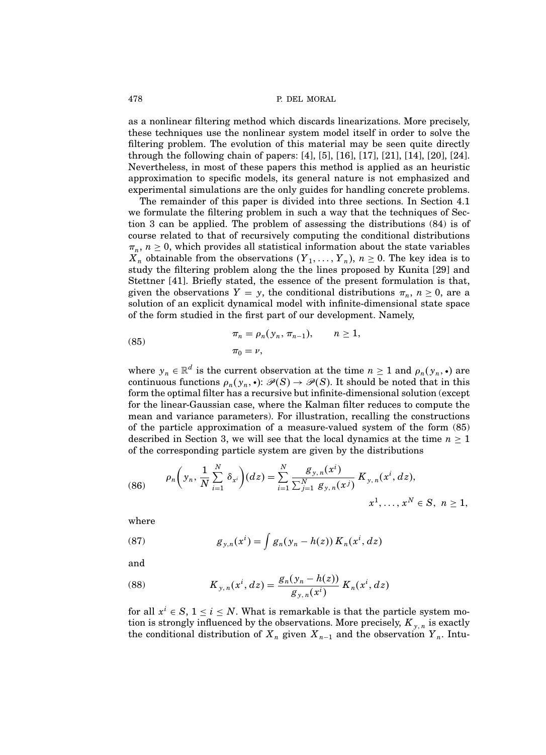as a nonlinear filtering method which discards linearizations. More precisely, these techniques use the nonlinear system model itself in order to solve the filtering problem. The evolution of this material may be seen quite directly through the following chain of papers: [4], [5], [16], [17], [21], [14], [20], [24]. Nevertheless, in most of these papers this method is applied as an heuristic approximation to specific models, its general nature is not emphasized and experimental simulations are the only guides for handling concrete problems.

The remainder of this paper is divided into three sections. In Section 4.1 we formulate the filtering problem in such a way that the techniques of Section 3 can be applied. The problem of assessing the distributions (84) is of course related to that of recursively computing the conditional distributions  $\pi_n$ ,  $n \geq 0$ , which provides all statistical information about the state variables  $X_n$  obtainable from the observations  $(Y_1, \ldots, Y_n)$ ,  $n \geq 0$ . The key idea is to study the filtering problem along the the lines proposed by Kunita [29] and Stettner [41]. Briefly stated, the essence of the present formulation is that, given the observations  $Y = y$ , the conditional distributions  $\pi_n$ ,  $n \ge 0$ , are a solution of an explicit dynamical model with infinite-dimensional state space of the form studied in the first part of our development. Namely,

(85) 
$$
\pi_n = \rho_n(y_n, \pi_{n-1}), \qquad n \ge 1, \n\pi_0 = \nu,
$$

where  $y_n \in \mathbb{R}^d$  is the current observation at the time  $n \geq 1$  and  $\rho_n(y_n, \cdot)$  are continuous functions  $\rho_n(y_n, \cdot) \colon \mathcal{P}(S) \to \mathcal{P}(S)$ . It should be noted that in this form the optimal filter has a recursive but infinite-dimensional solution (except for the linear-Gaussian case, where the Kalman filter reduces to compute the mean and variance parameters). For illustration, recalling the constructions of the particle approximation of a measure-valued system of the form (85) described in Section 3, we will see that the local dynamics at the time  $n \geq 1$ of the corresponding particle system are given by the distributions

(86) 
$$
\rho_n\bigg(y_n, \frac{1}{N}\sum_{i=1}^N \delta_{x^i}\bigg)(dz) = \sum_{i=1}^N \frac{g_{y,n}(x^i)}{\sum_{j=1}^N g_{y,n}(x^j)} K_{y,n}(x^i, dz),
$$

$$
x^1, \dots, x^N \in S, \ n \ge 1,
$$

where

(87) 
$$
g_{y,n}(x^i) = \int g_n(y_n - h(z)) K_n(x^i, dz)
$$

and

(88) 
$$
K_{y,n}(x^{i},dz) = \frac{g_{n}(y_{n} - h(z))}{g_{y,n}(x^{i})} K_{n}(x^{i},dz)
$$

for all  $x^i \in S$ ,  $1 \le i \le N$ . What is remarkable is that the particle system motion is strongly influenced by the observations. More precisely,  $K_{y,n}$  is exactly the conditional distribution of  $X_n$  given  $X_{n-1}$  and the observation  $Y_n$ . Intu-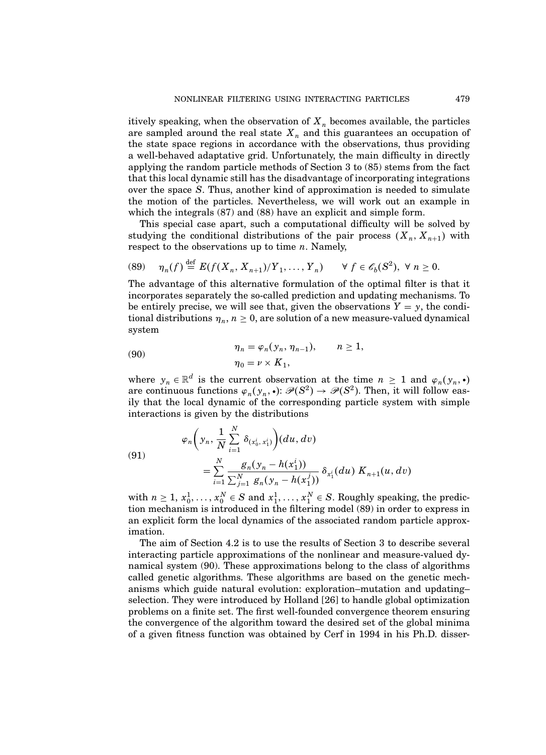itively speaking, when the observation of  $X_n$  becomes available, the particles are sampled around the real state  $X_n$  and this guarantees an occupation of the state space regions in accordance with the observations, thus providing a well-behaved adaptative grid. Unfortunately, the main difficulty in directly applying the random particle methods of Section 3 to (85) stems from the fact that this local dynamic still has the disadvantage of incorporating integrations over the space S. Thus, another kind of approximation is needed to simulate the motion of the particles. Nevertheless, we will work out an example in which the integrals (87) and (88) have an explicit and simple form.

This special case apart, such a computational difficulty will be solved by studying the conditional distributions of the pair process  $(X_n, X_{n+1})$  with respect to the observations up to time  $n$ . Namely,

$$
(89) \quad \eta_n(f) \stackrel{\text{def}}{=} E(f(X_n, X_{n+1})/Y_1, \dots, Y_n) \qquad \forall \ f \in \mathscr{C}_b(S^2), \ \forall \ n \ge 0.
$$

The advantage of this alternative formulation of the optimal filter is that it incorporates separately the so-called prediction and updating mechanisms. To be entirely precise, we will see that, given the observations  $Y = y$ , the conditional distributions  $\eta_n$ ,  $n \geq 0$ , are solution of a new measure-valued dynamical system

(90) 
$$
\eta_n = \varphi_n(y_n, \eta_{n-1}), \qquad n \ge 1,
$$

$$
\eta_0 = \nu \times K_1,
$$

where  $y_n \in \mathbb{R}^d$  is the current observation at the time  $n \geq 1$  and  $\varphi_n(y_n, \cdot)$ are continuous functions  $\varphi_n(y_n, \cdot) \colon \mathcal{P}(S^2) \to \mathcal{P}(S^2)$ . Then, it will follow easily that the local dynamic of the corresponding particle system with simple interactions is given by the distributions

(91)  

$$
\varphi_n\bigg(y_n, \frac{1}{N} \sum_{i=1}^N \delta_{(x_0^i, x_1^i)}\bigg)(du, dv)
$$

$$
= \sum_{i=1}^N \frac{g_n(y_n - h(x_1^i))}{\sum_{j=1}^N g_n(y_n - h(x_1^j))} \delta_{x_1^i}(du) K_{n+1}(u, dv)
$$

with  $n \geq 1, x_0^1, \ldots, x_0^N \in S$  and  $x_1^1, \ldots, x_1^N \in S$ . Roughly speaking, the prediction mechanism is introduced in the filtering model (89) in order to express in an explicit form the local dynamics of the associated random particle approximation.

The aim of Section 4.2 is to use the results of Section 3 to describe several interacting particle approximations of the nonlinear and measure-valued dynamical system (90). These approximations belong to the class of algorithms called genetic algorithms. These algorithms are based on the genetic mechanisms which guide natural evolution: exploration–mutation and updating– selection. They were introduced by Holland [26] to handle global optimization problems on a finite set. The first well-founded convergence theorem ensuring the convergence of the algorithm toward the desired set of the global minima of a given fitness function was obtained by Cerf in 1994 in his Ph.D. disser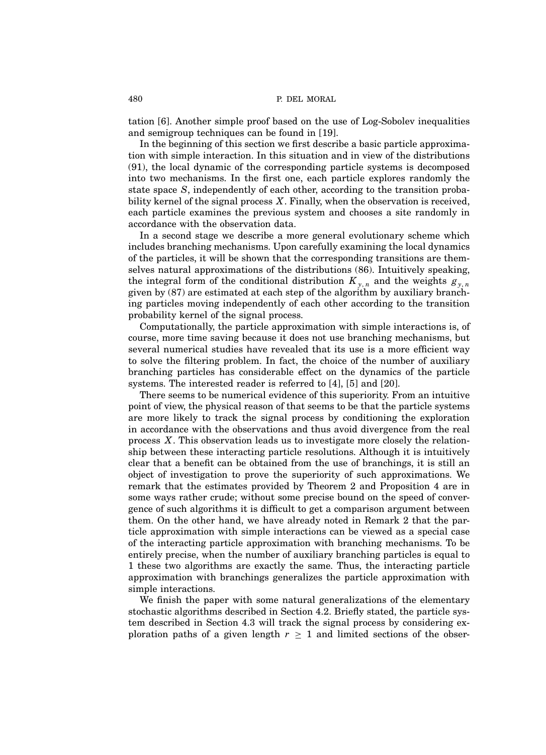tation [6]. Another simple proof based on the use of Log-Sobolev inequalities and semigroup techniques can be found in [19].

In the beginning of this section we first describe a basic particle approximation with simple interaction. In this situation and in view of the distributions (91), the local dynamic of the corresponding particle systems is decomposed into two mechanisms. In the first one, each particle explores randomly the state space S, independently of each other, according to the transition probability kernel of the signal process  $X$ . Finally, when the observation is received, each particle examines the previous system and chooses a site randomly in accordance with the observation data.

In a second stage we describe a more general evolutionary scheme which includes branching mechanisms. Upon carefully examining the local dynamics of the particles, it will be shown that the corresponding transitions are themselves natural approximations of the distributions (86). Intuitively speaking, the integral form of the conditional distribution  $K_{y,n}$  and the weights  $g_{y,n}$ given by (87) are estimated at each step of the algorithm by auxiliary branching particles moving independently of each other according to the transition probability kernel of the signal process.

Computationally, the particle approximation with simple interactions is, of course, more time saving because it does not use branching mechanisms, but several numerical studies have revealed that its use is a more efficient way to solve the filtering problem. In fact, the choice of the number of auxiliary branching particles has considerable effect on the dynamics of the particle systems. The interested reader is referred to [4], [5] and [20].

There seems to be numerical evidence of this superiority. From an intuitive point of view, the physical reason of that seems to be that the particle systems are more likely to track the signal process by conditioning the exploration in accordance with the observations and thus avoid divergence from the real process X. This observation leads us to investigate more closely the relationship between these interacting particle resolutions. Although it is intuitively clear that a benefit can be obtained from the use of branchings, it is still an object of investigation to prove the superiority of such approximations. We remark that the estimates provided by Theorem 2 and Proposition 4 are in some ways rather crude; without some precise bound on the speed of convergence of such algorithms it is difficult to get a comparison argument between them. On the other hand, we have already noted in Remark 2 that the particle approximation with simple interactions can be viewed as a special case of the interacting particle approximation with branching mechanisms. To be entirely precise, when the number of auxiliary branching particles is equal to 1 these two algorithms are exactly the same. Thus, the interacting particle approximation with branchings generalizes the particle approximation with simple interactions.

We finish the paper with some natural generalizations of the elementary stochastic algorithms described in Section 4.2. Briefly stated, the particle system described in Section 4.3 will track the signal process by considering exploration paths of a given length  $r \geq 1$  and limited sections of the obser-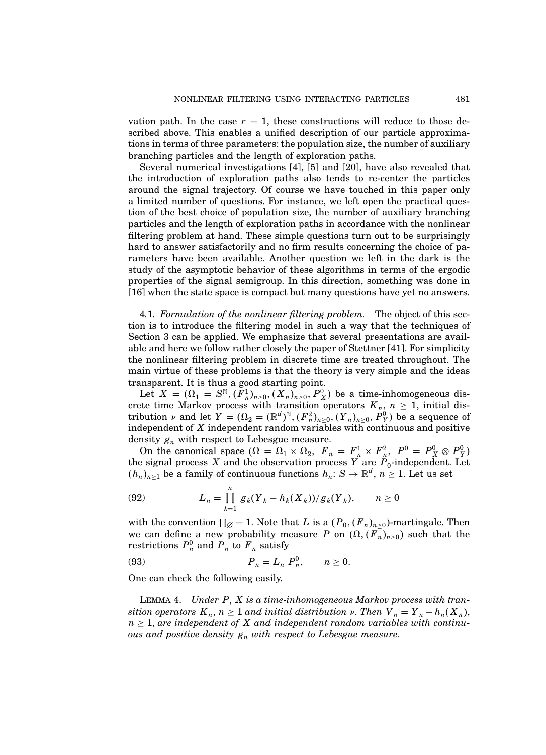vation path. In the case  $r = 1$ , these constructions will reduce to those described above. This enables a unified description of our particle approximations in terms of three parameters: the population size, the number of auxiliary branching particles and the length of exploration paths.

Several numerical investigations [4], [5] and [20], have also revealed that the introduction of exploration paths also tends to re-center the particles around the signal trajectory. Of course we have touched in this paper only a limited number of questions. For instance, we left open the practical question of the best choice of population size, the number of auxiliary branching particles and the length of exploration paths in accordance with the nonlinear filtering problem at hand. These simple questions turn out to be surprisingly hard to answer satisfactorily and no firm results concerning the choice of parameters have been available. Another question we left in the dark is the study of the asymptotic behavior of these algorithms in terms of the ergodic properties of the signal semigroup. In this direction, something was done in [16] when the state space is compact but many questions have yet no answers.

4.1. Formulation of the nonlinear filtering problem. The object of this section is to introduce the filtering model in such a way that the techniques of Section 3 can be applied. We emphasize that several presentations are available and here we follow rather closely the paper of Stettner [41]. For simplicity the nonlinear filtering problem in discrete time are treated throughout. The main virtue of these problems is that the theory is very simple and the ideas transparent. It is thus a good starting point.

Let  $X = (\Omega_1 = S^{\mathbb{N}}, (F_n^1)_{n \geq 0}, (X_n)_{n \geq 0}, P_X^0)$  be a time-inhomogeneous discrete time Markov process with transition operators  $K_n$ ,  $n \geq 1$ , initial distribution  $\nu$  and let  $Y = (\Omega_2 = (\mathbb{R}^d)^{\mathbb{N}}, (F_n^2)_{n \geq 0}, (Y_n)_{n \geq 0}, P_Y^0)$  be a sequence of independent of X independent random variables with continuous and positive density  $g_n$  with respect to Lebesgue measure.

On the canonical space  $(\Omega = \Omega_1 \times \Omega_2, F_n = F_n^1 \times F_n^2, P^0 = P_X^0 \otimes P_Y^0$ the signal process X and the observation process Y are  $P_0$ -independent. Let  $(h_n)_{n\geq 1}$  be a family of continuous functions  $h_n\colon S\to\mathbb{R}^d,$   $n\geq 1.$  Let us set

(92) 
$$
L_n = \prod_{k=1}^n g_k(Y_k - h_k(X_k))/g_k(Y_k), \qquad n \ge 0
$$

with the convention  $\prod_{\emptyset} = 1$ . Note that L is a  $(P_0, (F_n)_{n \geq 0})$ -martingale. Then we can define a new probability measure P on  $(\Omega, (F_n)_{n\geq 0})$  such that the restrictions  $P_n^0$  and  $P_n$  to  $F_n$  satisfy

(93) 
$$
P_n = L_n P_n^0, \quad n \ge 0.
$$

One can check the following easily.

LEMMA 4. Under  $P$ ,  $X$  is a time-inhomogeneous Markov process with transition operators  $K_n$ ,  $n \geq 1$  and initial distribution v. Then  $V_n = Y_n - h_n(X_n)$ ,  $n \geq 1$ , are independent of X and independent random variables with continuous and positive density  $g_n$  with respect to Lebesgue measure.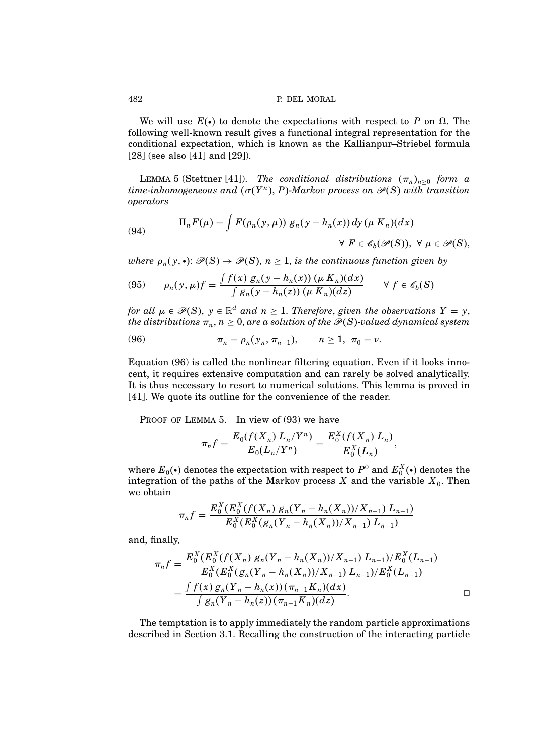We will use  $E(\cdot)$  to denote the expectations with respect to P on  $\Omega$ . The following well-known result gives a functional integral representation for the conditional expectation, which is known as the Kallianpur–Striebel formula [28] (see also [41] and [29]).

LEMMA 5 (Stettner [41]). The conditional distributions  $(\pi_n)_{n\geq 0}$  form a time-inhomogeneous and  $(\sigma(Y^n), P)$ -Markov process on  $\mathscr{P}(S)$  with transition operators

(94) 
$$
\Pi_n F(\mu) = \int F(\rho_n(y, \mu)) g_n(y - h_n(x)) dy (\mu K_n)(dx)
$$

$$
\forall F \in \mathscr{E}_b(\mathscr{P}(S)), \forall \mu \in \mathscr{P}(S),
$$

where  $\rho_n(y,\bullet)$ :  $\mathscr{P}(S) \to \mathscr{P}(S),$   $n \geq 1$ , is the continuous function given by

$$
(95) \qquad \rho_n(y,\mu)f = \frac{\int f(x) g_n(y - h_n(x)) (\mu K_n)(dx)}{\int g_n(y - h_n(z)) (\mu K_n)(dz)} \qquad \forall \ f \in \mathscr{E}_b(S)
$$

for all  $\mu \in \mathscr{P}(S)$ ,  $y \in \mathbb{R}^d$  and  $n \geq 1$ . Therefore, given the observations  $Y = y$ , the distributions  $\pi_n,$   $n\geq 0,$  are a solution of the  $\mathscr{P}(S)$ -valued dynamical system

(96) 
$$
\pi_n = \rho_n(y_n, \pi_{n-1}), \qquad n \ge 1, \ \pi_0 = \nu.
$$

Equation (96) is called the nonlinear filtering equation. Even if it looks innocent, it requires extensive computation and can rarely be solved analytically. It is thus necessary to resort to numerical solutions. This lemma is proved in [41]. We quote its outline for the convenience of the reader.

PROOF OF LEMMA 5. In view of (93) we have

$$
\pi_n f = \frac{E_0(f(X_n) L_n / Y^n)}{E_0(L_n / Y^n)} = \frac{E_0^X(f(X_n) L_n)}{E_0^X(L_n)},
$$

where  $E_0(\cdot)$  denotes the expectation with respect to  $P^0$  and  $E_0^X(\cdot)$  denotes the integration of the paths of the Markov process  $X$  and the variable  $X_0$ . Then we obtain

$$
\pi_n f = \frac{E_0^X (E_0^X(f(X_n) g_n(Y_n - h_n(X_n))/X_{n-1}) L_{n-1})}{E_0^X (E_0^X(g_n(Y_n - h_n(X_n))/X_{n-1}) L_{n-1})}
$$

and, finally,

$$
\pi_n f = \frac{E_0^X (E_0^X (f(X_n) g_n(Y_n - h_n(X_n))/X_{n-1}) L_{n-1}) / E_0^X (L_{n-1})}{E_0^X (E_0^X (g_n(Y_n - h_n(X_n))/X_{n-1}) L_{n-1}) / E_0^X (L_{n-1})}
$$
  
= 
$$
\frac{\int f(x) g_n(Y_n - h_n(x)) (\pi_{n-1} K_n)(dx)}{\int g_n(Y_n - h_n(z)) (\pi_{n-1} K_n)(dz)}.
$$

The temptation is to apply immediately the random particle approximations described in Section 3.1. Recalling the construction of the interacting particle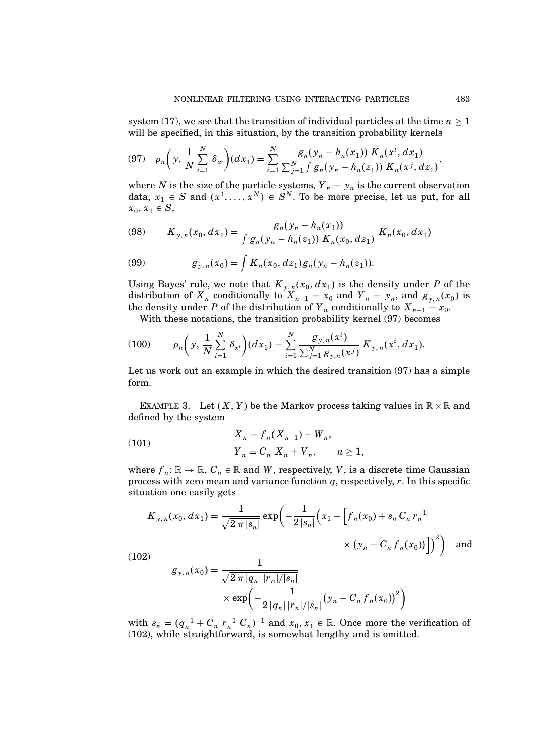system (17), we see that the transition of individual particles at the time  $n \geq 1$ will be specified, in this situation, by the transition probability kernels

$$
(97) \quad \rho_n\bigg(y,\frac{1}{N}\sum_{i=1}^N\delta_{x^i}\bigg)(dx_1) = \sum_{i=1}^N \frac{g_n(y_n - h_n(x_1)) K_n(x^i, dx_1)}{\sum_{j=1}^N \int g_n(y_n - h_n(z_1)) K_n(x^j, dx_1)},
$$

where N is the size of the particle systems,  $Y_n = y_n$  is the current observation data,  $x_1 \in S$  and  $(x^1, \ldots, x^N) \in S^N$ . To be more precise, let us put, for all  $x_0, x_1 \in S,$ 

$$
(98) \qquad K_{y,n}(x_0, dx_1) = \frac{g_n(y_n - h_n(x_1))}{\int g_n(y_n - h_n(z_1)) \; K_n(x_0, dz_1)} \; K_n(x_0, dx_1)
$$

(99) 
$$
g_{y,n}(x_0) = \int K_n(x_0, dz_1) g_n(y_n - h_n(z_1)).
$$

Using Bayes' rule, we note that  $K_{y,n}(x_0, dx_1)$  is the density under P of the distribution of  $X_n$  conditionally to  $X_{n-1} = x_0$  and  $Y_n = y_n$ , and  $g_{y,n}(x_0)$  is the density under P of the distribution of  $Y_n$  conditionally to  $X_{n-1} = x_0$ .

With these notations, the transition probability kernel (97) becomes

(100) 
$$
\rho_n\bigg(y,\frac{1}{N}\sum_{i=1}^N\delta_{x^i}\bigg)(dx_1)=\sum_{i=1}^N\frac{g_{y,n}(x^i)}{\sum_{j=1}^N g_{y,n}(x^j)}K_{y,n}(x^i,dx_1).
$$

Let us work out an example in which the desired transition (97) has a simple form.

EXAMPLE 3. Let  $(X, Y)$  be the Markov process taking values in  $\mathbb{R} \times \mathbb{R}$  and defined by the system

(101) 
$$
X_n = f_n(X_{n-1}) + W_n,
$$

$$
Y_n = C_n X_n + V_n, \qquad n \ge 1,
$$

where  $f_n: \mathbb{R} \to \mathbb{R}$ ,  $C_n \in \mathbb{R}$  and W, respectively, V, is a discrete time Gaussian process with zero mean and variance function  $q$ , respectively,  $r$ . In this specific situation one easily gets

$$
K_{y,n}(x_0, dx_1) = \frac{1}{\sqrt{2 \pi |s_n|}} \exp\left(-\frac{1}{2|s_n|} \left(x_1 - \left[f_n(x_0) + s_n C_n r_n^{-1} \times (y_n - C_n f_n(x_0))\right]\right)^2\right)
$$
 and

 $(102)$ 

$$
g_{y,n}(x_0) = \frac{1}{\sqrt{2 \pi |q_n| |r_n|/|s_n|}}
$$
  
 
$$
\times \exp\left(-\frac{1}{2|q_n| |r_n|/|s_n|} (y_n - C_n f_n(x_0))^2\right)
$$

with  $s_n = (q_n^{-1} + C_n r_n^{-1} C_n)^{-1}$  and  $x_0, x_1 \in \mathbb{R}$ . Once more the verification of (102), while straightforward, is somewhat lengthy and is omitted.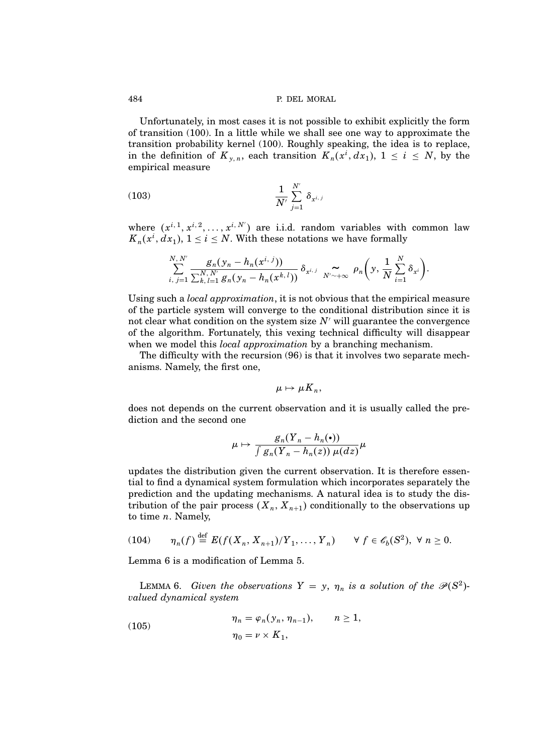Unfortunately, in most cases it is not possible to exhibit explicitly the form of transition (100). In a little while we shall see one way to approximate the transition probability kernel (100). Roughly speaking, the idea is to replace, in the definition of  $K_{y,n}$ , each transition  $K_n(x^i, dx_1)$ ,  $1 \leq i \leq N$ , by the empirical measure

(103) 
$$
\frac{1}{N'} \sum_{j=1}^{N'} \delta_{x^{i,j}}
$$

where  $(x^{i,1}, x^{i,2}, \ldots, x^{i,N'})$  are i.i.d. random variables with common law  $K_n(x^i, dx_1), 1 \le i \le N$ . With these notations we have formally

$$
\sum_{i, j=1}^{N, N'} \frac{g_n(y_n-h_n(x^{i, j}))}{\sum_{k, l=1}^{N, N'} g_n(y_n-h_n(x^{k, l}))} \, \delta_{x^{i, j}} \, \mathop{\sim}\limits_{N' \sim +\infty} \, \rho_n\bigg( y, \frac{1}{N} \sum_{i=1}^N \delta_{x^i} \bigg).
$$

Using such a *local approximation*, it is not obvious that the empirical measure of the particle system will converge to the conditional distribution since it is not clear what condition on the system size  $N'$  will guarantee the convergence of the algorithm. Fortunately, this vexing technical difficulty will disappear when we model this *local approximation* by a branching mechanism.

The difficulty with the recursion (96) is that it involves two separate mechanisms. Namely, the first one,

$$
\mu\mapsto\mu\overline{K}_n,
$$

does not depends on the current observation and it is usually called the prediction and the second one

$$
\mu \mapsto \frac{g_n(Y_n - h_n(\bullet))}{\int g_n(Y_n - h_n(z)) \, \mu(dz)} \mu
$$

updates the distribution given the current observation. It is therefore essential to find a dynamical system formulation which incorporates separately the prediction and the updating mechanisms. A natural idea is to study the distribution of the pair process  $(X_n, X_{n+1})$  conditionally to the observations up to time  $n$ . Namely,

$$
(104) \qquad \eta_n(f) \stackrel{\text{def}}{=} E(f(X_n, X_{n+1})/Y_1, \ldots, Y_n) \qquad \forall \ f \in \mathscr{C}_b(S^2), \ \forall \ n \ge 0.
$$

Lemma 6 is a modification of Lemma 5.

LEMMA 6. Given the observations  $Y = y$ ,  $\eta_n$  is a solution of the  $\mathcal{P}(S^2)$ valued dynamical system

(105) 
$$
\eta_n = \varphi_n(y_n, \eta_{n-1}), \qquad n \ge 1,
$$

$$
\eta_0 = \nu \times K_1,
$$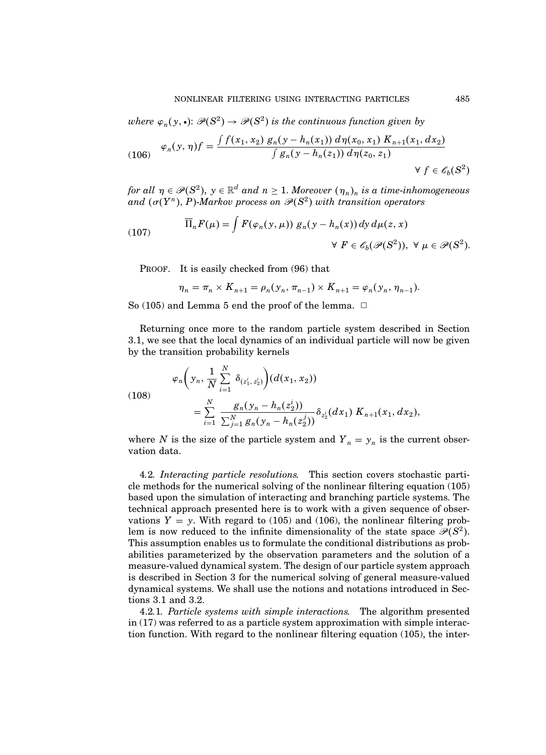where  $\varphi_n(y,\bullet)$ :  $\mathscr{P}(S^2)\to \mathscr{P}(S^2)$  is the continuous function given by

(106) 
$$
\varphi_n(y, \eta) f = \frac{\int f(x_1, x_2) g_n(y - h_n(x_1)) d\eta(x_0, x_1) K_{n+1}(x_1, dx_2)}{\int g_n(y - h_n(z_1)) d\eta(z_0, z_1)} \quad \forall \ f \in \mathscr{E}_b(S^2)
$$

for all  $\eta \in \mathcal{P}(S^2)$ ,  $y \in \mathbb{R}^d$  and  $n \geq 1$ . Moreover  $(\eta_n)_n$  is a time-inhomogeneous and  $(\sigma(Y^n), P)$ -Markov process on  $\mathscr{P}(S^2)$  with transition operators

(107) 
$$
\overline{\Pi}_n F(\mu) = \int F(\varphi_n(y, \mu)) g_n(y - h_n(x)) dy d\mu(z, x) \quad \forall F \in \mathscr{C}_b(\mathscr{P}(S^2)), \ \forall \ \mu \in \mathscr{P}(S^2).
$$

PROOF. It is easily checked from  $(96)$  that

$$
\eta_n = \pi_n \times K_{n+1} = \rho_n(y_n, \pi_{n-1}) \times K_{n+1} = \varphi_n(y_n, \eta_{n-1}).
$$

So (105) and Lemma 5 end the proof of the lemma.  $\Box$ 

Returning once more to the random particle system described in Section 3.1, we see that the local dynamics of an individual particle will now be given by the transition probability kernels

(108)  

$$
\varphi_n\bigg(y_n, \frac{1}{N} \sum_{i=1}^N \delta_{(z_1^i, z_2^i)}\bigg)(d(x_1, x_2))
$$

$$
= \sum_{i=1}^N \frac{g_n(y_n - h_n(z_2^i))}{\sum_{j=1}^N g_n(y_n - h_n(z_2^j))} \delta_{z_2^i}(dx_1) K_{n+1}(x_1, dx_2),
$$

where N is the size of the particle system and  $Y_n = y_n$  is the current observation data.

4.2. Interacting particle resolutions. This section covers stochastic particle methods for the numerical solving of the nonlinear filtering equation (105) based upon the simulation of interacting and branching particle systems. The technical approach presented here is to work with a given sequence of observations  $Y = y$ . With regard to (105) and (106), the nonlinear filtering problem is now reduced to the infinite dimensionality of the state space  $\mathcal{P}(S^2)$ . This assumption enables us to formulate the conditional distributions as probabilities parameterized by the observation parameters and the solution of a measure-valued dynamical system. The design of our particle system approach is described in Section 3 for the numerical solving of general measure-valued dynamical systems. We shall use the notions and notations introduced in Sections 3.1 and 3.2.

4.2.1. Particle systems with simple interactions. The algorithm presented in (17) was referred to as a particle system approximation with simple interaction function. With regard to the nonlinear filtering equation (105), the inter-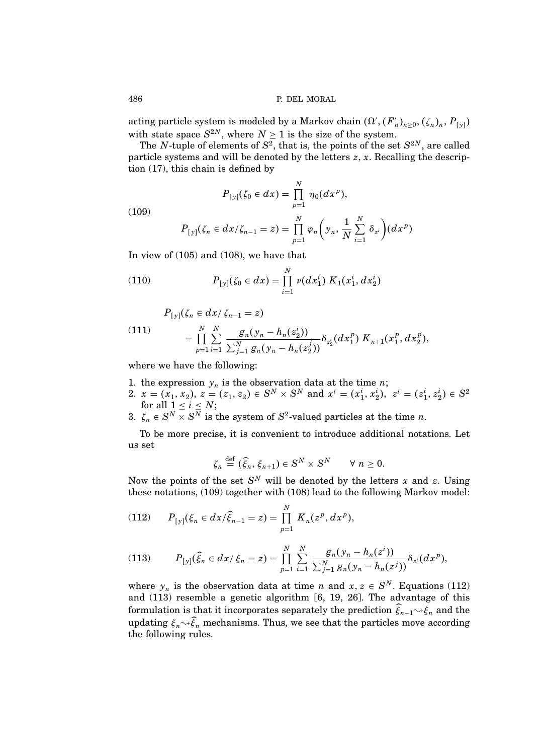acting particle system is modeled by a Markov chain  $(\Omega', (F'_n)_{n \geq 0}, (\zeta_n)_n, P_{[y]})$ with state space  $S^{2N}$ , where  $N \geq 1$  is the size of the system.

The N-tuple of elements of  $S^2$ , that is, the points of the set  $S^{2N}$ , are called particle systems and will be denoted by the letters  $z, x$ . Recalling the description (17), this chain is defined by

$$
P_{[y]}(\zeta_0 \in dx) = \prod_{p=1}^N \eta_0(dx^p),
$$

$$
P_{[y]}(\zeta_n \in dx/\zeta_{n-1} = z) = \prod_{p=1}^N \varphi_n\bigg(y_n, \frac{1}{N} \sum_{i=1}^N \delta_{z^i}\bigg)(dx^p)
$$

In view of (105) and (108), we have that

(110) 
$$
P_{[y]}(\zeta_0 \in dx) = \prod_{i=1}^N \nu(dx_1^i) K_1(x_1^i, dx_2^i)
$$

 $P_{[y]}(\zeta_n \in dx / \zeta_{n-1} = z)$ 

(111) 
$$
= \prod_{p=1}^N \sum_{i=1}^N \frac{g_n(y_n - h_n(z_2^i))}{\sum_{j=1}^N g_n(y_n - h_n(z_2^j))} \delta_{z_2^i}(dx_1^p) K_{n+1}(x_1^p, dx_2^p),
$$

where we have the following:

- 1. the expression  $y_n$  is the observation data at the time *n*;
- 2.  $x = (x_1, x_2), z = (z_1, z_2) \in S^N \times S^N$  and  $x^i = (x_1^i, x_2^i), z^i = (z_1^i, z_2^i) \in S^2$ for all  $1 \leq i \leq N$ ;
- 3.  $\zeta_n \in S^N \times S^N$  is the system of  $S^2$ -valued particles at the time *n*.

To be more precise, it is convenient to introduce additional notations. Let us set

$$
\zeta_n \stackrel{\text{def}}{=} (\widehat{\xi}_n, \xi_{n+1}) \in S^N \times S^N \qquad \forall n \geq 0.
$$

Now the points of the set  $S^N$  will be denoted by the letters x and z. Using these notations, (109) together with (108) lead to the following Markov model:

(112) 
$$
P_{[y]}(\xi_n \in dx/\widehat{\xi}_{n-1} = z) = \prod_{p=1}^N K_n(z^p, dx^p),
$$

(113) 
$$
P_{[y]}(\hat{\xi}_n \in dx \mid \xi_n = z) = \prod_{p=1}^N \sum_{i=1}^N \frac{g_n(y_n - h_n(z^i))}{\sum_{j=1}^N g_n(y_n - h_n(z^j))} \delta_{z^i}(dx^p),
$$

where  $y_n$  is the observation data at time n and  $x, z \in S^N$ . Equations (112) and (113) resemble a genetic algorithm [6, 19, 26]. The advantage of this formulation is that it incorporates separately the prediction  $\xi_{n-1} \sim \xi_n$  and the updating  $\xi_n \leadsto \widehat{\xi}_n$  mechanisms. Thus, we see that the particles move according the following rules.

(109)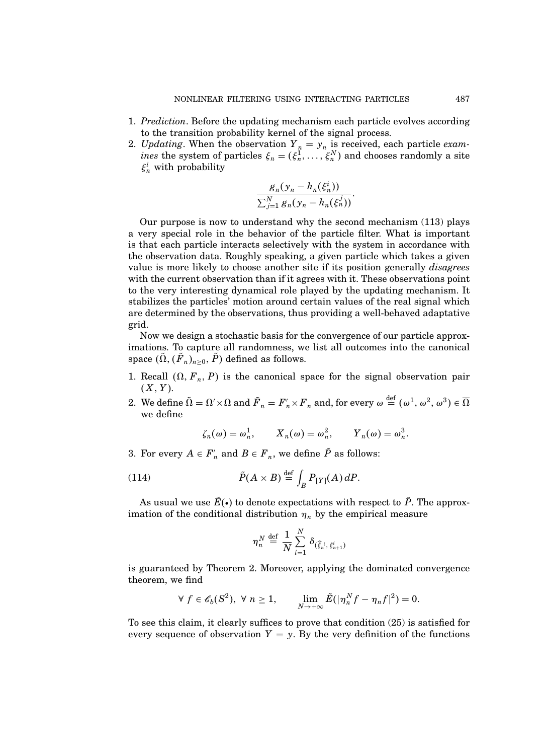- 1. Prediction. Before the updating mechanism each particle evolves according to the transition probability kernel of the signal process.
- 2. Updating. When the observation  $Y_n = y_n$  is received, each particle exam*ines* the system of particles  $\xi_n = (\xi_n^1, \ldots, \xi_n^N)$  and chooses randomly a site  $\xi_n^i$  with probability

$$
\frac{g_n(y_n-h_n(\xi_n^i))}{\sum_{j=1}^N g_n(y_n-h_n(\xi_n^j))}.
$$

Our purpose is now to understand why the second mechanism (113) plays a very special role in the behavior of the particle filter. What is important is that each particle interacts selectively with the system in accordance with the observation data. Roughly speaking, a given particle which takes a given value is more likely to choose another site if its position generally disagrees with the current observation than if it agrees with it. These observations point to the very interesting dynamical role played by the updating mechanism. It stabilizes the particles' motion around certain values of the real signal which are determined by the observations, thus providing a well-behaved adaptative grid.

Now we design a stochastic basis for the convergence of our particle approximations. To capture all randomness, we list all outcomes into the canonical space  $(\Omega, (F_n)_{n\geq 0}, P)$  defined as follows.

- 1. Recall  $(\Omega, F_n, P)$  is the canonical space for the signal observation pair  $(X, Y)$ .
- 2. We define  $\tilde{\Omega} = \Omega' \times \Omega$  and  $\tilde{F}_n = F'_n \times F_n$  and, for every  $\omega \stackrel{\text{def}}{=} (\omega^1, \omega^2, \omega^3) \in \overline{\Omega}$ we define

$$
\zeta_n(\omega) = \omega_n^1
$$
,  $X_n(\omega) = \omega_n^2$ ,  $Y_n(\omega) = \omega_n^3$ .

3. For every  $A \in F'_n$  and  $B \in F_n$ , we define P as follows:

(114) 
$$
\tilde{P}(A \times B) \stackrel{\text{def}}{=} \int_{B} P_{[Y]}(A) dP.
$$

As usual we use  $\tilde{E}(\cdot)$  to denote expectations with respect to  $\tilde{P}$ . The approximation of the conditional distribution  $\eta_n$  by the empirical measure

$$
\eta_n^N \stackrel{\text{def}}{=} \frac{1}{N} \sum_{i=1}^N \delta_{(\widehat{\xi}_n^i, \xi_{n+1}^i)}
$$

is guaranteed by Theorem 2. Moreover, applying the dominated convergence theorem, we find

$$
\forall f \in \mathscr{E}_b(S^2), \ \forall n \ge 1, \qquad \lim_{N \to +\infty} \tilde{E}(|\eta_n^N f - \eta_n f|^2) = 0.
$$

To see this claim, it clearly suffices to prove that condition (25) is satisfied for every sequence of observation  $Y = y$ . By the very definition of the functions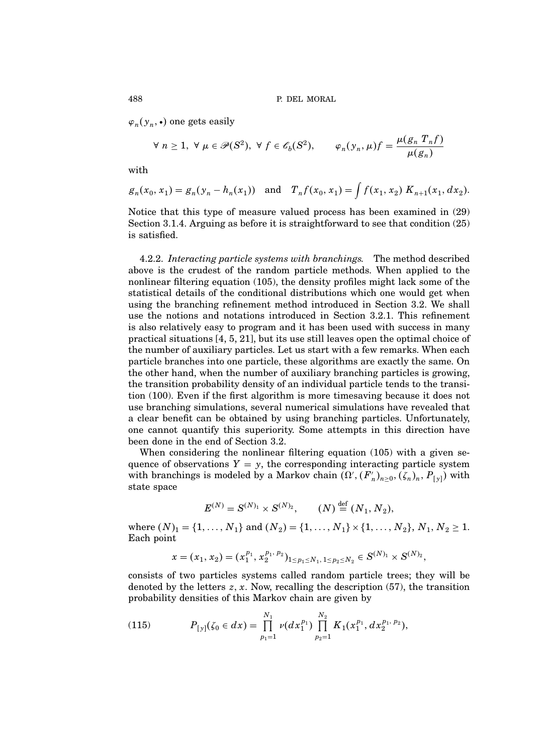$\varphi_n(y_n, \bullet)$  one gets easily

$$
\forall n \ge 1, \ \forall \mu \in \mathscr{P}(S^2), \ \forall \ f \in \mathscr{E}_b(S^2), \qquad \varphi_n(y_n, \mu) f = \frac{\mu(g_n \ T_n f)}{\mu(g_n)}
$$

with

$$
g_n(x_0, x_1) = g_n(y_n - h_n(x_1))
$$
 and  $T_n f(x_0, x_1) = \int f(x_1, x_2) K_{n+1}(x_1, dx_2).$ 

Notice that this type of measure valued process has been examined in (29) Section 3.1.4. Arguing as before it is straightforward to see that condition (25) is satisfied.

4.2.2. Interacting particle systems with branchings. The method described above is the crudest of the random particle methods. When applied to the nonlinear filtering equation (105), the density profiles might lack some of the statistical details of the conditional distributions which one would get when using the branching refinement method introduced in Section 3.2. We shall use the notions and notations introduced in Section 3.2.1. This refinement is also relatively easy to program and it has been used with success in many practical situations [4, 5, 21], but its use still leaves open the optimal choice of the number of auxiliary particles. Let us start with a few remarks. When each particle branches into one particle, these algorithms are exactly the same. On the other hand, when the number of auxiliary branching particles is growing, the transition probability density of an individual particle tends to the transition (100). Even if the first algorithm is more timesaving because it does not use branching simulations, several numerical simulations have revealed that a clear benefit can be obtained by using branching particles. Unfortunately, one cannot quantify this superiority. Some attempts in this direction have been done in the end of Section 3.2.

When considering the nonlinear filtering equation (105) with a given sequence of observations  $Y = y$ , the corresponding interacting particle system with branchings is modeled by a Markov chain  $(\Omega', (F'_n)_{n \geq 0}, (\zeta_n)_n, P_{[y]})$  with state space

$$
E^{(N)} = S^{(N)_1} \times S^{(N)_2}, \qquad (N) \stackrel{\text{def}}{=} (N_1, N_2),
$$

where  $(N)_1 = \{1, \ldots, N_1\}$  and  $(N_2) = \{1, \ldots, N_1\} \times \{1, \ldots, N_2\}, N_1, N_2 \ge 1$ . Each point

$$
x=(x_1,x_2)=(x_1^{p_1},x_2^{p_1,p_2})_{1\leq p_1\leq N_1,\ 1\leq p_2\leq N_2}\in S^{(N)_1}\times S^{(N)_2},
$$

consists of two particles systems called random particle trees; they will be denoted by the letters  $z$ ,  $x$ . Now, recalling the description (57), the transition probability densities of this Markov chain are given by

(115) 
$$
P_{[y]}(\zeta_0 \in dx) = \prod_{p_1=1}^{N_1} \nu(dx_1^{p_1}) \prod_{p_2=1}^{N_2} K_1(x_1^{p_1}, dx_2^{p_1, p_2}),
$$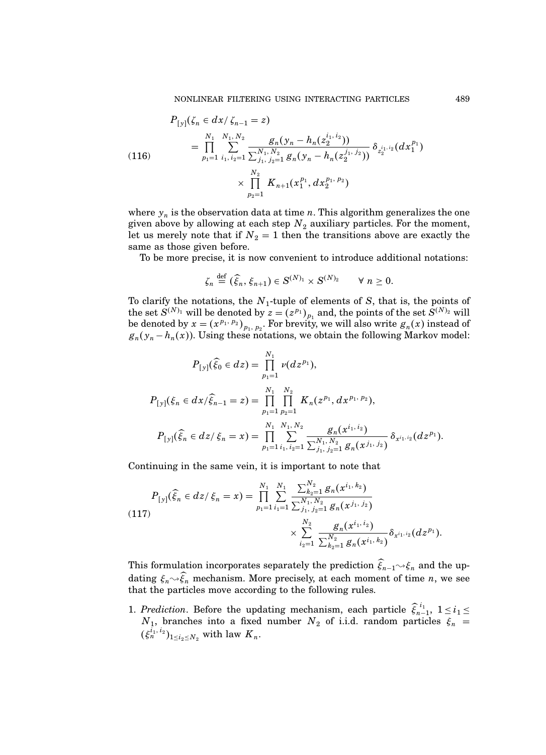(116)  
\n
$$
P_{[y]}(\zeta_n \in dx / \zeta_{n-1} = z)
$$
\n
$$
= \prod_{p_1=1}^{N_1} \sum_{i_1, i_2=1}^{N_1, N_2} \frac{g_n(y_n - h_n(z_2^{i_1, i_2}))}{\sum_{j_1, j_2=1}^{N_1, N_2} g_n(y_n - h_n(z_2^{j_1, j_2}))} \delta_{z_2^{i_1, i_2}}(dx_1^{p_1})
$$
\n
$$
\times \prod_{p_2=1}^{N_2} K_{n+1}(x_1^{p_1}, dx_2^{p_1, p_2})
$$

where  $y_n$  is the observation data at time n. This algorithm generalizes the one given above by allowing at each step  $N_2$  auxiliary particles. For the moment, let us merely note that if  $N_2 = 1$  then the transitions above are exactly the same as those given before.

To be more precise, it is now convenient to introduce additional notations:

$$
\zeta_n \stackrel{\text{def}}{=} (\widehat{\xi}_n, \xi_{n+1}) \in S^{(N)_1} \times S^{(N)_2} \qquad \forall n \geq 0.
$$

To clarify the notations, the  $N_1$ -tuple of elements of S, that is, the points of the set  $S^{(N)_1}$  will be denoted by  $z = (z^{p_1})_{p_1}$  and, the points of the set  $S^{(N)_2}$  will be denoted by  $x = (x^{p_1, p_2})_{p_1, p_2}$ . For brevity, we will also write  $g_n(x)$  instead of  $g_n(y_n - h_n(x))$ . Using these notations, we obtain the following Markov model:

$$
P_{[y]}(\widehat{\xi}_0 \in dz) = \prod_{p_1=1}^{N_1} \nu(dz^{p_1}),
$$
  
\n
$$
P_{[y]}(\xi_n \in dx/\widehat{\xi}_{n-1} = z) = \prod_{p_1=1}^{N_1} \prod_{p_2=1}^{N_2} K_n(z^{p_1}, dx^{p_1, p_2}),
$$
  
\n
$$
P_{[y]}(\widehat{\xi}_n \in dz/\xi_n = x) = \prod_{p_1=1}^{N_1} \sum_{i_1, i_2=1}^{N_1, N_2} \frac{g_n(x^{i_1, i_2})}{\sum_{j_1, j_2=1}^{N_1, N_2} g_n(x^{j_1, j_2})} \delta_{x^{i_1, i_2}}(dz^{p_1}).
$$

Continuing in the same vein, it is important to note that

$$
P_{[y]}(\widehat{\xi}_n \in dz/\xi_n = x) = \prod_{p_1=1}^{N_1} \sum_{i_1=1}^{N_1} \frac{\sum_{k_2=1}^{N_2} g_n(x^{i_1, k_2})}{\sum_{j_1, j_2=1}^{N_1, N_2} g_n(x^{j_1, j_2})} \times \sum_{i_2=1}^{N_2} \frac{g_n(x^{i_1, i_2})}{\sum_{k_2=1}^{N_2} g_n(x^{i_1, k_2})} \delta_{x^{i_1, i_2}}(dz^{p_1}).
$$

This formulation incorporates separately the prediction  $\widehat{\xi}_{n-1} \rightarrow \xi_n$  and the updating  $\xi_n \rightarrow \widehat{\xi}_n$  mechanism. More precisely, at each moment of time n, we see that the particles move according to the following rules.

1. Prediction. Before the updating mechanism, each particle  $\hat{\xi}_{n-1}^{i_1}$ ,  $1 \leq i_1 \leq j_2$  $N_1$ , branches into a fixed number  $N_2$  of i.i.d. random particles  $\xi_n$  =  $(\xi_n^{i_1, i_2})_{1 \le i_2 \le N_2}$  with law  $K_n$ .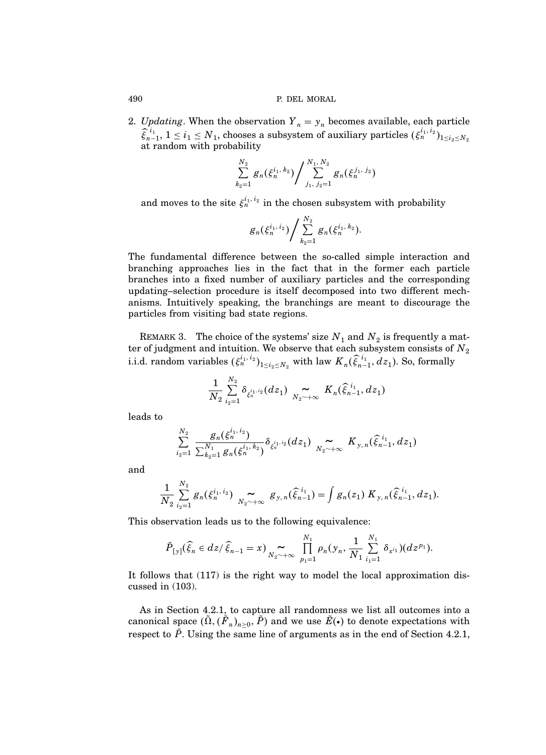2. Updating. When the observation  $Y_n = y_n$  becomes available, each particle  $\widehat{\xi}_{n-1}^{i_1}, 1 \leq i_1 \leq N_1$ , chooses a subsystem of auxiliary particles  $(\xi_n^{i_1,i_2})_{1 \leq i_2 \leq N_2}$ at random with probability

$$
\sum_{k_2=1}^{N_2} g_n(\xi_n^{i_1,\,k_2})\Bigg/\sum_{j_1,\,j_2=1}^{N_1,\,N_2} g_n(\xi_n^{j_1,\,j_2})
$$

and moves to the site  $\xi_n^{i_1, i_2}$  in the chosen subsystem with probability

$$
g_n(\xi_n^{i_1,\,i_2})\Bigg/\sum_{k_2=1}^{N_2}g_n(\xi_n^{i_1,\,k_2}).
$$

The fundamental difference between the so-called simple interaction and branching approaches lies in the fact that in the former each particle branches into a fixed number of auxiliary particles and the corresponding updating–selection procedure is itself decomposed into two different mechanisms. Intuitively speaking, the branchings are meant to discourage the particles from visiting bad state regions.

REMARK 3. The choice of the systems' size  $N_1$  and  $N_2$  is frequently a matter of judgment and intuition. We observe that each subsystem consists of  $N_{2}$ i.i.d. random variables  $(\xi_n^{i_1, i_2})_{1 \le i_2 \le N_2}$  with law  $K_n(\widehat{\xi}_{n-1}^{i_1}, dz_1)$ . So, formally

$$
\frac{1}{N_2}\sum_{i_2=1}^{N_2}\delta_{\xi_n^{i_1,i_2}}(dz_1)\underset{N_2\sim+\infty}{\sim} K_n(\hat{\xi}_{n-1}^{i_1},dz_1)
$$

leads to

$$
\sum_{i_2=1}^{N_2}\frac{g_n(\xi_n^{i_1,\,i_2})}{\sum_{k_2=1}^{N_1} g_n(\xi_n^{i_1,\,k_2})}\delta_{\xi_n^{i_1,\,i_2}}(dz_1)\,\mathop{\sim}\limits_{N_2\sim+\infty}\,K_{y,\,n}(\widehat{\xi}_{n-1}^{\,\,i_1},dz_1)
$$

and

$$
\frac{1}{N_2}\sum_{i_2=1}^{N_2}g_n(\xi_n^{i_1,\,i_2})\,\sum_{N_2\sim+\infty}\,\mathcal{G}_{y,\,n}(\widehat{\xi}_{n-1}^{\,i_1})=\int g_n(z_1)\;K_{y,\,n}(\widehat{\xi}_{n-1}^{\,i_1},dz_1).
$$

This observation leads us to the following equivalence:

$$
\tilde{P}_{[y]}(\widehat{\xi}_n \in dz/\widehat{\xi}_{n-1} = x) \sum_{N_2 \sim +\infty} \prod_{p_1=1}^{N_1} \rho_n(y_n, \frac{1}{N_1} \sum_{i_1=1}^{N_1} \delta_{x^{i_1}})(dz^{p_1}).
$$

It follows that (117) is the right way to model the local approximation discussed in (103).

As in Section 4.2.1, to capture all randomness we list all outcomes into a canonical space  $(\Omega,({F}_n)_{n\geq 0},P)$  and we use  $E(\bullet)$  to denote expectations with respect to  $\tilde{P}$ . Using the same line of arguments as in the end of Section 4.2.1,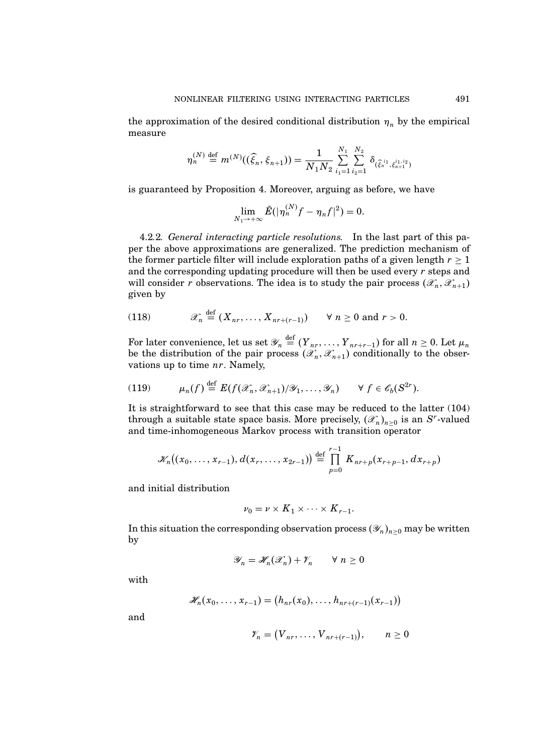the approximation of the desired conditional distribution  $\eta_n$  by the empirical measure

$$
\eta_n^{(N)} \stackrel{\text{def}}{=} m^{(N)}((\widehat{\xi}_n, \xi_{n+1})) = \frac{1}{N_1 N_2} \sum_{i_1=1}^{N_1} \sum_{i_2=1}^{N_2} \delta_{(\widehat{\xi}_n^{i_1}, \xi_{n+1}^{i_1, i_2})}
$$

is guaranteed by Proposition 4. Moreover, arguing as before, we have

$$
\lim_{N_1\to+\infty}\tilde{E}(|\eta_n^{(N)}f-\eta_nf|^2)=0.
$$

4.2.2. General interacting particle resolutions. In the last part of this paper the above approximations are generalized. The prediction mechanism of the former particle filter will include exploration paths of a given length  $r \geq 1$ and the corresponding updating procedure will then be used every  $r$  steps and will consider r observations. The idea is to study the pair process  $(\mathscr{X}_n, \mathscr{X}_{n+1})$ given by

(118) 
$$
\mathscr{X}_n \stackrel{\text{def}}{=} (X_{nr}, \dots, X_{nr+(r-1)}) \quad \forall n \ge 0 \text{ and } r > 0.
$$

For later convenience, let us set  $\mathscr{Y}_n \stackrel{\text{def}}{=} (Y_{nr}, \ldots, Y_{nr+r-1})$  for all  $n \geq 0$ . Let  $\mu_n$ be the distribution of the pair process  $(\mathscr{X}_n, \mathscr{X}_{n+1})$  conditionally to the observations up to time nr. Namely,

(119) 
$$
\mu_n(f) \stackrel{\text{def}}{=} E(f(\mathscr{X}_n, \mathscr{X}_{n+1})/\mathscr{Y}_1, \dots, \mathscr{Y}_n) \quad \forall f \in \mathscr{E}_b(S^{2r}).
$$

It is straightforward to see that this case may be reduced to the latter (104) through a suitable state space basis. More precisely,  $(\mathscr{X}_n)_{n\geq 0}$  is an S<sup>r</sup>-valued and time-inhomogeneous Markov process with transition operator

$$
\mathscr{K}_n((x_0,\ldots,x_{r-1}),d(x_r,\ldots,x_{2r-1}))\stackrel{\text{def}}{=} \prod_{p=0}^{r-1} K_{nr+p}(x_{r+p-1},dx_{r+p})
$$

and initial distribution

$$
\nu_0 = \nu \times K_1 \times \cdots \times K_{r-1}.
$$

In this situation the corresponding observation process  $(\mathscr{Y}_n)_{n\geq 0}$  may be written by

$$
\mathscr{Y}_n = \mathscr{H}_n(\mathscr{X}_n) + \mathscr{V}_n \qquad \forall n \ge 0
$$

with

$$
\mathscr{H}_n(x_0,\ldots,x_{r-1})=\big(h_{nr}(x_0),\ldots,h_{nr+(r-1)}(x_{r-1})\big)
$$

and

$$
\mathscr{V}_n = (V_{nr}, \ldots, V_{nr+(r-1)}), \qquad n \ge 0
$$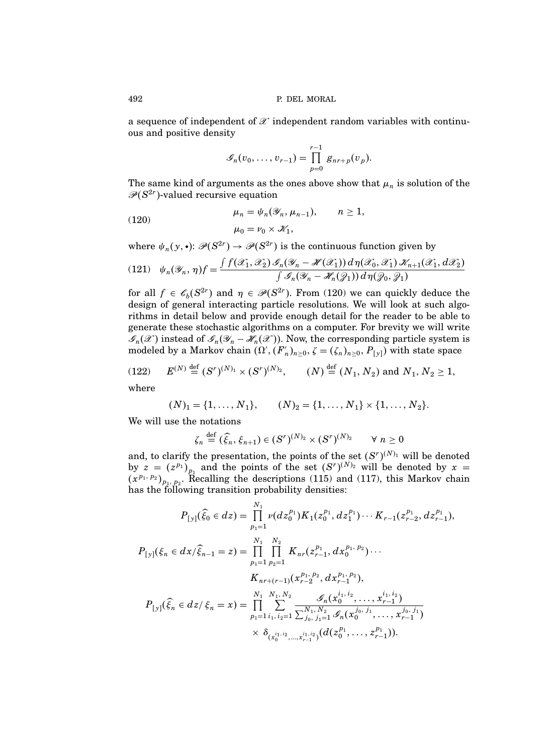a sequence of independent of  $\mathscr X$  independent random variables with continuous and positive density

$$
\mathscr{G}_n(v_0,\ldots,v_{r-1})=\prod_{p=0}^{r-1}\mathscr{G}_{nr+p}(v_p).
$$

The same kind of arguments as the ones above show that  $\mu_n$  is solution of the  $\mathscr{P}(S^{2r})$ -valued recursive equation

(120) 
$$
\mu_n = \psi_n(\mathscr{Y}_n, \mu_{n-1}), \qquad n \ge 1,
$$

$$
\mu_0 = \nu_0 \times \mathscr{K}_1,
$$

where  $\psi_n(y, \cdot) \colon \mathscr{P}(S^{2r}) \to \mathscr{P}(S^{2r})$  is the continuous function given by

$$
(121) \quad \psi_n(\mathscr{Y}_n, \eta) f = \frac{\int f(\mathscr{X}_1, \mathscr{X}_2) \mathscr{I}_n(\mathscr{Y}_n - \mathscr{H}(\mathscr{X}_1)) d\eta(\mathscr{X}_0, \mathscr{X}_1) \mathscr{K}_{n+1}(\mathscr{X}_1, d\mathscr{X}_2)}{\int \mathscr{I}_n(\mathscr{Y}_n - \mathscr{H}_n(\mathscr{Y}_1)) d\eta(\mathscr{Y}_0, \mathscr{Y}_1)}
$$

for all  $f \in \mathscr{C}_b(S^{2r})$  and  $\eta \in \mathscr{P}(S^{2r})$ . From (120) we can quickly deduce the design of general interacting particle resolutions. We will look at such algorithms in detail below and provide enough detail for the reader to be able to generate these stochastic algorithms on a computer. For brevity we will write  $\mathscr{I}_n(\mathscr{X})$  instead of  $\mathscr{I}_n(\mathscr{Y}_n - \mathscr{H}_n(\mathscr{X}))$ . Now, the corresponding particle system is modeled by a Markov chain  $(\Omega', (F'_n)_{n \geq 0}, \zeta = (\zeta_n)_{n \geq 0}, P_{[y]})$  with state space

(122) 
$$
E^{(N)} \stackrel{\text{def}}{=} (S^r)^{(N)_1} \times (S^r)^{(N)_2}, \qquad (N) \stackrel{\text{def}}{=} (N_1, N_2) \text{ and } N_1, N_2 \ge 1,
$$

where

$$
(N)_1 = \{1, \ldots, N_1\}, \qquad (N)_2 = \{1, \ldots, N_1\} \times \{1, \ldots, N_2\}.
$$

We will use the notations

$$
\zeta_n \stackrel{\text{def}}{=} (\widehat{\xi}_n, \xi_{n+1}) \in (S^r)^{(N)_2} \times (S^r)^{(N)_2} \qquad \forall n \ge 0
$$

and, to clarify the presentation, the points of the set  $(S<sup>r</sup>)<sup>(N)</sup>$  will be denoted  $\frac{1}{2}$ by  $z = (z^{p_1})_{p_1}$  and the points of the set  $(S^r)^{(N)_2}$  will be denoted by  $x =$  $(x^{p_1, p_2})_{p_1, p_2}$ . Recalling the descriptions (115) and (117), this Markov chain has the following transition probability densities:

$$
P_{[y]}(\hat{\xi}_0 \in dz) = \prod_{p_1=1}^{N_1} \nu(dz_0^{p_1}) K_1(z_0^{p_1}, dz_1^{p_1}) \cdots K_{r-1}(z_{r-2}^{p_1}, dz_{r-1}^{p_1}),
$$
  
\n
$$
P_{[y]}(\xi_n \in dx/\hat{\xi}_{n-1} = z) = \prod_{p_1=1}^{N_1} \prod_{p_2=1}^{N_2} K_{nr}(z_{r-1}^{p_1}, dz_0^{p_1, p_2}) \cdots
$$
  
\n
$$
K_{nr+(r-1)}(x_{r-2}^{p_1, p_2}, dx_{r-1}^{p_1, p_2}),
$$
  
\n
$$
P_{[y]}(\hat{\xi}_n \in dz/\xi_n = x) = \prod_{p_1=1}^{N_1} \sum_{i_1, i_2=1}^{N_1, N_2} \underbrace{\mathscr{S}_n(x_0^{i_1, i_2}, \dots, x_{r-1}^{i_1, i_2})}_{\sum_{j_0, j_1=1}^{N_1, N_2} \mathscr{S}_n(x_0^{j_0, j_1}, \dots, x_{r-1}^{j_0, j_1})}
$$
  
\n
$$
\times \delta_{(x_0^{i_1, i_2}, \dots, x_{r-1}^{i_1, i_2})}(d(z_0^{p_1}, \dots, z_{r-1}^{p_1})).
$$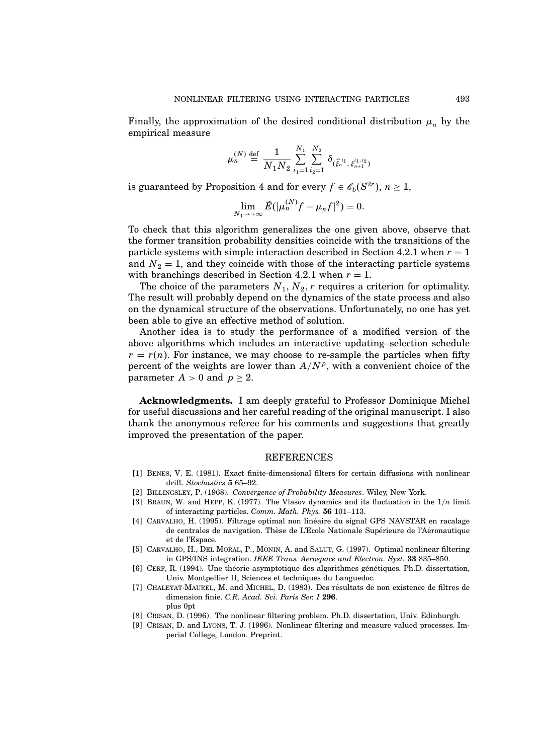Finally, the approximation of the desired conditional distribution  $\mu_n$  by the empirical measure

$$
\mu_n^{(N)} \stackrel{\text{def}}{=} \frac{1}{N_1 N_2} \sum_{i_1=1}^{N_1} \sum_{i_2=1}^{N_2} \delta_{(\widehat{\xi}_n^{i_1}, \xi_{n+1}^{i_1, i_2})}
$$

is guaranteed by Proposition 4 and for every  $f \in \mathscr{C}_b(S^{2r}), n \geq 1$ ,

$$
\lim_{N_1 \to +\infty} \tilde{E}(|\mu_n^{(N)}f - \mu_n f|^2) = 0.
$$

To check that this algorithm generalizes the one given above, observe that the former transition probability densities coincide with the transitions of the particle systems with simple interaction described in Section 4.2.1 when  $r = 1$ and  $N_2 = 1$ , and they coincide with those of the interacting particle systems with branchings described in Section 4.2.1 when  $r = 1$ .

The choice of the parameters  $N_1, N_2, r$  requires a criterion for optimality. The result will probably depend on the dynamics of the state process and also on the dynamical structure of the observations. Unfortunately, no one has yet been able to give an effective method of solution.

Another idea is to study the performance of a modified version of the above algorithms which includes an interactive updating–selection schedule  $r = r(n)$ . For instance, we may choose to re-sample the particles when fifty percent of the weights are lower than  $A/N^p$ , with a convenient choice of the parameter  $A > 0$  and  $p \ge 2$ .

Acknowledgments. I am deeply grateful to Professor Dominique Michel for useful discussions and her careful reading of the original manuscript. I also thank the anonymous referee for his comments and suggestions that greatly improved the presentation of the paper.

#### REFERENCES

- [1] Benes, V. E. (1981). Exact finite-dimensional filters for certain diffusions with nonlinear drift. Stochastics 5 65–92.
- [2] BILLINGSLEY, P. (1968). Convergence of Probability Measures. Wiley, New York.
- [3] BRAUN, W. and HEPP, K. (1977). The Vlasov dynamics and its fluctuation in the  $1/n$  limit of interacting particles. Comm. Math. Phys. 56 101–113.
- [4] CARVALHO, H. (1995). Filtrage optimal non linéaire du signal GPS NAVSTAR en racalage de centrales de navigation. Thèse de L'Ecole Nationale Supérieure de l'Aéronautique et de l'Espace.
- [5] Carvalho, H., Del Moral, P., Monin, A. and Salut, G. (1997). Optimal nonlinear filtering in GPS/INS integration. IEEE Trans. Aerospace and Electron. Syst. 33 835–850.
- [6] CERF, R. (1994). Une théorie asymptotique des algorithmes génétiques. Ph.D. dissertation, Univ. Montpellier II, Sciences et techniques du Languedoc.
- [7] CHALEYAT-MAUREL, M. and MICHEL, D. (1983). Des résultats de non existence de filtres de dimension finie. C.R. Acad. Sci. Paris Ser. I 296. plus 0pt
- [8] Crisan, D. (1996). The nonlinear filtering problem. Ph.D. dissertation, Univ. Edinburgh.
- [9] Crisan, D. and Lyons, T. J. (1996). Nonlinear filtering and measure valued processes. Imperial College, London. Preprint.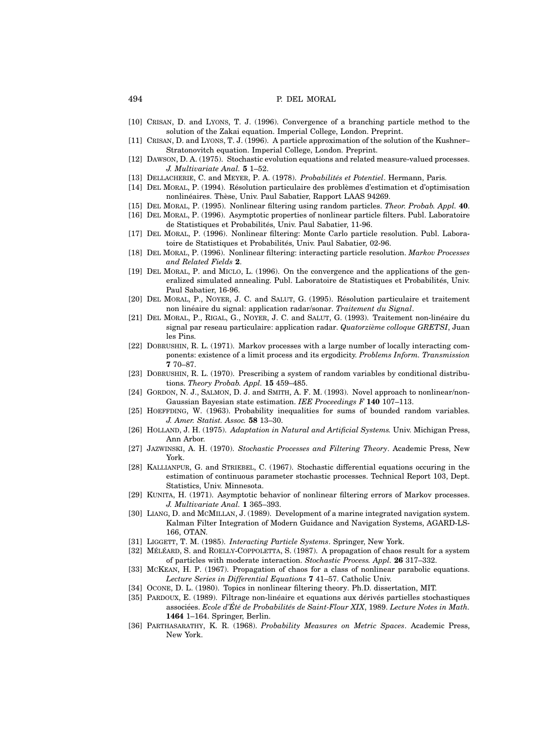- [10] Crisan, D. and Lyons, T. J. (1996). Convergence of a branching particle method to the solution of the Zakai equation. Imperial College, London. Preprint.
- [11] Crisan, D. and Lyons, T. J. (1996). A particle approximation of the solution of the Kushner– Stratonovitch equation. Imperial College, London. Preprint.
- [12] Dawson, D. A. (1975). Stochastic evolution equations and related measure-valued processes. J. Multivariate Anal. 5 1–52.
- [13] DELLACHERIE, C. and MEYER, P. A. (1978). Probabilités et Potentiel. Hermann, Paris.
- [14] DEL MORAL, P. (1994). Résolution particulaire des problèmes d'estimation et d'optimisation nonlinéaires. Thèse, Univ. Paul Sabatier, Rapport LAAS 94269.
- [15] Del Moral, P. (1995). Nonlinear filtering using random particles. Theor. Probab. Appl. 40.
- [16] Del Moral, P. (1996). Asymptotic properties of nonlinear particle filters. Publ. Laboratoire de Statistiques et Probabilités, Univ. Paul Sabatier, 11-96.
- [17] Del Moral, P. (1996). Nonlinear filtering: Monte Carlo particle resolution. Publ. Laboratoire de Statistiques et Probabilités, Univ. Paul Sabatier, 02-96.
- [18] Del Moral, P. (1996). Nonlinear filtering: interacting particle resolution. Markov Processes and Related Fields 2.
- [19] Del Moral, P. and Miclo, L. (1996). On the convergence and the applications of the generalized simulated annealing. Publ. Laboratoire de Statistiques et Probabilités, Univ. Paul Sabatier, 16-96.
- [20] DEL MORAL, P., NOYER, J. C. and SALUT, G. (1995). Résolution particulaire et traitement non linéaire du signal: application radar/sonar. Traitement du Signal.
- [21] DEL MORAL, P., RIGAL, G., NOYER, J. C. and SALUT, G. (1993). Traitement non-linéaire du signal par reseau particulaire: application radar. Quatorzième colloque GRETSI, Juan les Pins.
- [22] DOBRUSHIN, R. L. (1971). Markov processes with a large number of locally interacting components: existence of a limit process and its ergodicity. Problems Inform. Transmission 7 70–87.
- [23] DOBRUSHIN, R. L. (1970). Prescribing a system of random variables by conditional distributions. Theory Probab. Appl. 15 459–485.
- [24] GORDON, N. J., SALMON, D. J. and SMITH, A. F. M. (1993). Novel approach to nonlinear/non-Gaussian Bayesian state estimation. IEE Proceedings F 140 107–113.
- [25] HOEFFDING, W. (1963). Probability inequalities for sums of bounded random variables. J. Amer. Statist. Assoc. 58 13–30.
- [26] HOLLAND, J. H. (1975). Adaptation in Natural and Artificial Systems. Univ. Michigan Press, Ann Arbor.
- [27] Jazwinski, A. H. (1970). Stochastic Processes and Filtering Theory. Academic Press, New York.
- [28] Kallianpur, G. and Striebel, C. (1967). Stochastic differential equations occuring in the estimation of continuous parameter stochastic processes. Technical Report 103, Dept. Statistics, Univ. Minnesota.
- [29] KUNITA, H. (1971). Asymptotic behavior of nonlinear filtering errors of Markov processes. J. Multivariate Anal. 1 365–393.
- [30] Liang, D. and McMillan, J. (1989). Development of a marine integrated navigation system. Kalman Filter Integration of Modern Guidance and Navigation Systems, AGARD-LS-166, OTAN.
- [31] LIGGETT, T. M. (1985). *Interacting Particle Systems*. Springer, New York.
- [32] MÉLÉARD, S. and ROELLY-COPPOLETTA, S. (1987). A propagation of chaos result for a system of particles with moderate interaction. Stochastic Process. Appl. 26 317–332.
- [33] McKean, H. P. (1967). Propagation of chaos for a class of nonlinear parabolic equations. Lecture Series in Differential Equations 7 41–57. Catholic Univ.
- [34] Ocone, D. L. (1980). Topics in nonlinear filtering theory. Ph.D. dissertation, MIT.
- [35] PARDOUX, E. (1989). Filtrage non-linéaire et equations aux dérivés partielles stochastiques associées. Ecole d'Été de Probabilités de Saint-Flour XIX, 1989. Lecture Notes in Math. 1464 1–164. Springer, Berlin.
- [36] PARTHASARATHY, K. R. (1968). Probability Measures on Metric Spaces. Academic Press, New York.